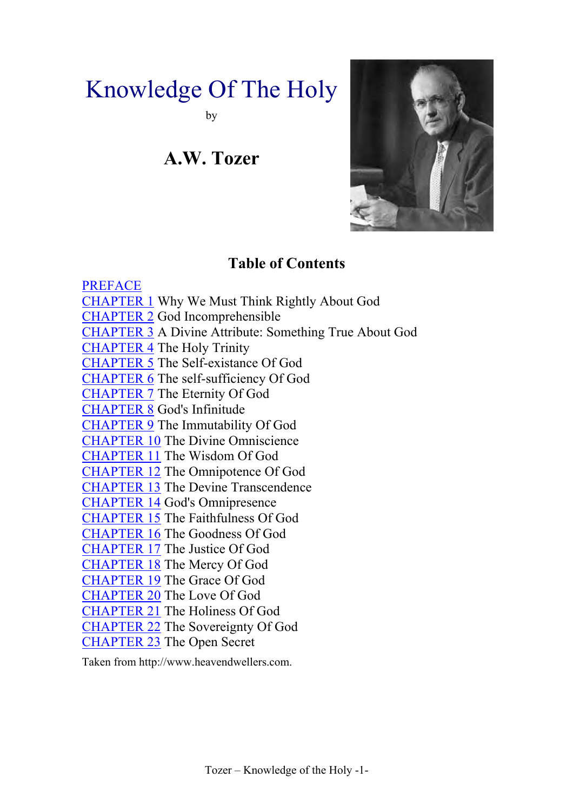# Knowledge Of The Holy

by

## **A.W. Tozer**



#### **Table of Contents**

[PREFACE](#page-1-0) [CHAPTER 1 Why We Must Think Rightly About God](#page-3-0)  [CHAPTER 2 God Incomprehensible](#page-6-0)  [CHAPTER 3 A Divine Attribute: Something True About God](#page-10-0)  [CHAPTER 4 The Holy Trinity](#page-13-0)  [CHAPTER 5 The Self-existance Of God](#page-18-0)  [CHAPTER 6 The self-sufficiency Of God](#page-23-0)  [CHAPTER 7 The Eternity Of God](#page-27-0)  [CHAPTER 8 God's Infinitude](#page-30-0)  [CHAPTER 9 The Immutability Of God](#page-34-0)  [CHAPTER 10 The Divine Omniscience](#page-38-0)  [CHAPTER 11 The Wisdom Of God](#page-41-0)  [CHAPTER 12 The Omnipotence Of God](#page-45-0)  [CHAPTER 13 The Devine Transcendence](#page-48-0)  [CHAPTER 14 God's Omnipresence](#page-51-0)  [CHAPTER 15 The Faithfulness Of God](#page-53-0)  [CHAPTER 16 The Goodness Of God](#page-56-0)  [CHAPTER 17 The Justice Of God](#page-59-0)  [CHAPTER 18 The Mercy Of God](#page-62-0)  [CHAPTER 19 The Grace Of God](#page-64-0)  [CHAPTER 20 The Love Of God](#page-67-0)  [CHAPTER 21 The Holiness Of God](#page-71-0) 

[CHAPTER 22 The Sovereignty Of God](#page-74-0) 

[CHAPTER 23 The Open Secret](#page-78-0) 

Taken from http://www.heavendwellers.com.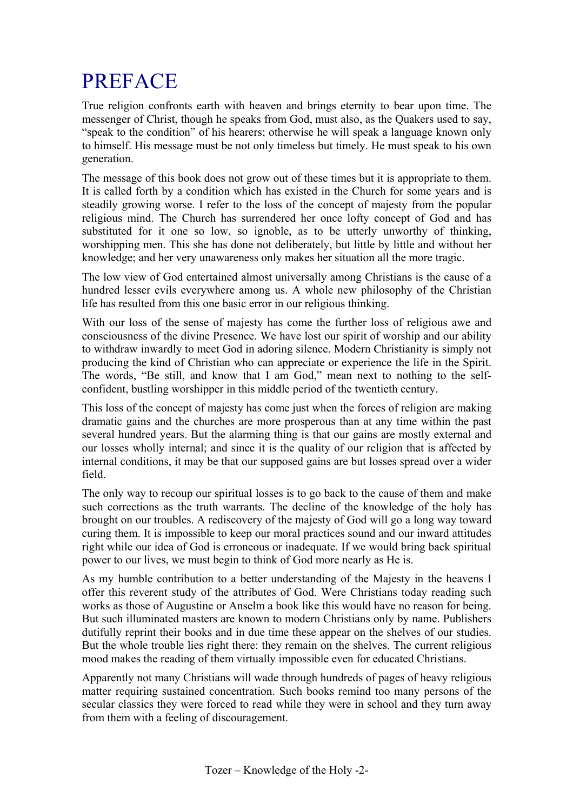## PREFACE

True religion confronts earth with heaven and brings eternity to bear upon time. The messenger of Christ, though he speaks from God, must also, as the Quakers used to say, "speak to the condition" of his hearers; otherwise he will speak a language known only to himself. His message must be not only timeless but timely. He must speak to his own generation.

The message of this book does not grow out of these times but it is appropriate to them. It is called forth by a condition which has existed in the Church for some years and is steadily growing worse. I refer to the loss of the concept of majesty from the popular religious mind. The Church has surrendered her once lofty concept of God and has substituted for it one so low, so ignoble, as to be utterly unworthy of thinking, worshipping men. This she has done not deliberately, but little by little and without her knowledge; and her very unawareness only makes her situation all the more tragic.

The low view of God entertained almost universally among Christians is the cause of a hundred lesser evils everywhere among us. A whole new philosophy of the Christian life has resulted from this one basic error in our religious thinking.

With our loss of the sense of majesty has come the further loss of religious awe and consciousness of the divine Presence. We have lost our spirit of worship and our ability to withdraw inwardly to meet God in adoring silence. Modern Christianity is simply not producing the kind of Christian who can appreciate or experience the life in the Spirit. The words, "Be still, and know that I am God," mean next to nothing to the selfconfident, bustling worshipper in this middle period of the twentieth century.

This loss of the concept of majesty has come just when the forces of religion are making dramatic gains and the churches are more prosperous than at any time within the past several hundred years. But the alarming thing is that our gains are mostly external and our losses wholly internal; and since it is the quality of our religion that is affected by internal conditions, it may be that our supposed gains are but losses spread over a wider field.

The only way to recoup our spiritual losses is to go back to the cause of them and make such corrections as the truth warrants. The decline of the knowledge of the holy has brought on our troubles. A rediscovery of the majesty of God will go a long way toward curing them. It is impossible to keep our moral practices sound and our inward attitudes right while our idea of God is erroneous or inadequate. If we would bring back spiritual power to our lives, we must begin to think of God more nearly as He is.

As my humble contribution to a better understanding of the Majesty in the heavens I offer this reverent study of the attributes of God. Were Christians today reading such works as those of Augustine or Anselm a book like this would have no reason for being. But such illuminated masters are known to modern Christians only by name. Publishers dutifully reprint their books and in due time these appear on the shelves of our studies. But the whole trouble lies right there: they remain on the shelves. The current religious mood makes the reading of them virtually impossible even for educated Christians.

<span id="page-1-0"></span>Apparently not many Christians will wade through hundreds of pages of heavy religious matter requiring sustained concentration. Such books remind too many persons of the secular classics they were forced to read while they were in school and they turn away from them with a feeling of discouragement.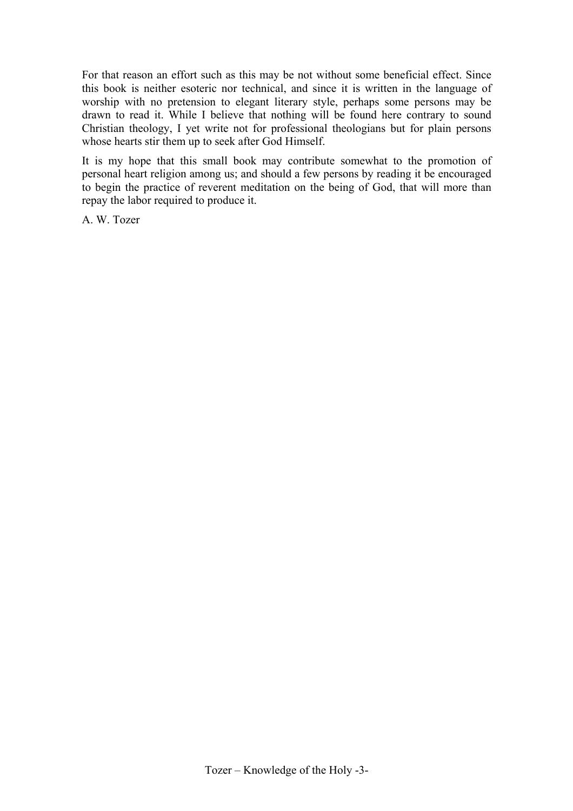For that reason an effort such as this may be not without some beneficial effect. Since this book is neither esoteric nor technical, and since it is written in the language of worship with no pretension to elegant literary style, perhaps some persons may be drawn to read it. While I believe that nothing will be found here contrary to sound Christian theology, I yet write not for professional theologians but for plain persons whose hearts stir them up to seek after God Himself.

It is my hope that this small book may contribute somewhat to the promotion of personal heart religion among us; and should a few persons by reading it be encouraged to begin the practice of reverent meditation on the being of God, that will more than repay the labor required to produce it.

A. W. Tozer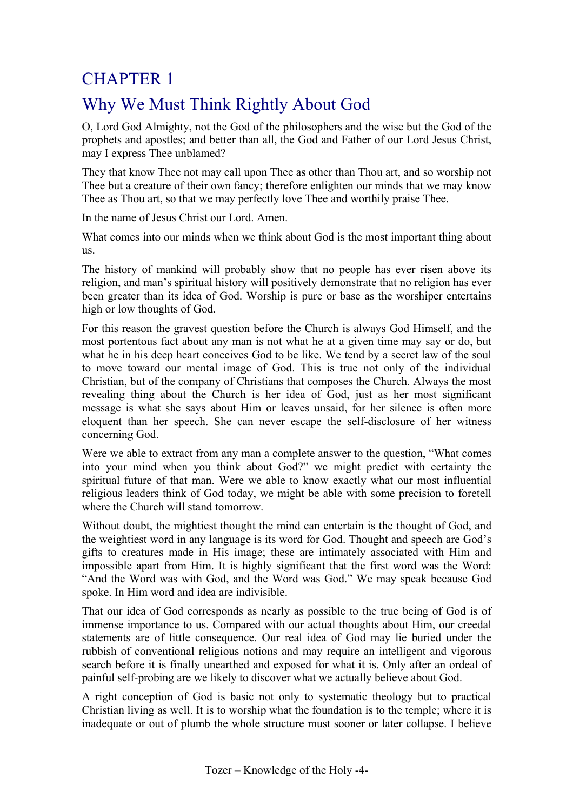## Why We Must Think Rightly About God

O, Lord God Almighty, not the God of the philosophers and the wise but the God of the prophets and apostles; and better than all, the God and Father of our Lord Jesus Christ, may I express Thee unblamed?

They that know Thee not may call upon Thee as other than Thou art, and so worship not Thee but a creature of their own fancy; therefore enlighten our minds that we may know Thee as Thou art, so that we may perfectly love Thee and worthily praise Thee.

In the name of Jesus Christ our Lord. Amen.

What comes into our minds when we think about God is the most important thing about us.

The history of mankind will probably show that no people has ever risen above its religion, and man's spiritual history will positively demonstrate that no religion has ever been greater than its idea of God. Worship is pure or base as the worshiper entertains high or low thoughts of God.

For this reason the gravest question before the Church is always God Himself, and the most portentous fact about any man is not what he at a given time may say or do, but what he in his deep heart conceives God to be like. We tend by a secret law of the soul to move toward our mental image of God. This is true not only of the individual Christian, but of the company of Christians that composes the Church. Always the most revealing thing about the Church is her idea of God, just as her most significant message is what she says about Him or leaves unsaid, for her silence is often more eloquent than her speech. She can never escape the self-disclosure of her witness concerning God.

Were we able to extract from any man a complete answer to the question, "What comes" into your mind when you think about God?" we might predict with certainty the spiritual future of that man. Were we able to know exactly what our most influential religious leaders think of God today, we might be able with some precision to foretell where the Church will stand tomorrow.

Without doubt, the mightiest thought the mind can entertain is the thought of God, and the weightiest word in any language is its word for God. Thought and speech are God's gifts to creatures made in His image; these are intimately associated with Him and impossible apart from Him. It is highly significant that the first word was the Word: "And the Word was with God, and the Word was God." We may speak because God spoke. In Him word and idea are indivisible.

That our idea of God corresponds as nearly as possible to the true being of God is of immense importance to us. Compared with our actual thoughts about Him, our creedal statements are of little consequence. Our real idea of God may lie buried under the rubbish of conventional religious notions and may require an intelligent and vigorous search before it is finally unearthed and exposed for what it is. Only after an ordeal of painful self-probing are we likely to discover what we actually believe about God.

<span id="page-3-0"></span>A right conception of God is basic not only to systematic theology but to practical Christian living as well. It is to worship what the foundation is to the temple; where it is inadequate or out of plumb the whole structure must sooner or later collapse. I believe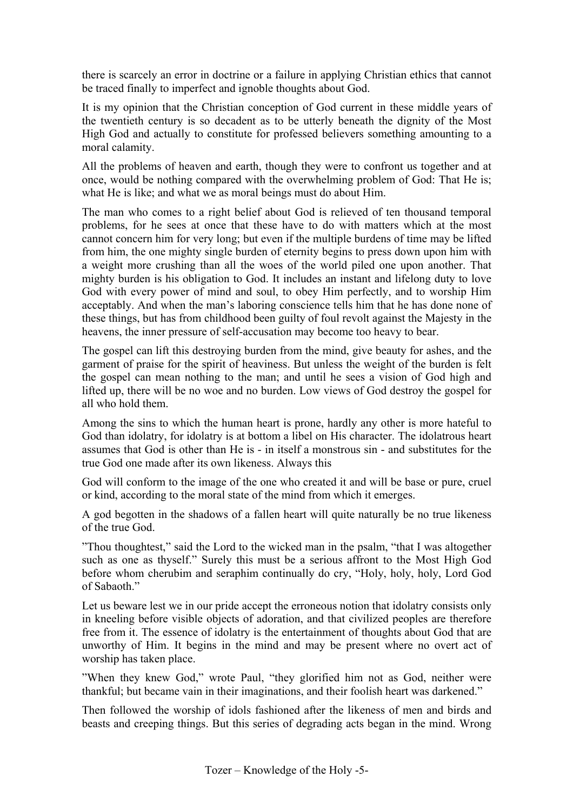there is scarcely an error in doctrine or a failure in applying Christian ethics that cannot be traced finally to imperfect and ignoble thoughts about God.

It is my opinion that the Christian conception of God current in these middle years of the twentieth century is so decadent as to be utterly beneath the dignity of the Most High God and actually to constitute for professed believers something amounting to a moral calamity.

All the problems of heaven and earth, though they were to confront us together and at once, would be nothing compared with the overwhelming problem of God: That He is; what He is like; and what we as moral beings must do about Him.

The man who comes to a right belief about God is relieved of ten thousand temporal problems, for he sees at once that these have to do with matters which at the most cannot concern him for very long; but even if the multiple burdens of time may be lifted from him, the one mighty single burden of eternity begins to press down upon him with a weight more crushing than all the woes of the world piled one upon another. That mighty burden is his obligation to God. It includes an instant and lifelong duty to love God with every power of mind and soul, to obey Him perfectly, and to worship Him acceptably. And when the man's laboring conscience tells him that he has done none of these things, but has from childhood been guilty of foul revolt against the Majesty in the heavens, the inner pressure of self-accusation may become too heavy to bear.

The gospel can lift this destroying burden from the mind, give beauty for ashes, and the garment of praise for the spirit of heaviness. But unless the weight of the burden is felt the gospel can mean nothing to the man; and until he sees a vision of God high and lifted up, there will be no woe and no burden. Low views of God destroy the gospel for all who hold them.

Among the sins to which the human heart is prone, hardly any other is more hateful to God than idolatry, for idolatry is at bottom a libel on His character. The idolatrous heart assumes that God is other than He is - in itself a monstrous sin - and substitutes for the true God one made after its own likeness. Always this

God will conform to the image of the one who created it and will be base or pure, cruel or kind, according to the moral state of the mind from which it emerges.

A god begotten in the shadows of a fallen heart will quite naturally be no true likeness of the true God.

"Thou thoughtest," said the Lord to the wicked man in the psalm, "that I was altogether such as one as thyself." Surely this must be a serious affront to the Most High God before whom cherubim and seraphim continually do cry, "Holy, holy, holy, Lord God of Sabaoth<sup>"</sup>

Let us beware lest we in our pride accept the erroneous notion that idolatry consists only in kneeling before visible objects of adoration, and that civilized peoples are therefore free from it. The essence of idolatry is the entertainment of thoughts about God that are unworthy of Him. It begins in the mind and may be present where no overt act of worship has taken place.

"When they knew God," wrote Paul, "they glorified him not as God, neither were thankful; but became vain in their imaginations, and their foolish heart was darkened."

Then followed the worship of idols fashioned after the likeness of men and birds and beasts and creeping things. But this series of degrading acts began in the mind. Wrong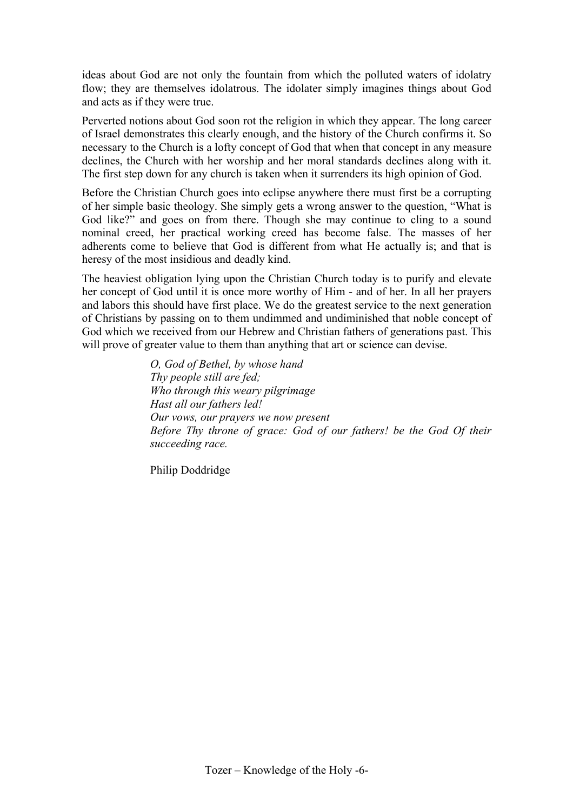ideas about God are not only the fountain from which the polluted waters of idolatry flow; they are themselves idolatrous. The idolater simply imagines things about God and acts as if they were true.

Perverted notions about God soon rot the religion in which they appear. The long career of Israel demonstrates this clearly enough, and the history of the Church confirms it. So necessary to the Church is a lofty concept of God that when that concept in any measure declines, the Church with her worship and her moral standards declines along with it. The first step down for any church is taken when it surrenders its high opinion of God.

Before the Christian Church goes into eclipse anywhere there must first be a corrupting of her simple basic theology. She simply gets a wrong answer to the question, ^What is God like?" and goes on from there. Though she may continue to cling to a sound nominal creed, her practical working creed has become false. The masses of her adherents come to believe that God is different from what He actually is; and that is heresy of the most insidious and deadly kind.

The heaviest obligation lying upon the Christian Church today is to purify and elevate her concept of God until it is once more worthy of Him - and of her. In all her prayers and labors this should have first place. We do the greatest service to the next generation of Christians by passing on to them undimmed and undiminished that noble concept of God which we received from our Hebrew and Christian fathers of generations past. This will prove of greater value to them than anything that art or science can devise.

> *O, God of Bethel, by whose hand Thy people still are fed; Who through this weary pilgrimage Hast all our fathers led! Our vows, our prayers we now present Before Thy throne of grace: God of our fathers! be the God Of their succeeding race.*

Philip Doddridge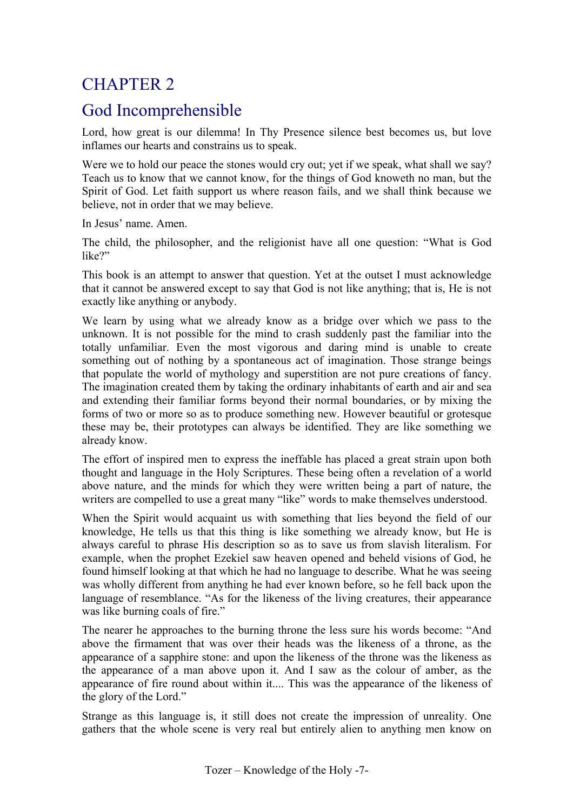#### God Incomprehensible

Lord, how great is our dilemma! In Thy Presence silence best becomes us, but love inflames our hearts and constrains us to speak.

Were we to hold our peace the stones would cry out; yet if we speak, what shall we say? Teach us to know that we cannot know, for the things of God knoweth no man, but the Spirit of God. Let faith support us where reason fails, and we shall think because we believe, not in order that we may believe.

In Jesus' name. Amen.

The child, the philosopher, and the religionist have all one question: ^What is God like?"

This book is an attempt to answer that question. Yet at the outset I must acknowledge that it cannot be answered except to say that God is not like anything; that is, He is not exactly like anything or anybody.

We learn by using what we already know as a bridge over which we pass to the unknown. It is not possible for the mind to crash suddenly past the familiar into the totally unfamiliar. Even the most vigorous and daring mind is unable to create something out of nothing by a spontaneous act of imagination. Those strange beings that populate the world of mythology and superstition are not pure creations of fancy. The imagination created them by taking the ordinary inhabitants of earth and air and sea and extending their familiar forms beyond their normal boundaries, or by mixing the forms of two or more so as to produce something new. However beautiful or grotesque these may be, their prototypes can always be identified. They are like something we already know.

The effort of inspired men to express the ineffable has placed a great strain upon both thought and language in the Holy Scriptures. These being often a revelation of a world above nature, and the minds for which they were written being a part of nature, the writers are compelled to use a great many "like" words to make themselves understood.

When the Spirit would acquaint us with something that lies beyond the field of our knowledge, He tells us that this thing is like something we already know, but He is always careful to phrase His description so as to save us from slavish literalism. For example, when the prophet Ezekiel saw heaven opened and beheld visions of God, he found himself looking at that which he had no language to describe. What he was seeing was wholly different from anything he had ever known before, so he fell back upon the language of resemblance. "As for the likeness of the living creatures, their appearance was like burning coals of fire."

The nearer he approaches to the burning throne the less sure his words become: "And above the firmament that was over their heads was the likeness of a throne, as the appearance of a sapphire stone: and upon the likeness of the throne was the likeness as the appearance of a man above upon it. And I saw as the colour of amber, as the appearance of fire round about within it.... This was the appearance of the likeness of the glory of the Lord."

<span id="page-6-0"></span>Strange as this language is, it still does not create the impression of unreality. One gathers that the whole scene is very real but entirely alien to anything men know on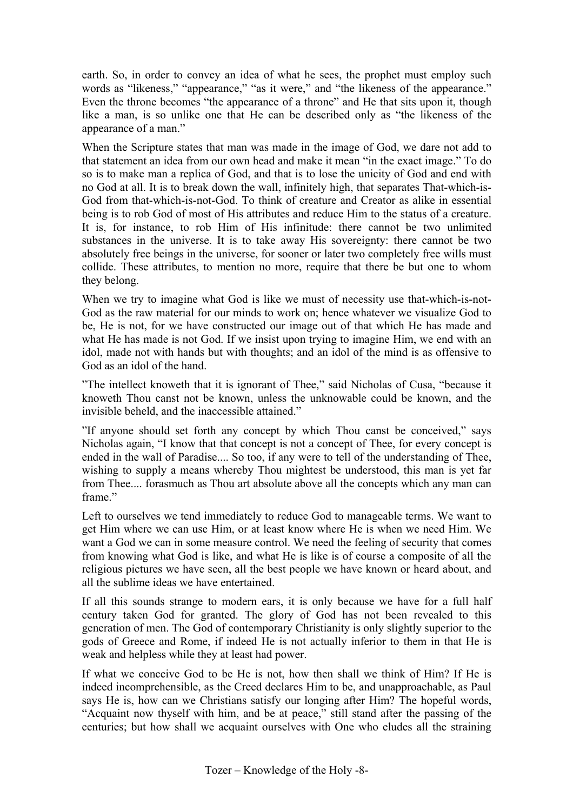earth. So, in order to convey an idea of what he sees, the prophet must employ such words as "likeness," "appearance," "as it were," and "the likeness of the appearance." Even the throne becomes "the appearance of a throne" and He that sits upon it, though like a man, is so unlike one that He can be described only as ^the likeness of the appearance of a man."

When the Scripture states that man was made in the image of God, we dare not add to that statement an idea from our own head and make it mean "in the exact image." To do so is to make man a replica of God, and that is to lose the unicity of God and end with no God at all. It is to break down the wall, infinitely high, that separates That-which-is-God from that-which-is-not-God. To think of creature and Creator as alike in essential being is to rob God of most of His attributes and reduce Him to the status of a creature. It is, for instance, to rob Him of His infinitude: there cannot be two unlimited substances in the universe. It is to take away His sovereignty: there cannot be two absolutely free beings in the universe, for sooner or later two completely free wills must collide. These attributes, to mention no more, require that there be but one to whom they belong.

When we try to imagine what God is like we must of necessity use that-which-is-not-God as the raw material for our minds to work on; hence whatever we visualize God to be, He is not, for we have constructed our image out of that which He has made and what He has made is not God. If we insist upon trying to imagine Him, we end with an idol, made not with hands but with thoughts; and an idol of the mind is as offensive to God as an idol of the hand.

"The intellect knoweth that it is ignorant of Thee," said Nicholas of Cusa, "because it knoweth Thou canst not be known, unless the unknowable could be known, and the invisible beheld, and the inaccessible attained."

"If anyone should set forth any concept by which Thou canst be conceived," says Nicholas again, "I know that that concept is not a concept of Thee, for every concept is ended in the wall of Paradise.... So too, if any were to tell of the understanding of Thee, wishing to supply a means whereby Thou mightest be understood, this man is yet far from Thee.... forasmuch as Thou art absolute above all the concepts which any man can frame"

Left to ourselves we tend immediately to reduce God to manageable terms. We want to get Him where we can use Him, or at least know where He is when we need Him. We want a God we can in some measure control. We need the feeling of security that comes from knowing what God is like, and what He is like is of course a composite of all the religious pictures we have seen, all the best people we have known or heard about, and all the sublime ideas we have entertained.

If all this sounds strange to modern ears, it is only because we have for a full half century taken God for granted. The glory of God has not been revealed to this generation of men. The God of contemporary Christianity is only slightly superior to the gods of Greece and Rome, if indeed He is not actually inferior to them in that He is weak and helpless while they at least had power.

If what we conceive God to be He is not, how then shall we think of Him? If He is indeed incomprehensible, as the Creed declares Him to be, and unapproachable, as Paul says He is, how can we Christians satisfy our longing after Him? The hopeful words, "Acquaint now thyself with him, and be at peace," still stand after the passing of the centuries; but how shall we acquaint ourselves with One who eludes all the straining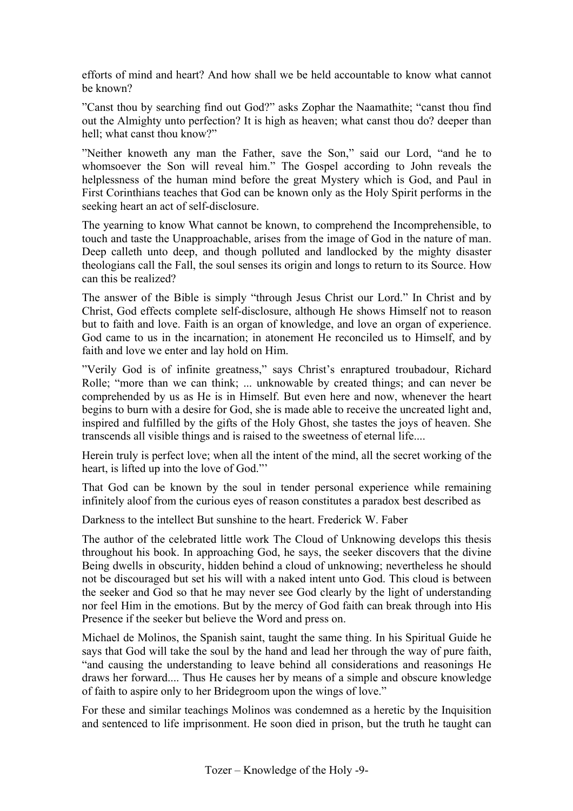efforts of mind and heart? And how shall we be held accountable to know what cannot be known?

"Canst thou by searching find out God?" asks Zophar the Naamathite; "canst thou find out the Almighty unto perfection? It is high as heaven; what canst thou do? deeper than hell: what canst thou know?"

"Neither knoweth any man the Father, save the Son," said our Lord, "and he to whomsoever the Son will reveal him." The Gospel according to John reveals the helplessness of the human mind before the great Mystery which is God, and Paul in First Corinthians teaches that God can be known only as the Holy Spirit performs in the seeking heart an act of self-disclosure.

The yearning to know What cannot be known, to comprehend the Incomprehensible, to touch and taste the Unapproachable, arises from the image of God in the nature of man. Deep calleth unto deep, and though polluted and landlocked by the mighty disaster theologians call the Fall, the soul senses its origin and longs to return to its Source. How can this be realized?

The answer of the Bible is simply "through Jesus Christ our Lord." In Christ and by Christ, God effects complete self-disclosure, although He shows Himself not to reason but to faith and love. Faith is an organ of knowledge, and love an organ of experience. God came to us in the incarnation; in atonement He reconciled us to Himself, and by faith and love we enter and lay hold on Him.

"Verily God is of infinite greatness," says Christ's enraptured troubadour, Richard Rolle; "more than we can think; ... unknowable by created things; and can never be comprehended by us as He is in Himself. But even here and now, whenever the heart begins to burn with a desire for God, she is made able to receive the uncreated light and, inspired and fulfilled by the gifts of the Holy Ghost, she tastes the joys of heaven. She transcends all visible things and is raised to the sweetness of eternal life....

Herein truly is perfect love; when all the intent of the mind, all the secret working of the heart, is lifted up into the love of God."

That God can be known by the soul in tender personal experience while remaining infinitely aloof from the curious eyes of reason constitutes a paradox best described as

Darkness to the intellect But sunshine to the heart. Frederick W. Faber

The author of the celebrated little work The Cloud of Unknowing develops this thesis throughout his book. In approaching God, he says, the seeker discovers that the divine Being dwells in obscurity, hidden behind a cloud of unknowing; nevertheless he should not be discouraged but set his will with a naked intent unto God. This cloud is between the seeker and God so that he may never see God clearly by the light of understanding nor feel Him in the emotions. But by the mercy of God faith can break through into His Presence if the seeker but believe the Word and press on.

Michael de Molinos, the Spanish saint, taught the same thing. In his Spiritual Guide he says that God will take the soul by the hand and lead her through the way of pure faith, ^and causing the understanding to leave behind all considerations and reasonings He draws her forward.... Thus He causes her by means of a simple and obscure knowledge of faith to aspire only to her Bridegroom upon the wings of love."

For these and similar teachings Molinos was condemned as a heretic by the Inquisition and sentenced to life imprisonment. He soon died in prison, but the truth he taught can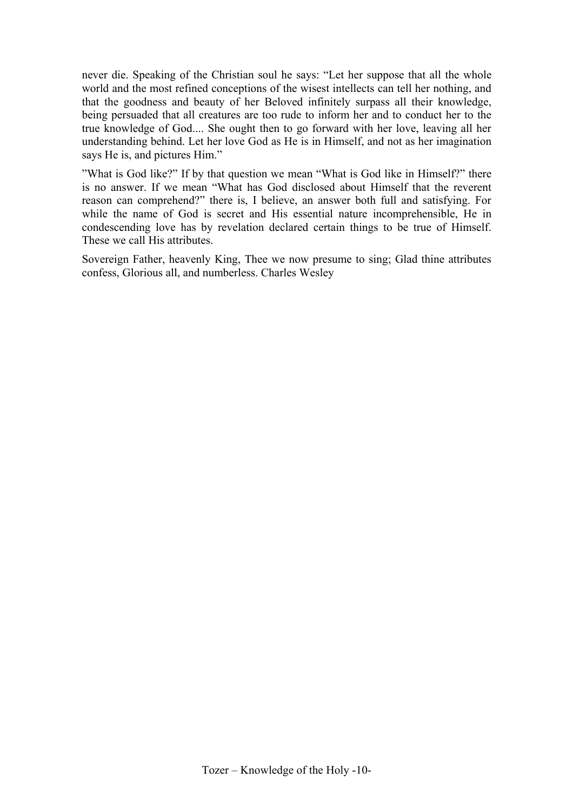never die. Speaking of the Christian soul he says: "Let her suppose that all the whole world and the most refined conceptions of the wisest intellects can tell her nothing, and that the goodness and beauty of her Beloved infinitely surpass all their knowledge, being persuaded that all creatures are too rude to inform her and to conduct her to the true knowledge of God.... She ought then to go forward with her love, leaving all her understanding behind. Let her love God as He is in Himself, and not as her imagination says He is, and pictures Him."

"What is God like?" If by that question we mean "What is God like in Himself?" there is no answer. If we mean ^What has God disclosed about Himself that the reverent reason can comprehend?" there is, I believe, an answer both full and satisfying. For while the name of God is secret and His essential nature incomprehensible, He in condescending love has by revelation declared certain things to be true of Himself. These we call His attributes.

Sovereign Father, heavenly King, Thee we now presume to sing; Glad thine attributes confess, Glorious all, and numberless. Charles Wesley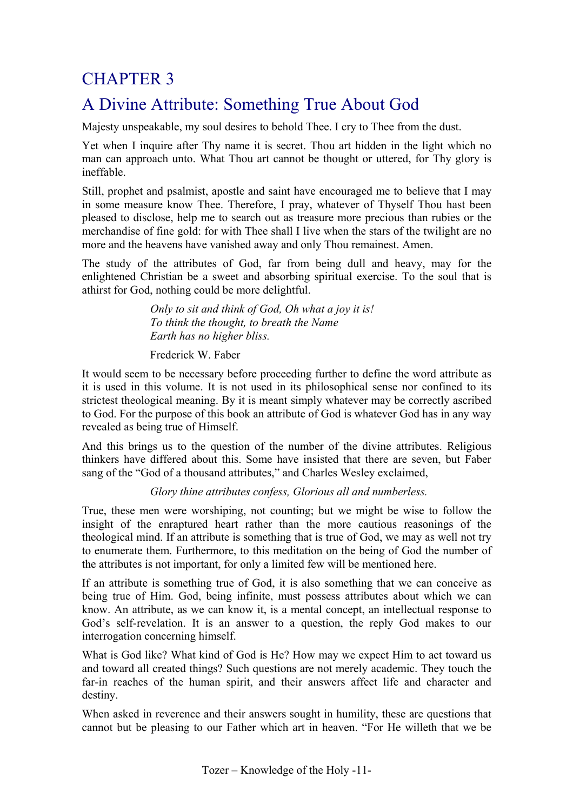#### A Divine Attribute: Something True About God

Majesty unspeakable, my soul desires to behold Thee. I cry to Thee from the dust.

Yet when I inquire after Thy name it is secret. Thou art hidden in the light which no man can approach unto. What Thou art cannot be thought or uttered, for Thy glory is ineffable.

Still, prophet and psalmist, apostle and saint have encouraged me to believe that I may in some measure know Thee. Therefore, I pray, whatever of Thyself Thou hast been pleased to disclose, help me to search out as treasure more precious than rubies or the merchandise of fine gold: for with Thee shall I live when the stars of the twilight are no more and the heavens have vanished away and only Thou remainest. Amen.

The study of the attributes of God, far from being dull and heavy, may for the enlightened Christian be a sweet and absorbing spiritual exercise. To the soul that is athirst for God, nothing could be more delightful.

> *Only to sit and think of God, Oh what a joy it is! To think the thought, to breath the Name Earth has no higher bliss.*

Frederick W. Faber

It would seem to be necessary before proceeding further to define the word attribute as it is used in this volume. It is not used in its philosophical sense nor confined to its strictest theological meaning. By it is meant simply whatever may be correctly ascribed to God. For the purpose of this book an attribute of God is whatever God has in any way revealed as being true of Himself.

And this brings us to the question of the number of the divine attributes. Religious thinkers have differed about this. Some have insisted that there are seven, but Faber sang of the "God of a thousand attributes," and Charles Wesley exclaimed,

*Glory thine attributes confess, Glorious all and numberless.* 

True, these men were worshiping, not counting; but we might be wise to follow the insight of the enraptured heart rather than the more cautious reasonings of the theological mind. If an attribute is something that is true of God, we may as well not try to enumerate them. Furthermore, to this meditation on the being of God the number of the attributes is not important, for only a limited few will be mentioned here.

If an attribute is something true of God, it is also something that we can conceive as being true of Him. God, being infinite, must possess attributes about which we can know. An attribute, as we can know it, is a mental concept, an intellectual response to God's self-revelation. It is an answer to a question, the reply God makes to our interrogation concerning himself.

What is God like? What kind of God is He? How may we expect Him to act toward us and toward all created things? Such questions are not merely academic. They touch the far-in reaches of the human spirit, and their answers affect life and character and destiny.

<span id="page-10-0"></span>When asked in reverence and their answers sought in humility, these are questions that cannot but be pleasing to our Father which art in heaven. ^For He willeth that we be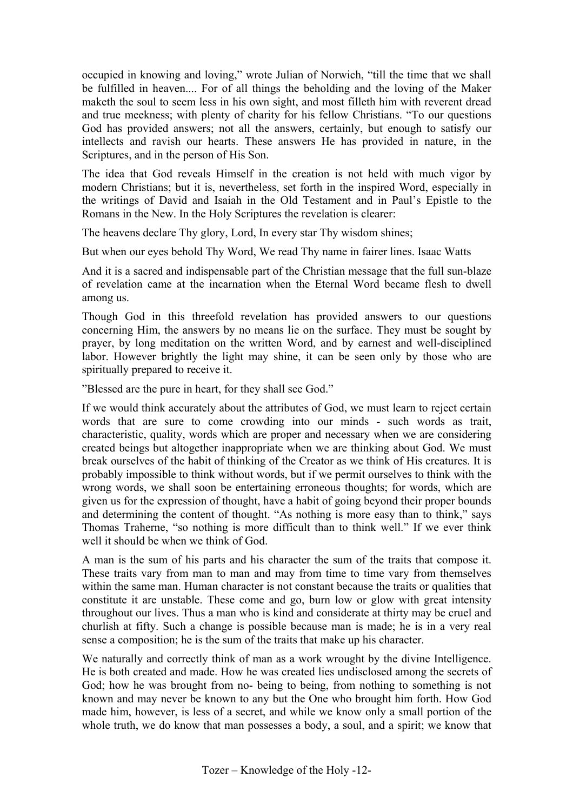occupied in knowing and loving," wrote Julian of Norwich, "till the time that we shall be fulfilled in heaven.... For of all things the beholding and the loving of the Maker maketh the soul to seem less in his own sight, and most filleth him with reverent dread and true meekness; with plenty of charity for his fellow Christians. ^To our questions God has provided answers; not all the answers, certainly, but enough to satisfy our intellects and ravish our hearts. These answers He has provided in nature, in the Scriptures, and in the person of His Son.

The idea that God reveals Himself in the creation is not held with much vigor by modern Christians; but it is, nevertheless, set forth in the inspired Word, especially in the writings of David and Isaiah in the Old Testament and in Paul's Epistle to the Romans in the New. In the Holy Scriptures the revelation is clearer:

The heavens declare Thy glory, Lord, In every star Thy wisdom shines;

But when our eyes behold Thy Word, We read Thy name in fairer lines. Isaac Watts

And it is a sacred and indispensable part of the Christian message that the full sun-blaze of revelation came at the incarnation when the Eternal Word became flesh to dwell among us.

Though God in this threefold revelation has provided answers to our questions concerning Him, the answers by no means lie on the surface. They must be sought by prayer, by long meditation on the written Word, and by earnest and well-disciplined labor. However brightly the light may shine, it can be seen only by those who are spiritually prepared to receive it.

"Blessed are the pure in heart, for they shall see God."

If we would think accurately about the attributes of God, we must learn to reject certain words that are sure to come crowding into our minds - such words as trait, characteristic, quality, words which are proper and necessary when we are considering created beings but altogether inappropriate when we are thinking about God. We must break ourselves of the habit of thinking of the Creator as we think of His creatures. It is probably impossible to think without words, but if we permit ourselves to think with the wrong words, we shall soon be entertaining erroneous thoughts; for words, which are given us for the expression of thought, have a habit of going beyond their proper bounds and determining the content of thought.  $A$ s nothing is more easy than to think," says Thomas Traherne, "so nothing is more difficult than to think well." If we ever think well it should be when we think of God.

A man is the sum of his parts and his character the sum of the traits that compose it. These traits vary from man to man and may from time to time vary from themselves within the same man. Human character is not constant because the traits or qualities that constitute it are unstable. These come and go, burn low or glow with great intensity throughout our lives. Thus a man who is kind and considerate at thirty may be cruel and churlish at fifty. Such a change is possible because man is made; he is in a very real sense a composition; he is the sum of the traits that make up his character.

We naturally and correctly think of man as a work wrought by the divine Intelligence. He is both created and made. How he was created lies undisclosed among the secrets of God; how he was brought from no- being to being, from nothing to something is not known and may never be known to any but the One who brought him forth. How God made him, however, is less of a secret, and while we know only a small portion of the whole truth, we do know that man possesses a body, a soul, and a spirit; we know that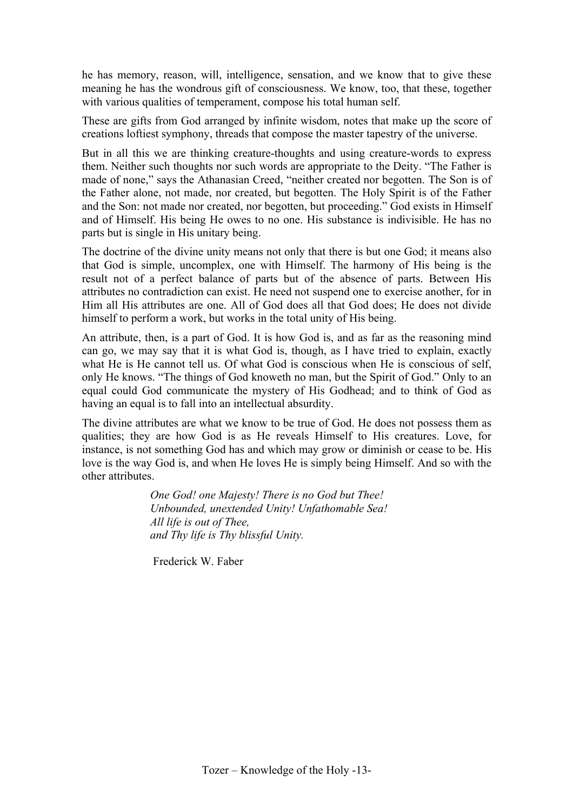he has memory, reason, will, intelligence, sensation, and we know that to give these meaning he has the wondrous gift of consciousness. We know, too, that these, together with various qualities of temperament, compose his total human self.

These are gifts from God arranged by infinite wisdom, notes that make up the score of creations loftiest symphony, threads that compose the master tapestry of the universe.

But in all this we are thinking creature-thoughts and using creature-words to express them. Neither such thoughts nor such words are appropriate to the Deity. "The Father is made of none," says the Athanasian Creed, "neither created nor begotten. The Son is of the Father alone, not made, nor created, but begotten. The Holy Spirit is of the Father and the Son: not made nor created, nor begotten, but proceeding." God exists in Himself and of Himself. His being He owes to no one. His substance is indivisible. He has no parts but is single in His unitary being.

The doctrine of the divine unity means not only that there is but one God; it means also that God is simple, uncomplex, one with Himself. The harmony of His being is the result not of a perfect balance of parts but of the absence of parts. Between His attributes no contradiction can exist. He need not suspend one to exercise another, for in Him all His attributes are one. All of God does all that God does; He does not divide himself to perform a work, but works in the total unity of His being.

An attribute, then, is a part of God. It is how God is, and as far as the reasoning mind can go, we may say that it is what God is, though, as I have tried to explain, exactly what He is He cannot tell us. Of what God is conscious when He is conscious of self. only He knows. "The things of God knoweth no man, but the Spirit of God." Only to an equal could God communicate the mystery of His Godhead; and to think of God as having an equal is to fall into an intellectual absurdity.

The divine attributes are what we know to be true of God. He does not possess them as qualities; they are how God is as He reveals Himself to His creatures. Love, for instance, is not something God has and which may grow or diminish or cease to be. His love is the way God is, and when He loves He is simply being Himself. And so with the other attributes.

> *One God! one Majesty! There is no God but Thee! Unbounded, unextended Unity! Unfathomable Sea! All life is out of Thee, and Thy life is Thy blissful Unity.*

Frederick W. Faber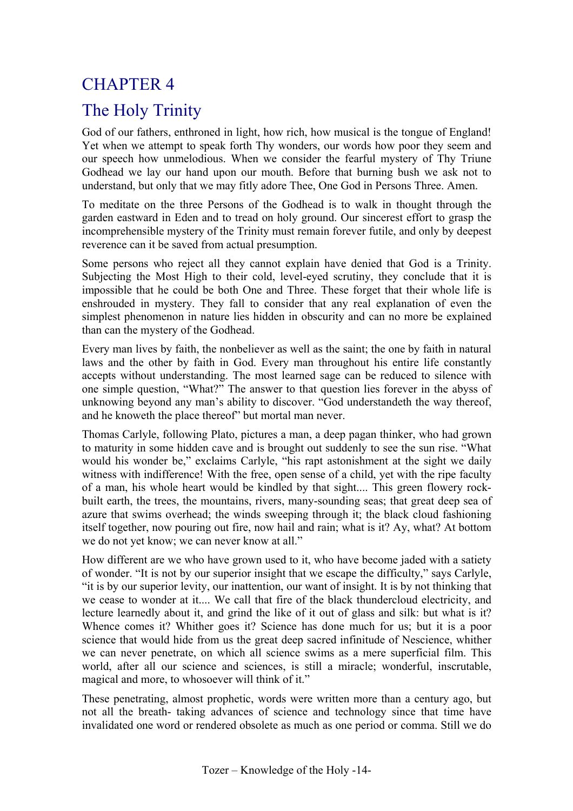#### The Holy Trinity

God of our fathers, enthroned in light, how rich, how musical is the tongue of England! Yet when we attempt to speak forth Thy wonders, our words how poor they seem and our speech how unmelodious. When we consider the fearful mystery of Thy Triune Godhead we lay our hand upon our mouth. Before that burning bush we ask not to understand, but only that we may fitly adore Thee, One God in Persons Three. Amen.

To meditate on the three Persons of the Godhead is to walk in thought through the garden eastward in Eden and to tread on holy ground. Our sincerest effort to grasp the incomprehensible mystery of the Trinity must remain forever futile, and only by deepest reverence can it be saved from actual presumption.

Some persons who reject all they cannot explain have denied that God is a Trinity. Subjecting the Most High to their cold, level-eyed scrutiny, they conclude that it is impossible that he could be both One and Three. These forget that their whole life is enshrouded in mystery. They fall to consider that any real explanation of even the simplest phenomenon in nature lies hidden in obscurity and can no more be explained than can the mystery of the Godhead.

Every man lives by faith, the nonbeliever as well as the saint; the one by faith in natural laws and the other by faith in God. Every man throughout his entire life constantly accepts without understanding. The most learned sage can be reduced to silence with one simple question, "What?" The answer to that question lies forever in the abyss of unknowing beyond any man's ability to discover. "God understandeth the way thereof, and he knoweth the place thereof" but mortal man never.

Thomas Carlyle, following Plato, pictures a man, a deep pagan thinker, who had grown to maturity in some hidden cave and is brought out suddenly to see the sun rise. "What would his wonder be," exclaims Carlyle, "his rapt astonishment at the sight we daily witness with indifference! With the free, open sense of a child, yet with the ripe faculty of a man, his whole heart would be kindled by that sight.... This green flowery rockbuilt earth, the trees, the mountains, rivers, many-sounding seas; that great deep sea of azure that swims overhead; the winds sweeping through it; the black cloud fashioning itself together, now pouring out fire, now hail and rain; what is it? Ay, what? At bottom we do not yet know; we can never know at all."

How different are we who have grown used to it, who have become jaded with a satiety of wonder. "It is not by our superior insight that we escape the difficulty," says Carlyle, ^it is by our superior levity, our inattention, our want of insight. It is by not thinking that we cease to wonder at it.... We call that fire of the black thundercloud electricity, and lecture learnedly about it, and grind the like of it out of glass and silk: but what is it? Whence comes it? Whither goes it? Science has done much for us; but it is a poor science that would hide from us the great deep sacred infinitude of Nescience, whither we can never penetrate, on which all science swims as a mere superficial film. This world, after all our science and sciences, is still a miracle; wonderful, inscrutable, magical and more, to whosoever will think of it."

<span id="page-13-0"></span>These penetrating, almost prophetic, words were written more than a century ago, but not all the breath- taking advances of science and technology since that time have invalidated one word or rendered obsolete as much as one period or comma. Still we do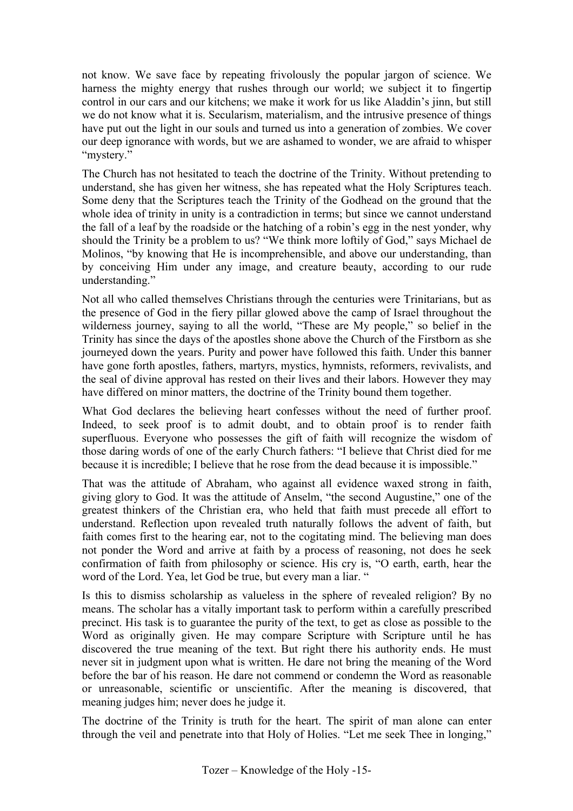not know. We save face by repeating frivolously the popular jargon of science. We harness the mighty energy that rushes through our world; we subject it to fingertip control in our cars and our kitchens; we make it work for us like Aladdin's jinn, but still we do not know what it is. Secularism, materialism, and the intrusive presence of things have put out the light in our souls and turned us into a generation of zombies. We cover our deep ignorance with words, but we are ashamed to wonder, we are afraid to whisper "mystery."

The Church has not hesitated to teach the doctrine of the Trinity. Without pretending to understand, she has given her witness, she has repeated what the Holy Scriptures teach. Some deny that the Scriptures teach the Trinity of the Godhead on the ground that the whole idea of trinity in unity is a contradiction in terms; but since we cannot understand the fall of a leaf by the roadside or the hatching of a robin's egg in the nest yonder, why should the Trinity be a problem to us? "We think more loftily of God," says Michael de Molinos, "by knowing that He is incomprehensible, and above our understanding, than by conceiving Him under any image, and creature beauty, according to our rude understanding."

Not all who called themselves Christians through the centuries were Trinitarians, but as the presence of God in the fiery pillar glowed above the camp of Israel throughout the wilderness journey, saying to all the world, "These are My people," so belief in the Trinity has since the days of the apostles shone above the Church of the Firstborn as she journeyed down the years. Purity and power have followed this faith. Under this banner have gone forth apostles, fathers, martyrs, mystics, hymnists, reformers, revivalists, and the seal of divine approval has rested on their lives and their labors. However they may have differed on minor matters, the doctrine of the Trinity bound them together.

What God declares the believing heart confesses without the need of further proof. Indeed, to seek proof is to admit doubt, and to obtain proof is to render faith superfluous. Everyone who possesses the gift of faith will recognize the wisdom of those daring words of one of the early Church fathers: "I believe that Christ died for me because it is incredible; I believe that he rose from the dead because it is impossible."

That was the attitude of Abraham, who against all evidence waxed strong in faith, giving glory to God. It was the attitude of Anselm, "the second Augustine," one of the greatest thinkers of the Christian era, who held that faith must precede all effort to understand. Reflection upon revealed truth naturally follows the advent of faith, but faith comes first to the hearing ear, not to the cogitating mind. The believing man does not ponder the Word and arrive at faith by a process of reasoning, not does he seek confirmation of faith from philosophy or science. His cry is, "O earth, earth, hear the word of the Lord. Yea, let God be true, but every man a liar. "

Is this to dismiss scholarship as valueless in the sphere of revealed religion? By no means. The scholar has a vitally important task to perform within a carefully prescribed precinct. His task is to guarantee the purity of the text, to get as close as possible to the Word as originally given. He may compare Scripture with Scripture until he has discovered the true meaning of the text. But right there his authority ends. He must never sit in judgment upon what is written. He dare not bring the meaning of the Word before the bar of his reason. He dare not commend or condemn the Word as reasonable or unreasonable, scientific or unscientific. After the meaning is discovered, that meaning judges him; never does he judge it.

The doctrine of the Trinity is truth for the heart. The spirit of man alone can enter through the veil and penetrate into that Holy of Holies. "Let me seek Thee in longing,"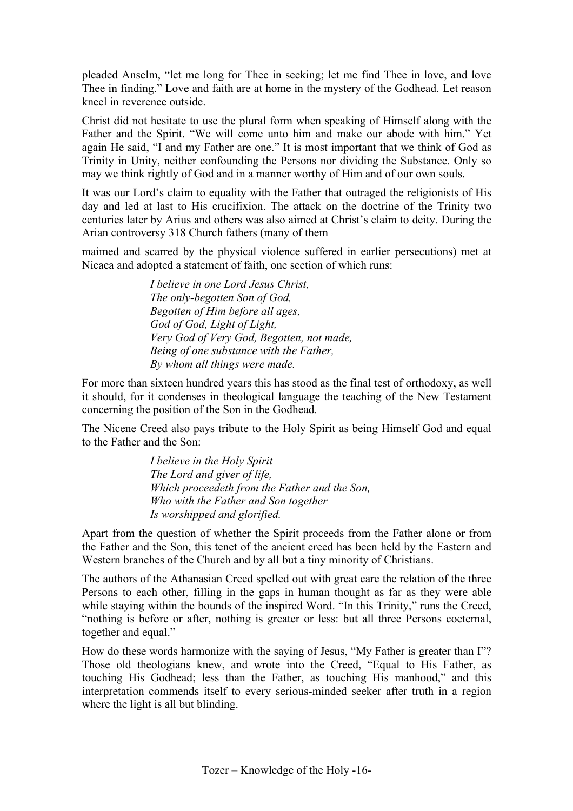pleaded Anselm, "let me long for Thee in seeking; let me find Thee in love, and love Thee in finding." Love and faith are at home in the mystery of the Godhead. Let reason kneel in reverence outside.

Christ did not hesitate to use the plural form when speaking of Himself along with the Father and the Spirit. "We will come unto him and make our abode with him." Yet again He said, "I and my Father are one." It is most important that we think of God as Trinity in Unity, neither confounding the Persons nor dividing the Substance. Only so may we think rightly of God and in a manner worthy of Him and of our own souls.

It was our Lord's claim to equality with the Father that outraged the religionists of His day and led at last to His crucifixion. The attack on the doctrine of the Trinity two centuries later by Arius and others was also aimed at Christ's claim to deity. During the Arian controversy 318 Church fathers (many of them

maimed and scarred by the physical violence suffered in earlier persecutions) met at Nicaea and adopted a statement of faith, one section of which runs:

> *I believe in one Lord Jesus Christ, The only-begotten Son of God, Begotten of Him before all ages, God of God, Light of Light, Very God of Very God, Begotten, not made, Being of one substance with the Father, By whom all things were made.*

For more than sixteen hundred years this has stood as the final test of orthodoxy, as well it should, for it condenses in theological language the teaching of the New Testament concerning the position of the Son in the Godhead.

The Nicene Creed also pays tribute to the Holy Spirit as being Himself God and equal to the Father and the Son:

> *I believe in the Holy Spirit The Lord and giver of life, Which proceedeth from the Father and the Son, Who with the Father and Son together Is worshipped and glorified.*

Apart from the question of whether the Spirit proceeds from the Father alone or from the Father and the Son, this tenet of the ancient creed has been held by the Eastern and Western branches of the Church and by all but a tiny minority of Christians.

The authors of the Athanasian Creed spelled out with great care the relation of the three Persons to each other, filling in the gaps in human thought as far as they were able while staying within the bounds of the inspired Word. "In this Trinity," runs the Creed, ^nothing is before or after, nothing is greater or less: but all three Persons coeternal, together and equal."

How do these words harmonize with the saying of Jesus, "My Father is greater than I"? Those old theologians knew, and wrote into the Creed, "Equal to His Father, as touching His Godhead; less than the Father, as touching His manhood," and this interpretation commends itself to every serious-minded seeker after truth in a region where the light is all but blinding.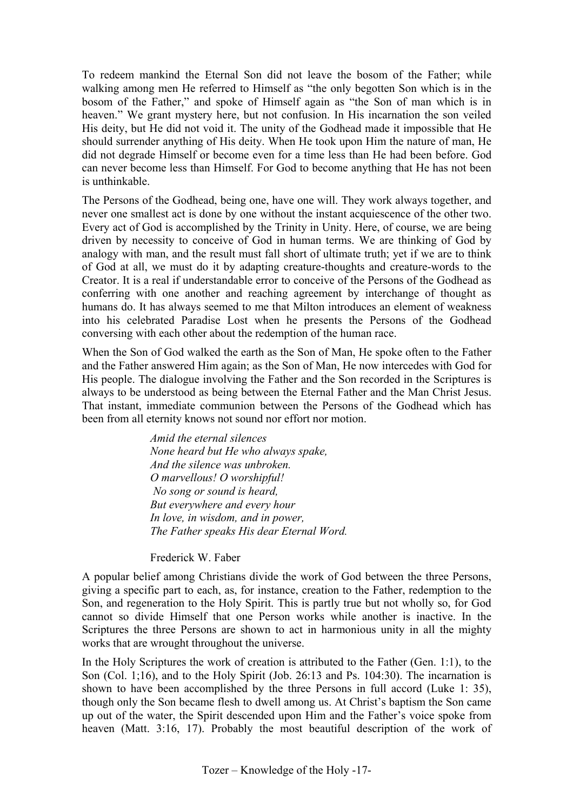To redeem mankind the Eternal Son did not leave the bosom of the Father; while walking among men He referred to Himself as "the only begotten Son which is in the bosom of the Father," and spoke of Himself again as "the Son of man which is in heaven." We grant mystery here, but not confusion. In His incarnation the son veiled His deity, but He did not void it. The unity of the Godhead made it impossible that He should surrender anything of His deity. When He took upon Him the nature of man, He did not degrade Himself or become even for a time less than He had been before. God can never become less than Himself. For God to become anything that He has not been is unthinkable.

The Persons of the Godhead, being one, have one will. They work always together, and never one smallest act is done by one without the instant acquiescence of the other two. Every act of God is accomplished by the Trinity in Unity. Here, of course, we are being driven by necessity to conceive of God in human terms. We are thinking of God by analogy with man, and the result must fall short of ultimate truth; yet if we are to think of God at all, we must do it by adapting creature-thoughts and creature-words to the Creator. It is a real if understandable error to conceive of the Persons of the Godhead as conferring with one another and reaching agreement by interchange of thought as humans do. It has always seemed to me that Milton introduces an element of weakness into his celebrated Paradise Lost when he presents the Persons of the Godhead conversing with each other about the redemption of the human race.

When the Son of God walked the earth as the Son of Man, He spoke often to the Father and the Father answered Him again; as the Son of Man, He now intercedes with God for His people. The dialogue involving the Father and the Son recorded in the Scriptures is always to be understood as being between the Eternal Father and the Man Christ Jesus. That instant, immediate communion between the Persons of the Godhead which has been from all eternity knows not sound nor effort nor motion.

> *Amid the eternal silences None heard but He who always spake, And the silence was unbroken. O marvellous! O worshipful! No song or sound is heard, But everywhere and every hour In love, in wisdom, and in power, The Father speaks His dear Eternal Word.*

Frederick W. Faber

A popular belief among Christians divide the work of God between the three Persons, giving a specific part to each, as, for instance, creation to the Father, redemption to the Son, and regeneration to the Holy Spirit. This is partly true but not wholly so, for God cannot so divide Himself that one Person works while another is inactive. In the Scriptures the three Persons are shown to act in harmonious unity in all the mighty works that are wrought throughout the universe.

In the Holy Scriptures the work of creation is attributed to the Father (Gen. 1:1), to the Son (Col. 1;16), and to the Holy Spirit (Job. 26:13 and Ps. 104:30). The incarnation is shown to have been accomplished by the three Persons in full accord (Luke 1: 35), though only the Son became flesh to dwell among us. At Christ's baptism the Son came up out of the water, the Spirit descended upon Him and the Father's voice spoke from heaven (Matt. 3:16, 17). Probably the most beautiful description of the work of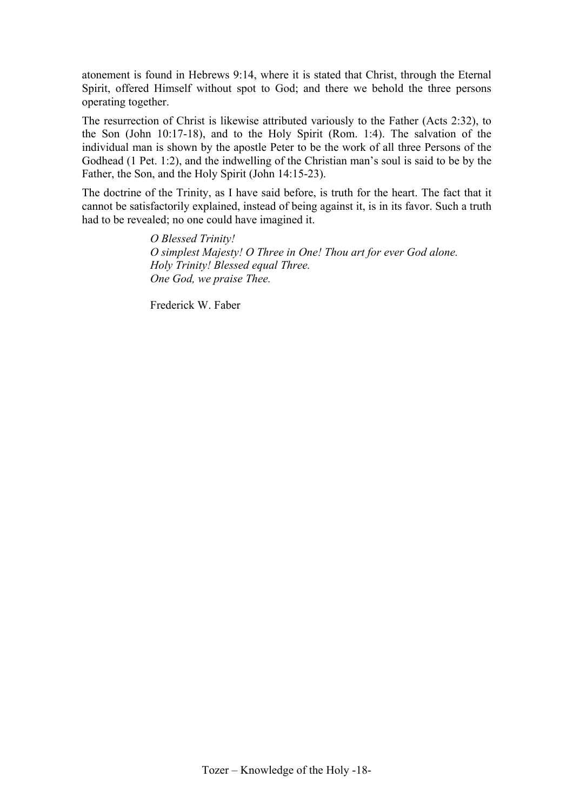atonement is found in Hebrews 9:14, where it is stated that Christ, through the Eternal Spirit, offered Himself without spot to God; and there we behold the three persons operating together.

The resurrection of Christ is likewise attributed variously to the Father (Acts 2:32), to the Son (John 10:17-18), and to the Holy Spirit (Rom. 1:4). The salvation of the individual man is shown by the apostle Peter to be the work of all three Persons of the Godhead  $(1$  Pet. 1:2), and the indwelling of the Christian man's soul is said to be by the Father, the Son, and the Holy Spirit (John 14:15-23).

The doctrine of the Trinity, as I have said before, is truth for the heart. The fact that it cannot be satisfactorily explained, instead of being against it, is in its favor. Such a truth had to be revealed; no one could have imagined it.

> *O Blessed Trinity! O simplest Majesty! O Three in One! Thou art for ever God alone. Holy Trinity! Blessed equal Three. One God, we praise Thee.*

Frederick W. Faber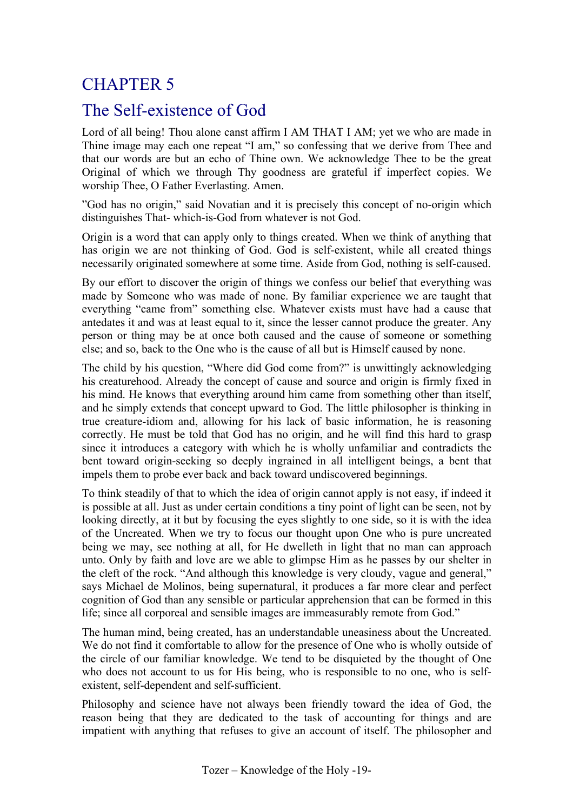#### The Self-existence of God

Lord of all being! Thou alone canst affirm I AM THAT I AM; vet we who are made in Thine image may each one repeat "I am," so confessing that we derive from Thee and that our words are but an echo of Thine own. We acknowledge Thee to be the great Original of which we through Thy goodness are grateful if imperfect copies. We worship Thee, O Father Everlasting. Amen.

"God has no origin," said Novatian and it is precisely this concept of no-origin which distinguishes That- which-is-God from whatever is not God.

Origin is a word that can apply only to things created. When we think of anything that has origin we are not thinking of God. God is self-existent, while all created things necessarily originated somewhere at some time. Aside from God, nothing is self-caused.

By our effort to discover the origin of things we confess our belief that everything was made by Someone who was made of none. By familiar experience we are taught that everything "came from" something else. Whatever exists must have had a cause that antedates it and was at least equal to it, since the lesser cannot produce the greater. Any person or thing may be at once both caused and the cause of someone or something else; and so, back to the One who is the cause of all but is Himself caused by none.

The child by his question, "Where did God come from?" is unwittingly acknowledging his creaturehood. Already the concept of cause and source and origin is firmly fixed in his mind. He knows that everything around him came from something other than itself, and he simply extends that concept upward to God. The little philosopher is thinking in true creature-idiom and, allowing for his lack of basic information, he is reasoning correctly. He must be told that God has no origin, and he will find this hard to grasp since it introduces a category with which he is wholly unfamiliar and contradicts the bent toward origin-seeking so deeply ingrained in all intelligent beings, a bent that impels them to probe ever back and back toward undiscovered beginnings.

To think steadily of that to which the idea of origin cannot apply is not easy, if indeed it is possible at all. Just as under certain conditions a tiny point of light can be seen, not by looking directly, at it but by focusing the eyes slightly to one side, so it is with the idea of the Uncreated. When we try to focus our thought upon One who is pure uncreated being we may, see nothing at all, for He dwelleth in light that no man can approach unto. Only by faith and love are we able to glimpse Him as he passes by our shelter in the cleft of the rock. "And although this knowledge is very cloudy, vague and general," says Michael de Molinos, being supernatural, it produces a far more clear and perfect cognition of God than any sensible or particular apprehension that can be formed in this life; since all corporeal and sensible images are immeasurably remote from God."

The human mind, being created, has an understandable uneasiness about the Uncreated. We do not find it comfortable to allow for the presence of One who is wholly outside of the circle of our familiar knowledge. We tend to be disquieted by the thought of One who does not account to us for His being, who is responsible to no one, who is selfexistent, self-dependent and self-sufficient.

<span id="page-18-0"></span>Philosophy and science have not always been friendly toward the idea of God, the reason being that they are dedicated to the task of accounting for things and are impatient with anything that refuses to give an account of itself. The philosopher and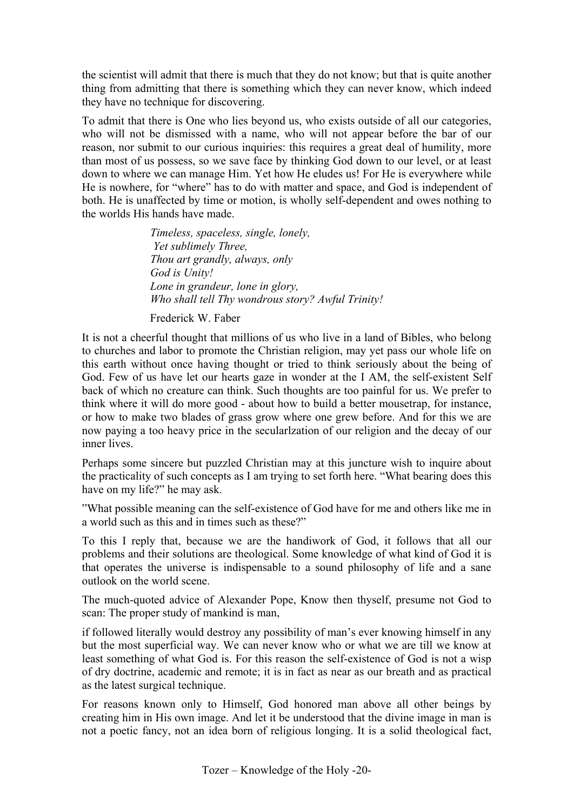the scientist will admit that there is much that they do not know; but that is quite another thing from admitting that there is something which they can never know, which indeed they have no technique for discovering.

To admit that there is One who lies beyond us, who exists outside of all our categories, who will not be dismissed with a name, who will not appear before the bar of our reason, nor submit to our curious inquiries: this requires a great deal of humility, more than most of us possess, so we save face by thinking God down to our level, or at least down to where we can manage Him. Yet how He eludes us! For He is everywhere while He is nowhere, for "where" has to do with matter and space, and God is independent of both. He is unaffected by time or motion, is wholly self-dependent and owes nothing to the worlds His hands have made.

> *Timeless, spaceless, single, lonely, Yet sublimely Three, Thou art grandly, always, only God is Unity! Lone in grandeur, lone in glory, Who shall tell Thy wondrous story? Awful Trinity!*

Frederick W. Faber

It is not a cheerful thought that millions of us who live in a land of Bibles, who belong to churches and labor to promote the Christian religion, may yet pass our whole life on this earth without once having thought or tried to think seriously about the being of God. Few of us have let our hearts gaze in wonder at the I AM, the self-existent Self back of which no creature can think. Such thoughts are too painful for us. We prefer to think where it will do more good - about how to build a better mousetrap, for instance, or how to make two blades of grass grow where one grew before. And for this we are now paying a too heavy price in the secularlzation of our religion and the decay of our inner lives.

Perhaps some sincere but puzzled Christian may at this juncture wish to inquire about the practicality of such concepts as I am trying to set forth here. "What bearing does this have on my life?" he may ask.

\_What possible meaning can the self-existence of God have for me and others like me in a world such as this and in times such as these?"

To this I reply that, because we are the handiwork of God, it follows that all our problems and their solutions are theological. Some knowledge of what kind of God it is that operates the universe is indispensable to a sound philosophy of life and a sane outlook on the world scene.

The much-quoted advice of Alexander Pope, Know then thyself, presume not God to scan: The proper study of mankind is man,

if followed literally would destroy any possibility of man's ever knowing himself in any but the most superficial way. We can never know who or what we are till we know at least something of what God is. For this reason the self-existence of God is not a wisp of dry doctrine, academic and remote; it is in fact as near as our breath and as practical as the latest surgical technique.

For reasons known only to Himself, God honored man above all other beings by creating him in His own image. And let it be understood that the divine image in man is not a poetic fancy, not an idea born of religious longing. It is a solid theological fact,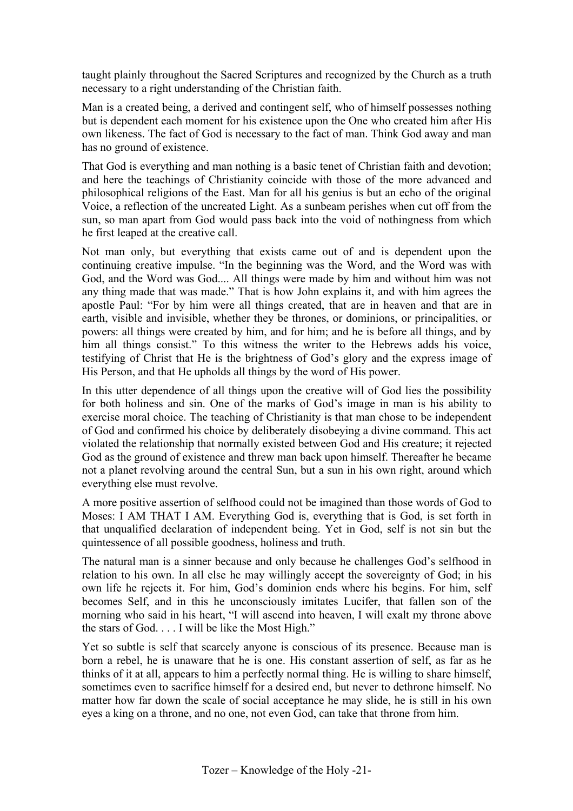taught plainly throughout the Sacred Scriptures and recognized by the Church as a truth necessary to a right understanding of the Christian faith.

Man is a created being, a derived and contingent self, who of himself possesses nothing but is dependent each moment for his existence upon the One who created him after His own likeness. The fact of God is necessary to the fact of man. Think God away and man has no ground of existence.

That God is everything and man nothing is a basic tenet of Christian faith and devotion; and here the teachings of Christianity coincide with those of the more advanced and philosophical religions of the East. Man for all his genius is but an echo of the original Voice, a reflection of the uncreated Light. As a sunbeam perishes when cut off from the sun, so man apart from God would pass back into the void of nothingness from which he first leaped at the creative call.

Not man only, but everything that exists came out of and is dependent upon the continuing creative impulse. "In the beginning was the Word, and the Word was with God, and the Word was God.... All things were made by him and without him was not any thing made that was made." That is how John explains it, and with him agrees the apostle Paul: ^For by him were all things created, that are in heaven and that are in earth, visible and invisible, whether they be thrones, or dominions, or principalities, or powers: all things were created by him, and for him; and he is before all things, and by him all things consist." To this witness the writer to the Hebrews adds his voice, testifying of Christ that He is the brightness of God's glory and the express image of His Person, and that He upholds all things by the word of His power.

In this utter dependence of all things upon the creative will of God lies the possibility for both holiness and sin. One of the marks of God's image in man is his ability to exercise moral choice. The teaching of Christianity is that man chose to be independent of God and confirmed his choice by deliberately disobeying a divine command. This act violated the relationship that normally existed between God and His creature; it rejected God as the ground of existence and threw man back upon himself. Thereafter he became not a planet revolving around the central Sun, but a sun in his own right, around which everything else must revolve.

A more positive assertion of selfhood could not be imagined than those words of God to Moses: I AM THAT I AM. Everything God is, everything that is God, is set forth in that unqualified declaration of independent being. Yet in God, self is not sin but the quintessence of all possible goodness, holiness and truth.

The natural man is a sinner because and only because he challenges God's selfhood in relation to his own. In all else he may willingly accept the sovereignty of God; in his own life he rejects it. For him, God's dominion ends where his begins. For him, self becomes Self, and in this he unconsciously imitates Lucifer, that fallen son of the morning who said in his heart, "I will ascend into heaven, I will exalt my throne above the stars of God.  $\ldots$  I will be like the Most High."

Yet so subtle is self that scarcely anyone is conscious of its presence. Because man is born a rebel, he is unaware that he is one. His constant assertion of self, as far as he thinks of it at all, appears to him a perfectly normal thing. He is willing to share himself, sometimes even to sacrifice himself for a desired end, but never to dethrone himself. No matter how far down the scale of social acceptance he may slide, he is still in his own eyes a king on a throne, and no one, not even God, can take that throne from him.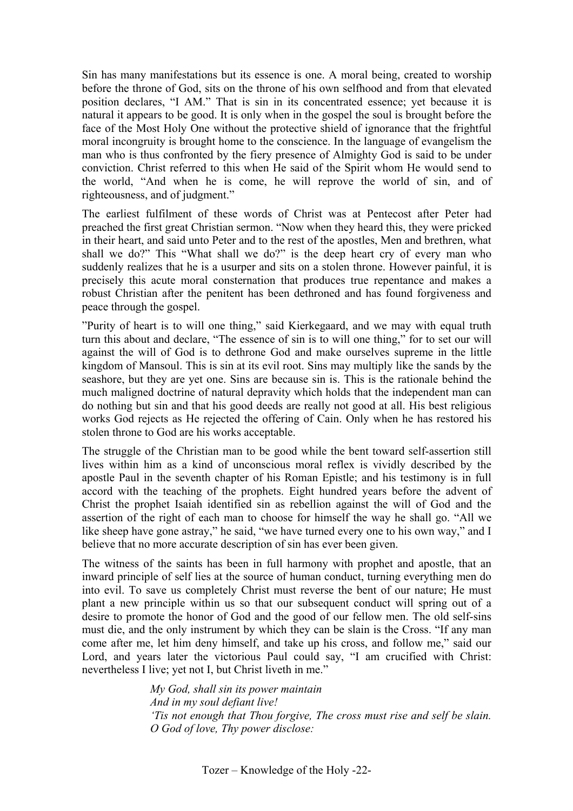Sin has many manifestations but its essence is one. A moral being, created to worship before the throne of God, sits on the throne of his own selfhood and from that elevated position declares, "I AM." That is sin in its concentrated essence; yet because it is natural it appears to be good. It is only when in the gospel the soul is brought before the face of the Most Holy One without the protective shield of ignorance that the frightful moral incongruity is brought home to the conscience. In the language of evangelism the man who is thus confronted by the fiery presence of Almighty God is said to be under conviction. Christ referred to this when He said of the Spirit whom He would send to the world, "And when he is come, he will reprove the world of sin, and of righteousness, and of judgment."

The earliest fulfilment of these words of Christ was at Pentecost after Peter had preached the first great Christian sermon. "Now when they heard this, they were pricked in their heart, and said unto Peter and to the rest of the apostles, Men and brethren, what shall we do?" This "What shall we do?" is the deep heart cry of every man who suddenly realizes that he is a usurper and sits on a stolen throne. However painful, it is precisely this acute moral consternation that produces true repentance and makes a robust Christian after the penitent has been dethroned and has found forgiveness and peace through the gospel.

"Purity of heart is to will one thing," said Kierkegaard, and we may with equal truth turn this about and declare, "The essence of sin is to will one thing," for to set our will against the will of God is to dethrone God and make ourselves supreme in the little kingdom of Mansoul. This is sin at its evil root. Sins may multiply like the sands by the seashore, but they are yet one. Sins are because sin is. This is the rationale behind the much maligned doctrine of natural depravity which holds that the independent man can do nothing but sin and that his good deeds are really not good at all. His best religious works God rejects as He rejected the offering of Cain. Only when he has restored his stolen throne to God are his works acceptable.

The struggle of the Christian man to be good while the bent toward self-assertion still lives within him as a kind of unconscious moral reflex is vividly described by the apostle Paul in the seventh chapter of his Roman Epistle; and his testimony is in full accord with the teaching of the prophets. Eight hundred years before the advent of Christ the prophet Isaiah identified sin as rebellion against the will of God and the assertion of the right of each man to choose for himself the way he shall go. "All we like sheep have gone astray," he said, "we have turned every one to his own way," and I believe that no more accurate description of sin has ever been given.

The witness of the saints has been in full harmony with prophet and apostle, that an inward principle of self lies at the source of human conduct, turning everything men do into evil. To save us completely Christ must reverse the bent of our nature; He must plant a new principle within us so that our subsequent conduct will spring out of a desire to promote the honor of God and the good of our fellow men. The old self-sins must die, and the only instrument by which they can be slain is the Cross. "If any man come after me, let him deny himself, and take up his cross, and follow me," said our Lord, and years later the victorious Paul could say, "I am crucified with Christ: nevertheless I live; yet not I, but Christ liveth in me."

> *My God, shall sin its power maintain And in my soul defiant live! Tis not enough that Thou forgive, The cross must rise and self be slain. O God of love, Thy power disclose:*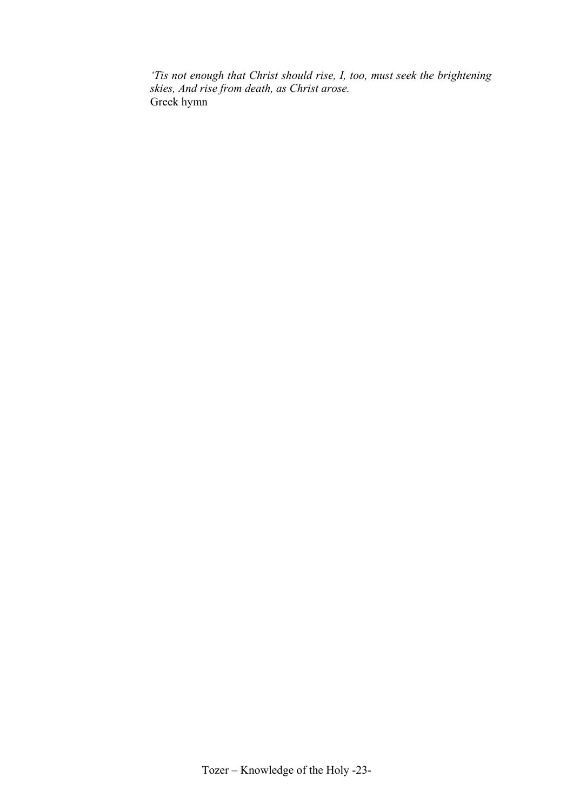*'Tis not enough that Christ should rise, I, too, must seek the brightening skies, And rise from death, as Christ arose.* Greek hymn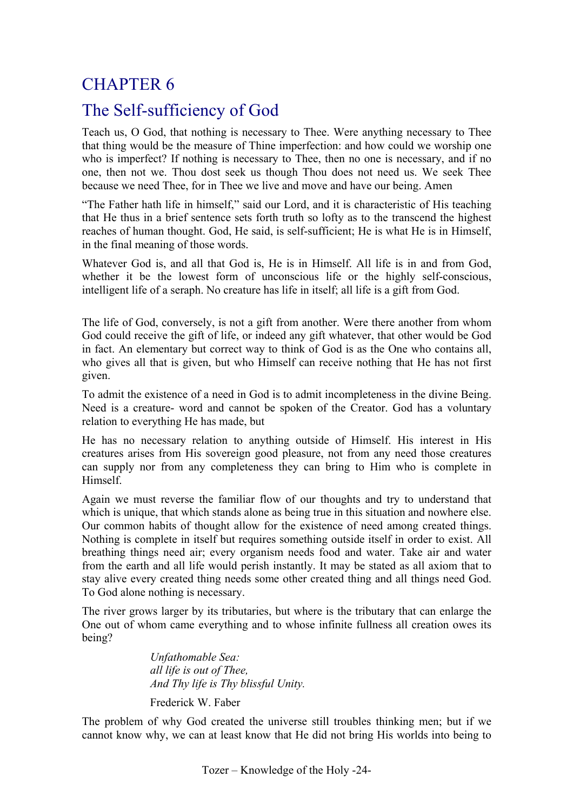#### The Self-sufficiency of God

Teach us, O God, that nothing is necessary to Thee. Were anything necessary to Thee that thing would be the measure of Thine imperfection: and how could we worship one who is imperfect? If nothing is necessary to Thee, then no one is necessary, and if no one, then not we. Thou dost seek us though Thou does not need us. We seek Thee because we need Thee, for in Thee we live and move and have our being. Amen

"The Father hath life in himself," said our Lord, and it is characteristic of His teaching that He thus in a brief sentence sets forth truth so lofty as to the transcend the highest reaches of human thought. God, He said, is self-sufficient; He is what He is in Himself, in the final meaning of those words.

Whatever God is, and all that God is, He is in Himself. All life is in and from God, whether it be the lowest form of unconscious life or the highly self-conscious, intelligent life of a seraph. No creature has life in itself; all life is a gift from God.

The life of God, conversely, is not a gift from another. Were there another from whom God could receive the gift of life, or indeed any gift whatever, that other would be God in fact. An elementary but correct way to think of God is as the One who contains all, who gives all that is given, but who Himself can receive nothing that He has not first given.

To admit the existence of a need in God is to admit incompleteness in the divine Being. Need is a creature- word and cannot be spoken of the Creator. God has a voluntary relation to everything He has made, but

He has no necessary relation to anything outside of Himself. His interest in His creatures arises from His sovereign good pleasure, not from any need those creatures can supply nor from any completeness they can bring to Him who is complete in Himself.

Again we must reverse the familiar flow of our thoughts and try to understand that which is unique, that which stands alone as being true in this situation and nowhere else. Our common habits of thought allow for the existence of need among created things. Nothing is complete in itself but requires something outside itself in order to exist. All breathing things need air; every organism needs food and water. Take air and water from the earth and all life would perish instantly. It may be stated as all axiom that to stay alive every created thing needs some other created thing and all things need God. To God alone nothing is necessary.

The river grows larger by its tributaries, but where is the tributary that can enlarge the One out of whom came everything and to whose infinite fullness all creation owes its being?

> *Unfathomable Sea: all life is out of Thee, And Thy life is Thy blissful Unity.*

Frederick W. Faber

<span id="page-23-0"></span>The problem of why God created the universe still troubles thinking men; but if we cannot know why, we can at least know that He did not bring His worlds into being to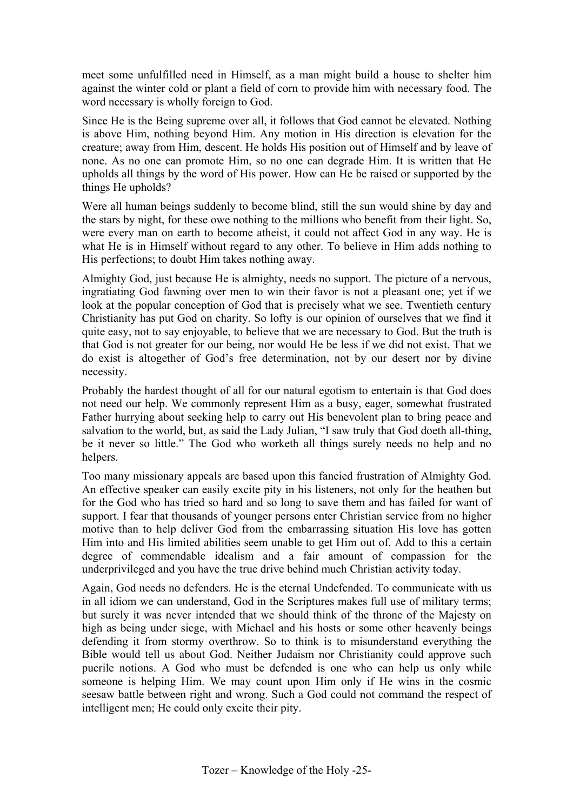meet some unfulfilled need in Himself, as a man might build a house to shelter him against the winter cold or plant a field of corn to provide him with necessary food. The word necessary is wholly foreign to God.

Since He is the Being supreme over all, it follows that God cannot be elevated. Nothing is above Him, nothing beyond Him. Any motion in His direction is elevation for the creature; away from Him, descent. He holds His position out of Himself and by leave of none. As no one can promote Him, so no one can degrade Him. It is written that He upholds all things by the word of His power. How can He be raised or supported by the things He upholds?

Were all human beings suddenly to become blind, still the sun would shine by day and the stars by night, for these owe nothing to the millions who benefit from their light. So, were every man on earth to become atheist, it could not affect God in any way. He is what He is in Himself without regard to any other. To believe in Him adds nothing to His perfections; to doubt Him takes nothing away.

Almighty God, just because He is almighty, needs no support. The picture of a nervous, ingratiating God fawning over men to win their favor is not a pleasant one; yet if we look at the popular conception of God that is precisely what we see. Twentieth century Christianity has put God on charity. So lofty is our opinion of ourselves that we find it quite easy, not to say enjoyable, to believe that we are necessary to God. But the truth is that God is not greater for our being, nor would He be less if we did not exist. That we do exist is altogether of God's free determination, not by our desert nor by divine necessity.

Probably the hardest thought of all for our natural egotism to entertain is that God does not need our help. We commonly represent Him as a busy, eager, somewhat frustrated Father hurrying about seeking help to carry out His benevolent plan to bring peace and salvation to the world, but, as said the Lady Julian, "I saw truly that God doeth all-thing, be it never so little." The God who worketh all things surely needs no help and no helpers.

Too many missionary appeals are based upon this fancied frustration of Almighty God. An effective speaker can easily excite pity in his listeners, not only for the heathen but for the God who has tried so hard and so long to save them and has failed for want of support. I fear that thousands of younger persons enter Christian service from no higher motive than to help deliver God from the embarrassing situation His love has gotten Him into and His limited abilities seem unable to get Him out of. Add to this a certain degree of commendable idealism and a fair amount of compassion for the underprivileged and you have the true drive behind much Christian activity today.

Again, God needs no defenders. He is the eternal Undefended. To communicate with us in all idiom we can understand, God in the Scriptures makes full use of military terms; but surely it was never intended that we should think of the throne of the Majesty on high as being under siege, with Michael and his hosts or some other heavenly beings defending it from stormy overthrow. So to think is to misunderstand everything the Bible would tell us about God. Neither Judaism nor Christianity could approve such puerile notions. A God who must be defended is one who can help us only while someone is helping Him. We may count upon Him only if He wins in the cosmic seesaw battle between right and wrong. Such a God could not command the respect of intelligent men; He could only excite their pity.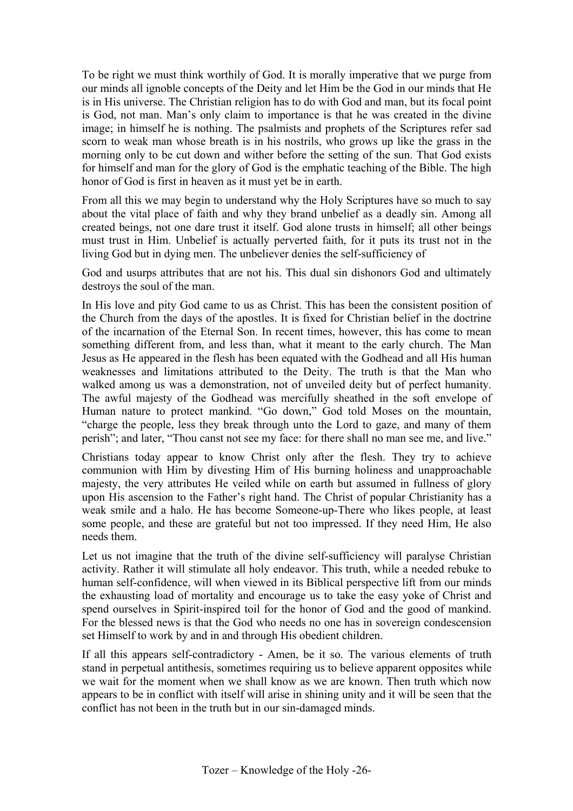To be right we must think worthily of God. It is morally imperative that we purge from our minds all ignoble concepts of the Deity and let Him be the God in our minds that He is in His universe. The Christian religion has to do with God and man, but its focal point is God, not man. Man's only claim to importance is that he was created in the divine image; in himself he is nothing. The psalmists and prophets of the Scriptures refer sad scorn to weak man whose breath is in his nostrils, who grows up like the grass in the morning only to be cut down and wither before the setting of the sun. That God exists for himself and man for the glory of God is the emphatic teaching of the Bible. The high honor of God is first in heaven as it must yet be in earth.

From all this we may begin to understand why the Holy Scriptures have so much to say about the vital place of faith and why they brand unbelief as a deadly sin. Among all created beings, not one dare trust it itself. God alone trusts in himself; all other beings must trust in Him. Unbelief is actually perverted faith, for it puts its trust not in the living God but in dying men. The unbeliever denies the self-sufficiency of

God and usurps attributes that are not his. This dual sin dishonors God and ultimately destroys the soul of the man.

In His love and pity God came to us as Christ. This has been the consistent position of the Church from the days of the apostles. It is fixed for Christian belief in the doctrine of the incarnation of the Eternal Son. In recent times, however, this has come to mean something different from, and less than, what it meant to the early church. The Man Jesus as He appeared in the flesh has been equated with the Godhead and all His human weaknesses and limitations attributed to the Deity. The truth is that the Man who walked among us was a demonstration, not of unveiled deity but of perfect humanity. The awful majesty of the Godhead was mercifully sheathed in the soft envelope of Human nature to protect mankind. "Go down," God told Moses on the mountain, ^charge the people, less they break through unto the Lord to gaze, and many of them perish"; and later, "Thou canst not see my face: for there shall no man see me, and live."

Christians today appear to know Christ only after the flesh. They try to achieve communion with Him by divesting Him of His burning holiness and unapproachable majesty, the very attributes He veiled while on earth but assumed in fullness of glory upon His ascension to the Father's right hand. The Christ of popular Christianity has a weak smile and a halo. He has become Someone-up-There who likes people, at least some people, and these are grateful but not too impressed. If they need Him, He also needs them.

Let us not imagine that the truth of the divine self-sufficiency will paralyse Christian activity. Rather it will stimulate all holy endeavor. This truth, while a needed rebuke to human self-confidence, will when viewed in its Biblical perspective lift from our minds the exhausting load of mortality and encourage us to take the easy yoke of Christ and spend ourselves in Spirit-inspired toil for the honor of God and the good of mankind. For the blessed news is that the God who needs no one has in sovereign condescension set Himself to work by and in and through His obedient children.

If all this appears self-contradictory - Amen, be it so. The various elements of truth stand in perpetual antithesis, sometimes requiring us to believe apparent opposites while we wait for the moment when we shall know as we are known. Then truth which now appears to be in conflict with itself will arise in shining unity and it will be seen that the conflict has not been in the truth but in our sin-damaged minds.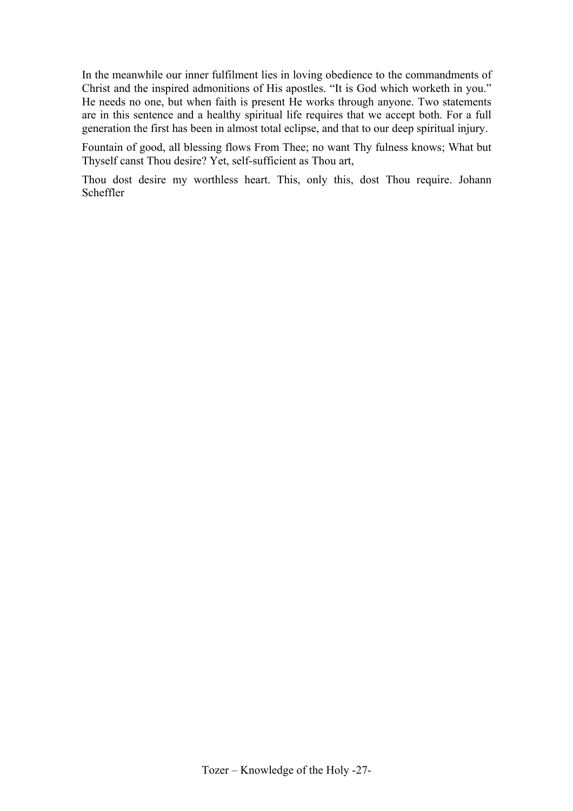In the meanwhile our inner fulfilment lies in loving obedience to the commandments of Christ and the inspired admonitions of His apostles. "It is God which worketh in you." He needs no one, but when faith is present He works through anyone. Two statements are in this sentence and a healthy spiritual life requires that we accept both. For a full generation the first has been in almost total eclipse, and that to our deep spiritual injury.

Fountain of good, all blessing flows From Thee; no want Thy fulness knows; What but Thyself canst Thou desire? Yet, self-sufficient as Thou art,

Thou dost desire my worthless heart. This, only this, dost Thou require. Johann Scheffler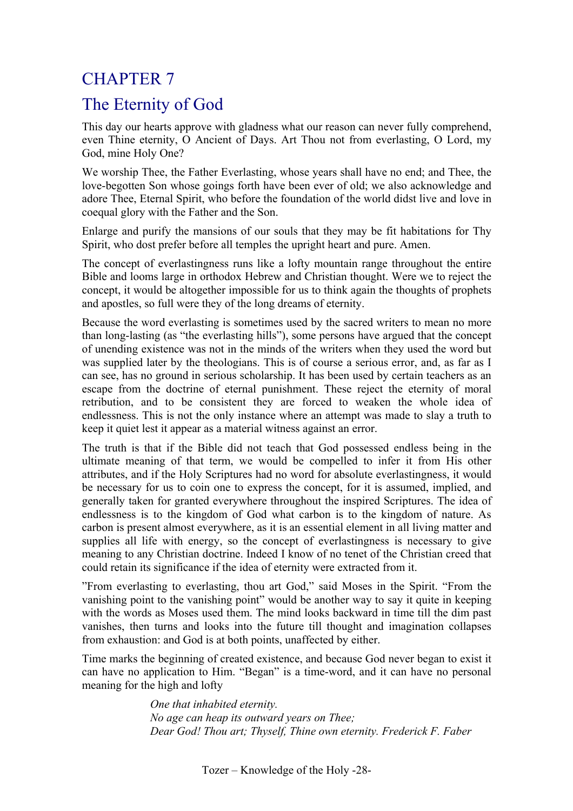#### The Eternity of God

This day our hearts approve with gladness what our reason can never fully comprehend, even Thine eternity, O Ancient of Days. Art Thou not from everlasting, O Lord, my God, mine Holy One?

We worship Thee, the Father Everlasting, whose years shall have no end; and Thee, the love-begotten Son whose goings forth have been ever of old; we also acknowledge and adore Thee, Eternal Spirit, who before the foundation of the world didst live and love in coequal glory with the Father and the Son.

Enlarge and purify the mansions of our souls that they may be fit habitations for Thy Spirit, who dost prefer before all temples the upright heart and pure. Amen.

The concept of everlastingness runs like a lofty mountain range throughout the entire Bible and looms large in orthodox Hebrew and Christian thought. Were we to reject the concept, it would be altogether impossible for us to think again the thoughts of prophets and apostles, so full were they of the long dreams of eternity.

Because the word everlasting is sometimes used by the sacred writers to mean no more than long-lasting (as "the everlasting hills"), some persons have argued that the concept of unending existence was not in the minds of the writers when they used the word but was supplied later by the theologians. This is of course a serious error, and, as far as I can see, has no ground in serious scholarship. It has been used by certain teachers as an escape from the doctrine of eternal punishment. These reject the eternity of moral retribution, and to be consistent they are forced to weaken the whole idea of endlessness. This is not the only instance where an attempt was made to slay a truth to keep it quiet lest it appear as a material witness against an error.

The truth is that if the Bible did not teach that God possessed endless being in the ultimate meaning of that term, we would be compelled to infer it from His other attributes, and if the Holy Scriptures had no word for absolute everlastingness, it would be necessary for us to coin one to express the concept, for it is assumed, implied, and generally taken for granted everywhere throughout the inspired Scriptures. The idea of endlessness is to the kingdom of God what carbon is to the kingdom of nature. As carbon is present almost everywhere, as it is an essential element in all living matter and supplies all life with energy, so the concept of everlastingness is necessary to give meaning to any Christian doctrine. Indeed I know of no tenet of the Christian creed that could retain its significance if the idea of eternity were extracted from it.

"From everlasting to everlasting, thou art God," said Moses in the Spirit. "From the vanishing point to the vanishing point" would be another way to say it quite in keeping with the words as Moses used them. The mind looks backward in time till the dim past vanishes, then turns and looks into the future till thought and imagination collapses from exhaustion: and God is at both points, unaffected by either.

<span id="page-27-0"></span>Time marks the beginning of created existence, and because God never began to exist it can have no application to Him. "Began" is a time-word, and it can have no personal meaning for the high and lofty

> *One that inhabited eternity. No age can heap its outward years on Thee; Dear God! Thou art; Thyself, Thine own eternity. Frederick F. Faber*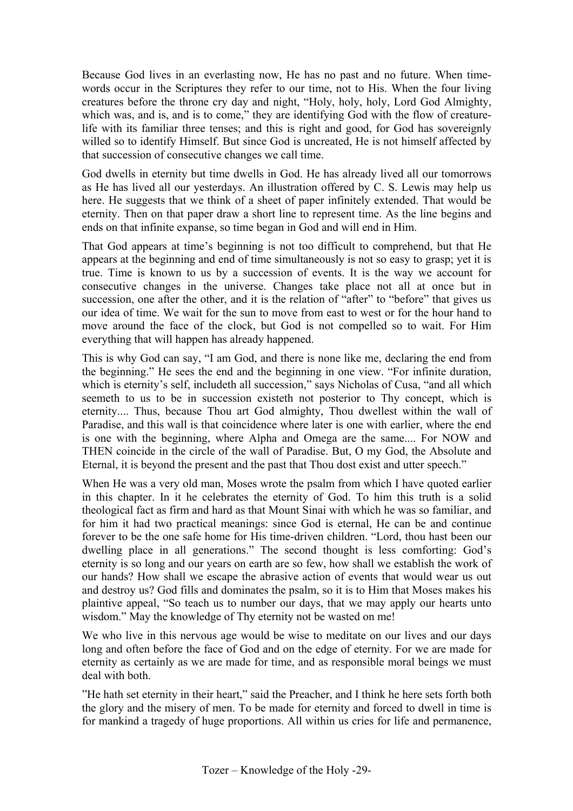Because God lives in an everlasting now, He has no past and no future. When timewords occur in the Scriptures they refer to our time, not to His. When the four living creatures before the throne cry day and night, "Holy, holy, holy, Lord God Almighty, which was, and is, and is to come," they are identifying God with the flow of creaturelife with its familiar three tenses; and this is right and good, for God has sovereignly willed so to identify Himself. But since God is uncreated, He is not himself affected by that succession of consecutive changes we call time.

God dwells in eternity but time dwells in God. He has already lived all our tomorrows as He has lived all our yesterdays. An illustration offered by C. S. Lewis may help us here. He suggests that we think of a sheet of paper infinitely extended. That would be eternity. Then on that paper draw a short line to represent time. As the line begins and ends on that infinite expanse, so time began in God and will end in Him.

That God appears at time's beginning is not too difficult to comprehend, but that He appears at the beginning and end of time simultaneously is not so easy to grasp; yet it is true. Time is known to us by a succession of events. It is the way we account for consecutive changes in the universe. Changes take place not all at once but in succession, one after the other, and it is the relation of "after" to "before" that gives us our idea of time. We wait for the sun to move from east to west or for the hour hand to move around the face of the clock, but God is not compelled so to wait. For Him everything that will happen has already happened.

This is why God can say, "I am God, and there is none like me, declaring the end from the beginning." He sees the end and the beginning in one view. "For infinite duration, which is eternity's self, includeth all succession," says Nicholas of Cusa, "and all which seemeth to us to be in succession existeth not posterior to Thy concept, which is eternity.... Thus, because Thou art God almighty, Thou dwellest within the wall of Paradise, and this wall is that coincidence where later is one with earlier, where the end is one with the beginning, where Alpha and Omega are the same.... For NOW and THEN coincide in the circle of the wall of Paradise. But, O my God, the Absolute and Eternal, it is beyond the present and the past that Thou dost exist and utter speech."

When He was a very old man, Moses wrote the psalm from which I have quoted earlier in this chapter. In it he celebrates the eternity of God. To him this truth is a solid theological fact as firm and hard as that Mount Sinai with which he was so familiar, and for him it had two practical meanings: since God is eternal, He can be and continue forever to be the one safe home for His time-driven children. "Lord, thou hast been our dwelling place in all generations." The second thought is less comforting: God's eternity is so long and our years on earth are so few, how shall we establish the work of our hands? How shall we escape the abrasive action of events that would wear us out and destroy us? God fills and dominates the psalm, so it is to Him that Moses makes his plaintive appeal, "So teach us to number our days, that we may apply our hearts unto wisdom." May the knowledge of Thy eternity not be wasted on me!

We who live in this nervous age would be wise to meditate on our lives and our days long and often before the face of God and on the edge of eternity. For we are made for eternity as certainly as we are made for time, and as responsible moral beings we must deal with both.

"He hath set eternity in their heart," said the Preacher, and I think he here sets forth both the glory and the misery of men. To be made for eternity and forced to dwell in time is for mankind a tragedy of huge proportions. All within us cries for life and permanence,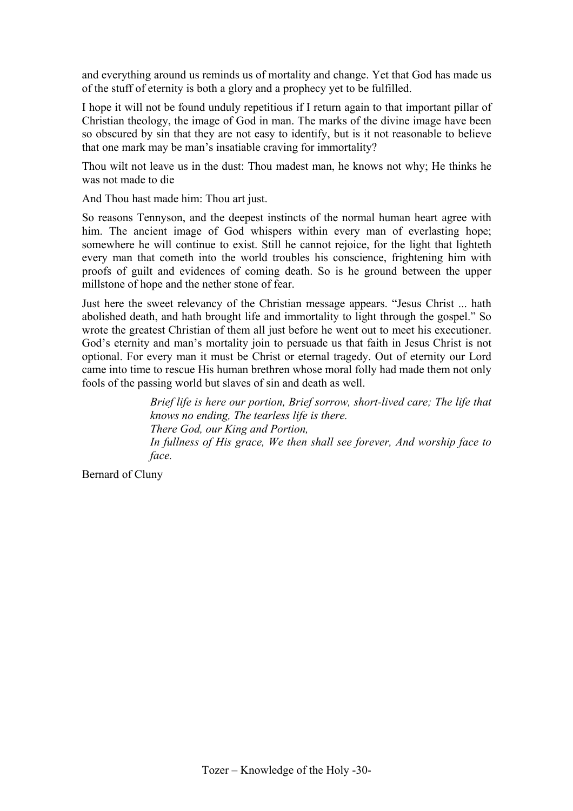and everything around us reminds us of mortality and change. Yet that God has made us of the stuff of eternity is both a glory and a prophecy yet to be fulfilled.

I hope it will not be found unduly repetitious if I return again to that important pillar of Christian theology, the image of God in man. The marks of the divine image have been so obscured by sin that they are not easy to identify, but is it not reasonable to believe that one mark may be man's insatiable craving for immortality?

Thou wilt not leave us in the dust: Thou madest man, he knows not why; He thinks he was not made to die

And Thou hast made him: Thou art just.

So reasons Tennyson, and the deepest instincts of the normal human heart agree with him. The ancient image of God whispers within every man of everlasting hope; somewhere he will continue to exist. Still he cannot rejoice, for the light that lighteth every man that cometh into the world troubles his conscience, frightening him with proofs of guilt and evidences of coming death. So is he ground between the upper millstone of hope and the nether stone of fear.

Just here the sweet relevancy of the Christian message appears. "Jesus Christ ... hath abolished death, and hath brought life and immortality to light through the gospel." So wrote the greatest Christian of them all just before he went out to meet his executioner. God's eternity and man's mortality join to persuade us that faith in Jesus Christ is not optional. For every man it must be Christ or eternal tragedy. Out of eternity our Lord came into time to rescue His human brethren whose moral folly had made them not only fools of the passing world but slaves of sin and death as well.

> *Brief life is here our portion, Brief sorrow, short-lived care; The life that knows no ending, The tearless life is there. There God, our King and Portion, In fullness of His grace, We then shall see forever, And worship face to face.*

Bernard of Cluny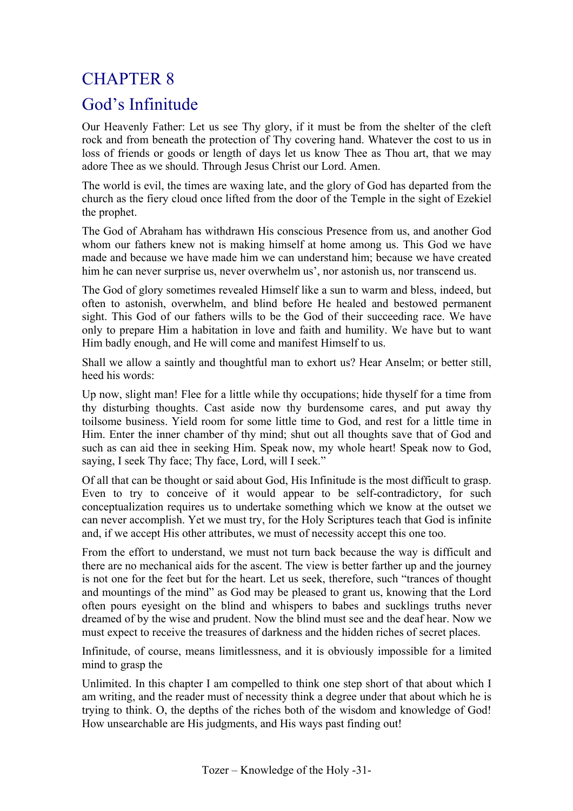#### God's Infinitude

Our Heavenly Father: Let us see Thy glory, if it must be from the shelter of the cleft rock and from beneath the protection of Thy covering hand. Whatever the cost to us in loss of friends or goods or length of days let us know Thee as Thou art, that we may adore Thee as we should. Through Jesus Christ our Lord. Amen.

The world is evil, the times are waxing late, and the glory of God has departed from the church as the fiery cloud once lifted from the door of the Temple in the sight of Ezekiel the prophet.

The God of Abraham has withdrawn His conscious Presence from us, and another God whom our fathers knew not is making himself at home among us. This God we have made and because we have made him we can understand him; because we have created him he can never surprise us, never overwhelm us', nor astonish us, nor transcend us.

The God of glory sometimes revealed Himself like a sun to warm and bless, indeed, but often to astonish, overwhelm, and blind before He healed and bestowed permanent sight. This God of our fathers wills to be the God of their succeeding race. We have only to prepare Him a habitation in love and faith and humility. We have but to want Him badly enough, and He will come and manifest Himself to us.

Shall we allow a saintly and thoughtful man to exhort us? Hear Anselm; or better still, heed his words:

Up now, slight man! Flee for a little while thy occupations; hide thyself for a time from thy disturbing thoughts. Cast aside now thy burdensome cares, and put away thy toilsome business. Yield room for some little time to God, and rest for a little time in Him. Enter the inner chamber of thy mind; shut out all thoughts save that of God and such as can aid thee in seeking Him. Speak now, my whole heart! Speak now to God, saying, I seek Thy face; Thy face, Lord, will I seek."

Of all that can be thought or said about God, His Infinitude is the most difficult to grasp. Even to try to conceive of it would appear to be self-contradictory, for such conceptualization requires us to undertake something which we know at the outset we can never accomplish. Yet we must try, for the Holy Scriptures teach that God is infinite and, if we accept His other attributes, we must of necessity accept this one too.

From the effort to understand, we must not turn back because the way is difficult and there are no mechanical aids for the ascent. The view is better farther up and the journey is not one for the feet but for the heart. Let us seek, therefore, such "trances of thought and mountings of the mind" as God may be pleased to grant us, knowing that the Lord often pours eyesight on the blind and whispers to babes and sucklings truths never dreamed of by the wise and prudent. Now the blind must see and the deaf hear. Now we must expect to receive the treasures of darkness and the hidden riches of secret places.

Infinitude, of course, means limitlessness, and it is obviously impossible for a limited mind to grasp the

<span id="page-30-0"></span>Unlimited. In this chapter I am compelled to think one step short of that about which I am writing, and the reader must of necessity think a degree under that about which he is trying to think. O, the depths of the riches both of the wisdom and knowledge of God! How unsearchable are His judgments, and His ways past finding out!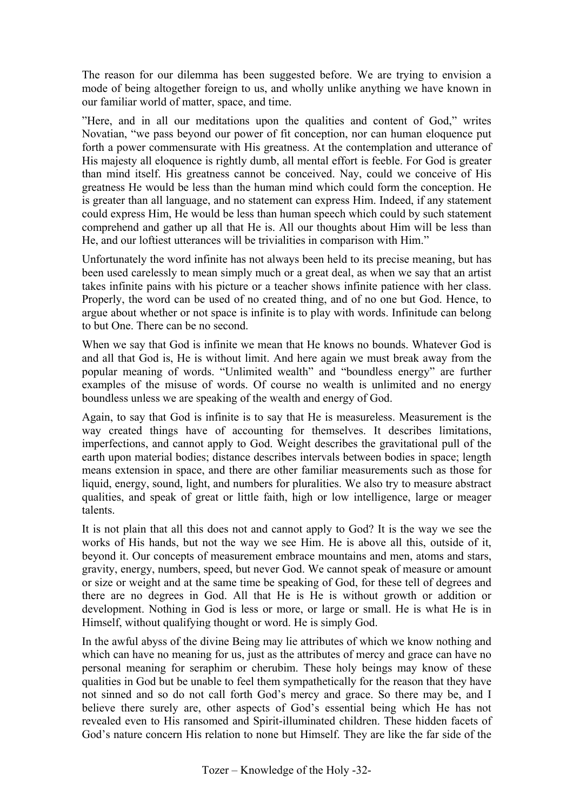The reason for our dilemma has been suggested before. We are trying to envision a mode of being altogether foreign to us, and wholly unlike anything we have known in our familiar world of matter, space, and time.

"Here, and in all our meditations upon the qualities and content of God," writes Novatian, "we pass beyond our power of fit conception, nor can human eloquence put forth a power commensurate with His greatness. At the contemplation and utterance of His majesty all eloquence is rightly dumb, all mental effort is feeble. For God is greater than mind itself. His greatness cannot be conceived. Nay, could we conceive of His greatness He would be less than the human mind which could form the conception. He is greater than all language, and no statement can express Him. Indeed, if any statement could express Him, He would be less than human speech which could by such statement comprehend and gather up all that He is. All our thoughts about Him will be less than He, and our loftiest utterances will be trivialities in comparison with Him."

Unfortunately the word infinite has not always been held to its precise meaning, but has been used carelessly to mean simply much or a great deal, as when we say that an artist takes infinite pains with his picture or a teacher shows infinite patience with her class. Properly, the word can be used of no created thing, and of no one but God. Hence, to argue about whether or not space is infinite is to play with words. Infinitude can belong to but One. There can be no second.

When we say that God is infinite we mean that He knows no bounds. Whatever God is and all that God is, He is without limit. And here again we must break away from the popular meaning of words. "Unlimited wealth" and "boundless energy" are further examples of the misuse of words. Of course no wealth is unlimited and no energy boundless unless we are speaking of the wealth and energy of God.

Again, to say that God is infinite is to say that He is measureless. Measurement is the way created things have of accounting for themselves. It describes limitations, imperfections, and cannot apply to God. Weight describes the gravitational pull of the earth upon material bodies; distance describes intervals between bodies in space; length means extension in space, and there are other familiar measurements such as those for liquid, energy, sound, light, and numbers for pluralities. We also try to measure abstract qualities, and speak of great or little faith, high or low intelligence, large or meager talents.

It is not plain that all this does not and cannot apply to God? It is the way we see the works of His hands, but not the way we see Him. He is above all this, outside of it, beyond it. Our concepts of measurement embrace mountains and men, atoms and stars, gravity, energy, numbers, speed, but never God. We cannot speak of measure or amount or size or weight and at the same time be speaking of God, for these tell of degrees and there are no degrees in God. All that He is He is without growth or addition or development. Nothing in God is less or more, or large or small. He is what He is in Himself, without qualifying thought or word. He is simply God.

In the awful abyss of the divine Being may lie attributes of which we know nothing and which can have no meaning for us, just as the attributes of mercy and grace can have no personal meaning for seraphim or cherubim. These holy beings may know of these qualities in God but be unable to feel them sympathetically for the reason that they have not sinned and so do not call forth God's mercy and grace. So there may be, and I believe there surely are, other aspects of God's essential being which He has not revealed even to His ransomed and Spirit-illuminated children. These hidden facets of God's nature concern His relation to none but Himself. They are like the far side of the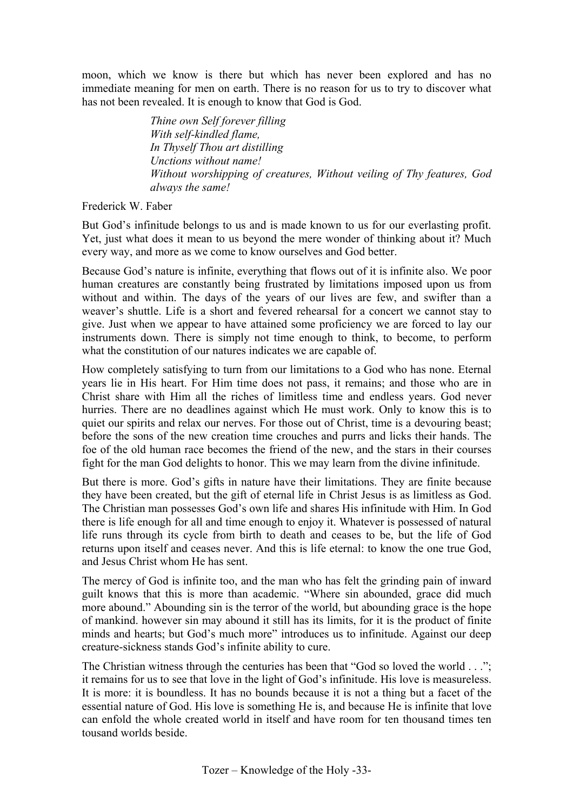moon, which we know is there but which has never been explored and has no immediate meaning for men on earth. There is no reason for us to try to discover what has not been revealed. It is enough to know that God is God.

> *Thine own Self forever filling With self-kindled flame, In Thyself Thou art distilling Unctions without name! Without worshipping of creatures, Without veiling of Thy features, God always the same!*

Frederick W. Faber

But God's infinitude belongs to us and is made known to us for our everlasting profit. Yet, just what does it mean to us beyond the mere wonder of thinking about it? Much every way, and more as we come to know ourselves and God better.

Because God's nature is infinite, everything that flows out of it is infinite also. We poor human creatures are constantly being frustrated by limitations imposed upon us from without and within. The days of the years of our lives are few, and swifter than a weaver's shuttle. Life is a short and fevered rehearsal for a concert we cannot stay to give. Just when we appear to have attained some proficiency we are forced to lay our instruments down. There is simply not time enough to think, to become, to perform what the constitution of our natures indicates we are capable of.

How completely satisfying to turn from our limitations to a God who has none. Eternal years lie in His heart. For Him time does not pass, it remains; and those who are in Christ share with Him all the riches of limitless time and endless years. God never hurries. There are no deadlines against which He must work. Only to know this is to quiet our spirits and relax our nerves. For those out of Christ, time is a devouring beast; before the sons of the new creation time crouches and purrs and licks their hands. The foe of the old human race becomes the friend of the new, and the stars in their courses fight for the man God delights to honor. This we may learn from the divine infinitude.

But there is more. God's gifts in nature have their limitations. They are finite because they have been created, but the gift of eternal life in Christ Jesus is as limitless as God. The Christian man possesses God's own life and shares His infinitude with Him. In God there is life enough for all and time enough to enjoy it. Whatever is possessed of natural life runs through its cycle from birth to death and ceases to be, but the life of God returns upon itself and ceases never. And this is life eternal: to know the one true God, and Jesus Christ whom He has sent.

The mercy of God is infinite too, and the man who has felt the grinding pain of inward guilt knows that this is more than academic. "Where sin abounded, grace did much more abound." Abounding sin is the terror of the world, but abounding grace is the hope of mankind. however sin may abound it still has its limits, for it is the product of finite minds and hearts; but God's much more" introduces us to infinitude. Against our deep creature-sickness stands God's infinite ability to cure.

The Christian witness through the centuries has been that "God so loved the world  $\ldots$ "; it remains for us to see that love in the light of God's infinitude. His love is measureless. It is more: it is boundless. It has no bounds because it is not a thing but a facet of the essential nature of God. His love is something He is, and because He is infinite that love can enfold the whole created world in itself and have room for ten thousand times ten tousand worlds beside.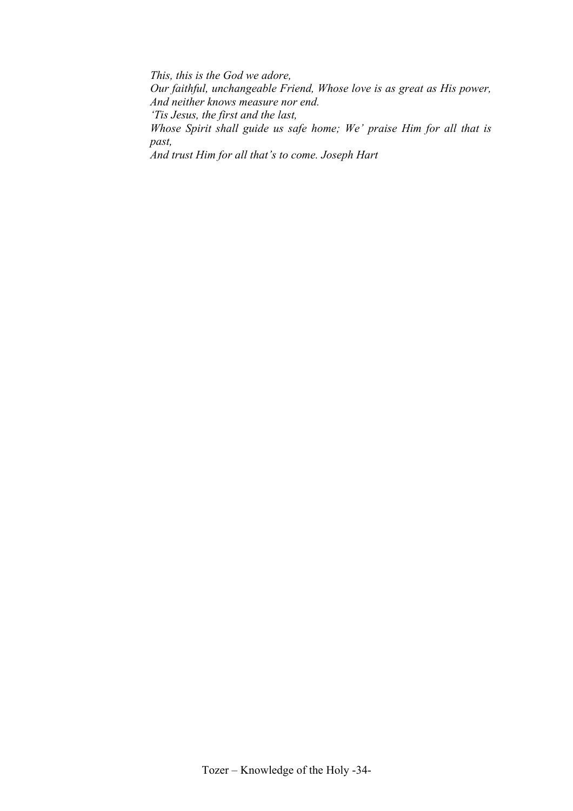*This, this is the God we adore, Our faithful, unchangeable Friend, Whose love is as great as His power, And neither knows measure nor end. Tis Jesus, the first and the last, Whose Spirit shall guide us safe home; We' praise Him for all that is past,*  And trust Him for all that's to come. Joseph Hart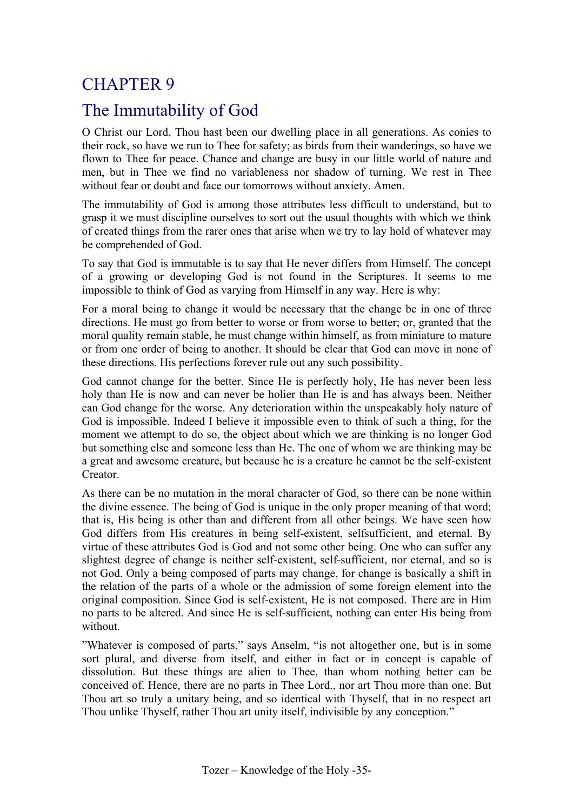#### The Immutability of God

O Christ our Lord, Thou hast been our dwelling place in all generations. As conies to their rock, so have we run to Thee for safety; as birds from their wanderings, so have we flown to Thee for peace. Chance and change are busy in our little world of nature and men, but in Thee we find no variableness nor shadow of turning. We rest in Thee without fear or doubt and face our tomorrows without anxiety. Amen.

The immutability of God is among those attributes less difficult to understand, but to grasp it we must discipline ourselves to sort out the usual thoughts with which we think of created things from the rarer ones that arise when we try to lay hold of whatever may be comprehended of God.

To say that God is immutable is to say that He never differs from Himself. The concept of a growing or developing God is not found in the Scriptures. It seems to me impossible to think of God as varying from Himself in any way. Here is why:

For a moral being to change it would be necessary that the change be in one of three directions. He must go from better to worse or from worse to better; or, granted that the moral quality remain stable, he must change within himself, as from miniature to mature or from one order of being to another. It should be clear that God can move in none of these directions. His perfections forever rule out any such possibility.

God cannot change for the better. Since He is perfectly holy, He has never been less holy than He is now and can never be holier than He is and has always been. Neither can God change for the worse. Any deterioration within the unspeakably holy nature of God is impossible. Indeed I believe it impossible even to think of such a thing, for the moment we attempt to do so, the object about which we are thinking is no longer God but something else and someone less than He. The one of whom we are thinking may be a great and awesome creature, but because he is a creature he cannot be the self-existent Creator.

As there can be no mutation in the moral character of God, so there can be none within the divine essence. The being of God is unique in the only proper meaning of that word; that is, His being is other than and different from all other beings. We have seen how God differs from His creatures in being self-existent, selfsufficient, and eternal. By virtue of these attributes God is God and not some other being. One who can suffer any slightest degree of change is neither self-existent, self-sufficient, nor eternal, and so is not God. Only a being composed of parts may change, for change is basically a shift in the relation of the parts of a whole or the admission of some foreign element into the original composition. Since God is self-existent, He is not composed. There are in Him no parts to be altered. And since He is self-sufficient, nothing can enter His being from without.

<span id="page-34-0"></span>"Whatever is composed of parts," says Anselm, "is not altogether one, but is in some sort plural, and diverse from itself, and either in fact or in concept is capable of dissolution. But these things are alien to Thee, than whom nothing better can be conceived of. Hence, there are no parts in Thee Lord., nor art Thou more than one. But Thou art so truly a unitary being, and so identical with Thyself, that in no respect art Thou unlike Thyself, rather Thou art unity itself, indivisible by any conception."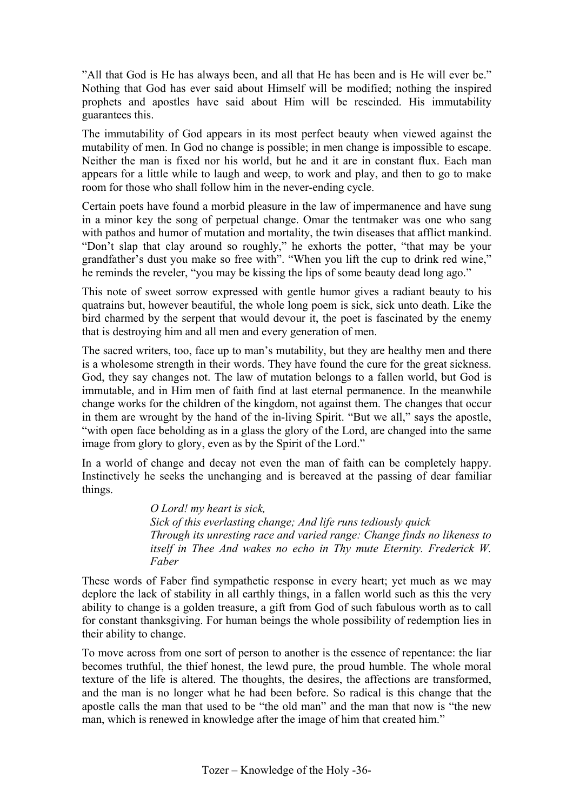"All that God is He has always been, and all that He has been and is He will ever be." Nothing that God has ever said about Himself will be modified; nothing the inspired prophets and apostles have said about Him will be rescinded. His immutability guarantees this.

The immutability of God appears in its most perfect beauty when viewed against the mutability of men. In God no change is possible; in men change is impossible to escape. Neither the man is fixed nor his world, but he and it are in constant flux. Each man appears for a little while to laugh and weep, to work and play, and then to go to make room for those who shall follow him in the never-ending cycle.

Certain poets have found a morbid pleasure in the law of impermanence and have sung in a minor key the song of perpetual change. Omar the tentmaker was one who sang with pathos and humor of mutation and mortality, the twin diseases that afflict mankind. "Don't slap that clay around so roughly," he exhorts the potter, "that may be your grandfather's dust you make so free with". "When you lift the cup to drink red wine," he reminds the reveler, "you may be kissing the lips of some beauty dead long ago."

This note of sweet sorrow expressed with gentle humor gives a radiant beauty to his quatrains but, however beautiful, the whole long poem is sick, sick unto death. Like the bird charmed by the serpent that would devour it, the poet is fascinated by the enemy that is destroying him and all men and every generation of men.

The sacred writers, too, face up to man's mutability, but they are healthy men and there is a wholesome strength in their words. They have found the cure for the great sickness. God, they say changes not. The law of mutation belongs to a fallen world, but God is immutable, and in Him men of faith find at last eternal permanence. In the meanwhile change works for the children of the kingdom, not against them. The changes that occur in them are wrought by the hand of the in-living Spirit. "But we all," says the apostle, "with open face beholding as in a glass the glory of the Lord, are changed into the same image from glory to glory, even as by the Spirit of the Lord."

In a world of change and decay not even the man of faith can be completely happy. Instinctively he seeks the unchanging and is bereaved at the passing of dear familiar things.

> *O Lord! my heart is sick, Sick of this everlasting change; And life runs tediously quick Through its unresting race and varied range: Change finds no likeness to itself in Thee And wakes no echo in Thy mute Eternity. Frederick W. Faber*

These words of Faber find sympathetic response in every heart; yet much as we may deplore the lack of stability in all earthly things, in a fallen world such as this the very ability to change is a golden treasure, a gift from God of such fabulous worth as to call for constant thanksgiving. For human beings the whole possibility of redemption lies in their ability to change.

To move across from one sort of person to another is the essence of repentance: the liar becomes truthful, the thief honest, the lewd pure, the proud humble. The whole moral texture of the life is altered. The thoughts, the desires, the affections are transformed, and the man is no longer what he had been before. So radical is this change that the apostle calls the man that used to be "the old man" and the man that now is "the new man, which is renewed in knowledge after the image of him that created him."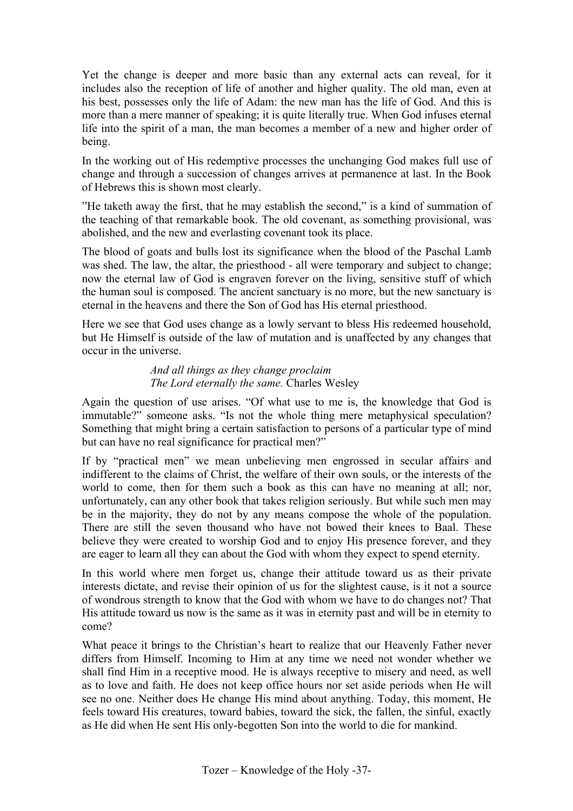Yet the change is deeper and more basic than any external acts can reveal, for it includes also the reception of life of another and higher quality. The old man, even at his best, possesses only the life of Adam: the new man has the life of God. And this is more than a mere manner of speaking; it is quite literally true. When God infuses eternal life into the spirit of a man, the man becomes a member of a new and higher order of being.

In the working out of His redemptive processes the unchanging God makes full use of change and through a succession of changes arrives at permanence at last. In the Book of Hebrews this is shown most clearly.

"He taketh away the first, that he may establish the second," is a kind of summation of the teaching of that remarkable book. The old covenant, as something provisional, was abolished, and the new and everlasting covenant took its place.

The blood of goats and bulls lost its significance when the blood of the Paschal Lamb was shed. The law, the altar, the priesthood - all were temporary and subject to change; now the eternal law of God is engraven forever on the living, sensitive stuff of which the human soul is composed. The ancient sanctuary is no more, but the new sanctuary is eternal in the heavens and there the Son of God has His eternal priesthood.

Here we see that God uses change as a lowly servant to bless His redeemed household, but He Himself is outside of the law of mutation and is unaffected by any changes that occur in the universe.

> *And all things as they change proclaim The Lord eternally the same.* Charles Wesley

Again the question of use arises. "Of what use to me is, the knowledge that God is immutable?" someone asks. "Is not the whole thing mere metaphysical speculation? Something that might bring a certain satisfaction to persons of a particular type of mind but can have no real significance for practical men?"

If by "practical men" we mean unbelieving men engrossed in secular affairs and indifferent to the claims of Christ, the welfare of their own souls, or the interests of the world to come, then for them such a book as this can have no meaning at all; nor, unfortunately, can any other book that takes religion seriously. But while such men may be in the majority, they do not by any means compose the whole of the population. There are still the seven thousand who have not bowed their knees to Baal. These believe they were created to worship God and to enjoy His presence forever, and they are eager to learn all they can about the God with whom they expect to spend eternity.

In this world where men forget us, change their attitude toward us as their private interests dictate, and revise their opinion of us for the slightest cause, is it not a source of wondrous strength to know that the God with whom we have to do changes not? That His attitude toward us now is the same as it was in eternity past and will be in eternity to come?

What peace it brings to the Christian's heart to realize that our Heavenly Father never differs from Himself. Incoming to Him at any time we need not wonder whether we shall find Him in a receptive mood. He is always receptive to misery and need, as well as to love and faith. He does not keep office hours nor set aside periods when He will see no one. Neither does He change His mind about anything. Today, this moment, He feels toward His creatures, toward babies, toward the sick, the fallen, the sinful, exactly as He did when He sent His only-begotten Son into the world to die for mankind.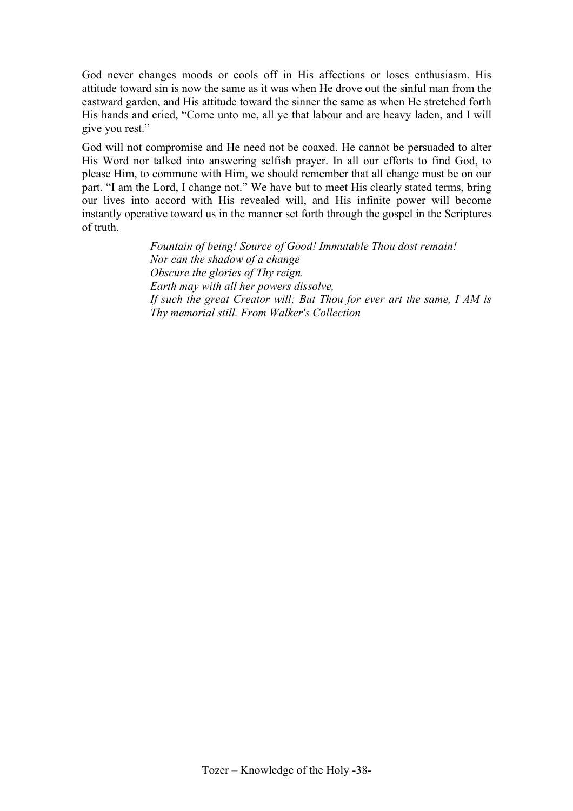God never changes moods or cools off in His affections or loses enthusiasm. His attitude toward sin is now the same as it was when He drove out the sinful man from the eastward garden, and His attitude toward the sinner the same as when He stretched forth His hands and cried, "Come unto me, all ye that labour and are heavy laden, and I will give you rest."

God will not compromise and He need not be coaxed. He cannot be persuaded to alter His Word nor talked into answering selfish prayer. In all our efforts to find God, to please Him, to commune with Him, we should remember that all change must be on our part. "I am the Lord, I change not." We have but to meet His clearly stated terms, bring our lives into accord with His revealed will, and His infinite power will become instantly operative toward us in the manner set forth through the gospel in the Scriptures of truth.

> *Fountain of being! Source of Good! Immutable Thou dost remain! Nor can the shadow of a change Obscure the glories of Thy reign. Earth may with all her powers dissolve, If such the great Creator will; But Thou for ever art the same, I AM is Thy memorial still. From Walker's Collection*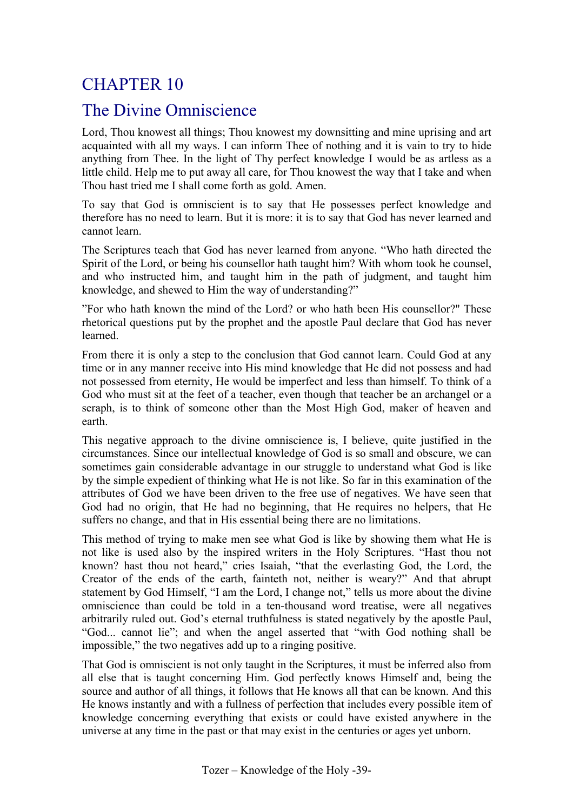#### The Divine Omniscience

Lord, Thou knowest all things; Thou knowest my downsitting and mine uprising and art acquainted with all my ways. I can inform Thee of nothing and it is vain to try to hide anything from Thee. In the light of Thy perfect knowledge I would be as artless as a little child. Help me to put away all care, for Thou knowest the way that I take and when Thou hast tried me I shall come forth as gold. Amen.

To say that God is omniscient is to say that He possesses perfect knowledge and therefore has no need to learn. But it is more: it is to say that God has never learned and cannot learn.

The Scriptures teach that God has never learned from anyone. ^Who hath directed the Spirit of the Lord, or being his counsellor hath taught him? With whom took he counsel, and who instructed him, and taught him in the path of judgment, and taught him knowledge, and shewed to Him the way of understanding?"

\_For who hath known the mind of the Lord? or who hath been His counsellor?" These rhetorical questions put by the prophet and the apostle Paul declare that God has never learned.

From there it is only a step to the conclusion that God cannot learn. Could God at any time or in any manner receive into His mind knowledge that He did not possess and had not possessed from eternity, He would be imperfect and less than himself. To think of a God who must sit at the feet of a teacher, even though that teacher be an archangel or a seraph, is to think of someone other than the Most High God, maker of heaven and earth.

This negative approach to the divine omniscience is, I believe, quite justified in the circumstances. Since our intellectual knowledge of God is so small and obscure, we can sometimes gain considerable advantage in our struggle to understand what God is like by the simple expedient of thinking what He is not like. So far in this examination of the attributes of God we have been driven to the free use of negatives. We have seen that God had no origin, that He had no beginning, that He requires no helpers, that He suffers no change, and that in His essential being there are no limitations.

This method of trying to make men see what God is like by showing them what He is not like is used also by the inspired writers in the Holy Scriptures. "Hast thou not known? hast thou not heard," cries Isaiah, "that the everlasting God, the Lord, the Creator of the ends of the earth, fainteth not, neither is weary?" And that abrupt statement by God Himself, "I am the Lord, I change not," tells us more about the divine omniscience than could be told in a ten-thousand word treatise, were all negatives arbitrarily ruled out. God's eternal truthfulness is stated negatively by the apostle Paul, "God... cannot lie"; and when the angel asserted that "with God nothing shall be impossible," the two negatives add up to a ringing positive.

That God is omniscient is not only taught in the Scriptures, it must be inferred also from all else that is taught concerning Him. God perfectly knows Himself and, being the source and author of all things, it follows that He knows all that can be known. And this He knows instantly and with a fullness of perfection that includes every possible item of knowledge concerning everything that exists or could have existed anywhere in the universe at any time in the past or that may exist in the centuries or ages yet unborn.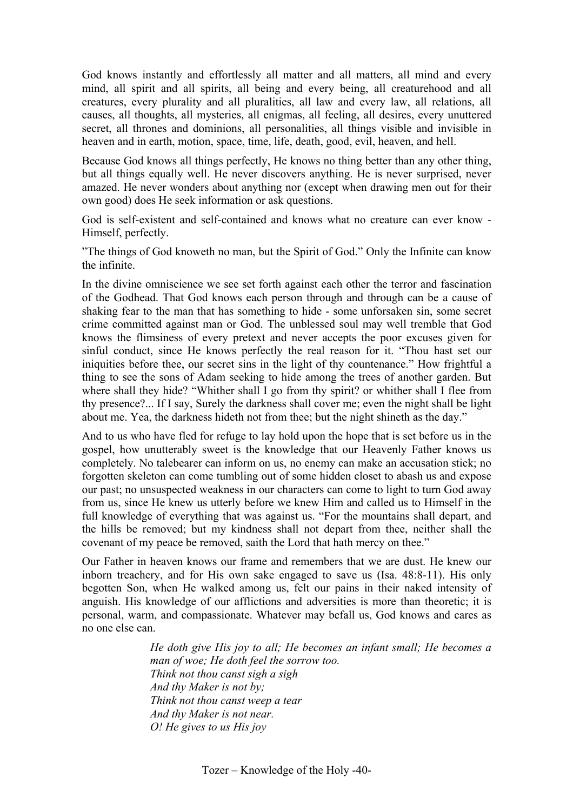God knows instantly and effortlessly all matter and all matters, all mind and every mind, all spirit and all spirits, all being and every being, all creaturehood and all creatures, every plurality and all pluralities, all law and every law, all relations, all causes, all thoughts, all mysteries, all enigmas, all feeling, all desires, every unuttered secret, all thrones and dominions, all personalities, all things visible and invisible in heaven and in earth, motion, space, time, life, death, good, evil, heaven, and hell.

Because God knows all things perfectly, He knows no thing better than any other thing, but all things equally well. He never discovers anything. He is never surprised, never amazed. He never wonders about anything nor (except when drawing men out for their own good) does He seek information or ask questions.

God is self-existent and self-contained and knows what no creature can ever know - Himself, perfectly.

"The things of God knoweth no man, but the Spirit of God." Only the Infinite can know the infinite.

In the divine omniscience we see set forth against each other the terror and fascination of the Godhead. That God knows each person through and through can be a cause of shaking fear to the man that has something to hide - some unforsaken sin, some secret crime committed against man or God. The unblessed soul may well tremble that God knows the flimsiness of every pretext and never accepts the poor excuses given for sinful conduct, since He knows perfectly the real reason for it. "Thou hast set our iniquities before thee, our secret sins in the light of thy countenance." How frightful a thing to see the sons of Adam seeking to hide among the trees of another garden. But where shall they hide? "Whither shall I go from thy spirit? or whither shall I flee from thy presence?... If I say, Surely the darkness shall cover me; even the night shall be light about me. Yea, the darkness hideth not from thee; but the night shineth as the day."

And to us who have fled for refuge to lay hold upon the hope that is set before us in the gospel, how unutterably sweet is the knowledge that our Heavenly Father knows us completely. No talebearer can inform on us, no enemy can make an accusation stick; no forgotten skeleton can come tumbling out of some hidden closet to abash us and expose our past; no unsuspected weakness in our characters can come to light to turn God away from us, since He knew us utterly before we knew Him and called us to Himself in the full knowledge of everything that was against us. "For the mountains shall depart, and the hills be removed; but my kindness shall not depart from thee, neither shall the covenant of my peace be removed, saith the Lord that hath mercy on thee."

Our Father in heaven knows our frame and remembers that we are dust. He knew our inborn treachery, and for His own sake engaged to save us (Isa. 48:8-11). His only begotten Son, when He walked among us, felt our pains in their naked intensity of anguish. His knowledge of our afflictions and adversities is more than theoretic; it is personal, warm, and compassionate. Whatever may befall us, God knows and cares as no one else can.

> *He doth give His joy to all; He becomes an infant small; He becomes a man of woe; He doth feel the sorrow too. Think not thou canst sigh a sigh And thy Maker is not by; Think not thou canst weep a tear And thy Maker is not near. O! He gives to us His joy*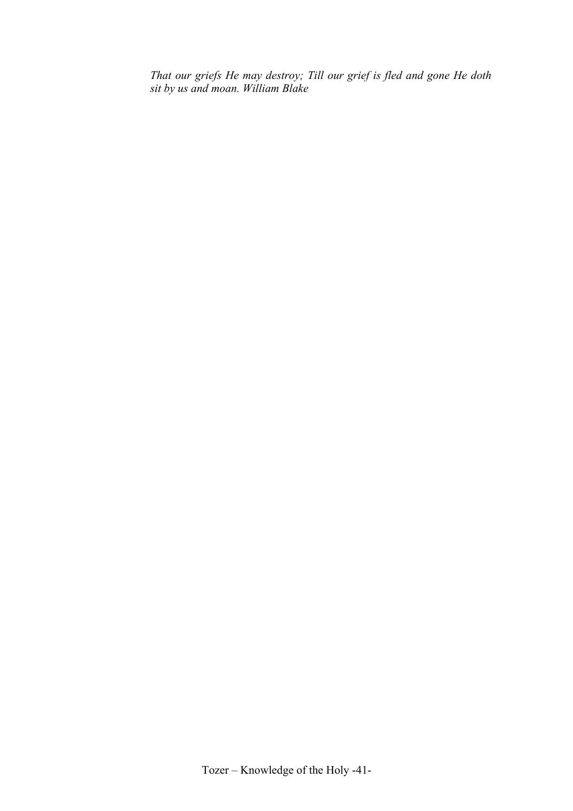*That our griefs He may destroy; Till our grief is fled and gone He doth sit by us and moan. William Blake*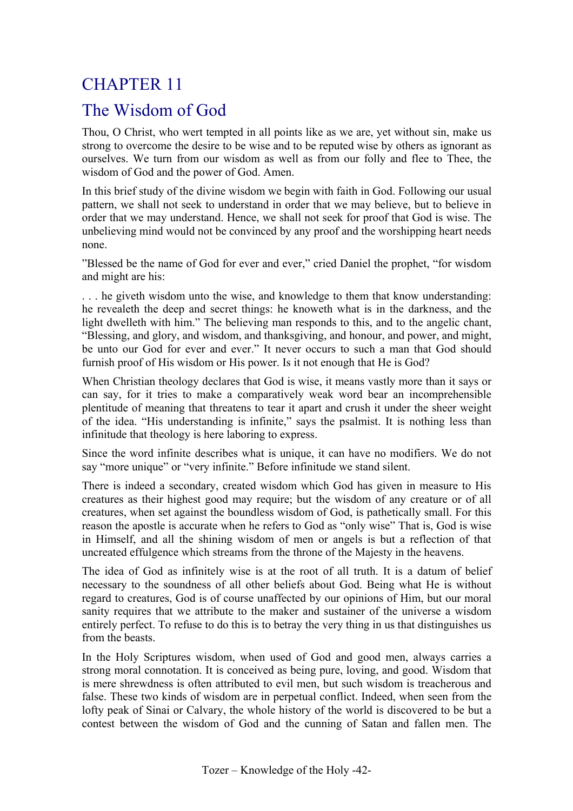### The Wisdom of God

Thou, O Christ, who wert tempted in all points like as we are, yet without sin, make us strong to overcome the desire to be wise and to be reputed wise by others as ignorant as ourselves. We turn from our wisdom as well as from our folly and flee to Thee, the wisdom of God and the power of God. Amen.

In this brief study of the divine wisdom we begin with faith in God. Following our usual pattern, we shall not seek to understand in order that we may believe, but to believe in order that we may understand. Hence, we shall not seek for proof that God is wise. The unbelieving mind would not be convinced by any proof and the worshipping heart needs none.

"Blessed be the name of God for ever and ever," cried Daniel the prophet, "for wisdom and might are his:

. . . he giveth wisdom unto the wise, and knowledge to them that know understanding: he revealeth the deep and secret things: he knoweth what is in the darkness, and the light dwelleth with him." The believing man responds to this, and to the angelic chant, ^Blessing, and glory, and wisdom, and thanksgiving, and honour, and power, and might, be unto our God for ever and ever." It never occurs to such a man that God should furnish proof of His wisdom or His power. Is it not enough that He is God?

When Christian theology declares that God is wise, it means vastly more than it says or can say, for it tries to make a comparatively weak word bear an incomprehensible plentitude of meaning that threatens to tear it apart and crush it under the sheer weight of the idea. "His understanding is infinite," says the psalmist. It is nothing less than infinitude that theology is here laboring to express.

Since the word infinite describes what is unique, it can have no modifiers. We do not say "more unique" or "very infinite." Before infinitude we stand silent.

There is indeed a secondary, created wisdom which God has given in measure to His creatures as their highest good may require; but the wisdom of any creature or of all creatures, when set against the boundless wisdom of God, is pathetically small. For this reason the apostle is accurate when he refers to God as "only wise" That is, God is wise in Himself, and all the shining wisdom of men or angels is but a reflection of that uncreated effulgence which streams from the throne of the Majesty in the heavens.

The idea of God as infinitely wise is at the root of all truth. It is a datum of belief necessary to the soundness of all other beliefs about God. Being what He is without regard to creatures, God is of course unaffected by our opinions of Him, but our moral sanity requires that we attribute to the maker and sustainer of the universe a wisdom entirely perfect. To refuse to do this is to betray the very thing in us that distinguishes us from the beasts.

In the Holy Scriptures wisdom, when used of God and good men, always carries a strong moral connotation. It is conceived as being pure, loving, and good. Wisdom that is mere shrewdness is often attributed to evil men, but such wisdom is treacherous and false. These two kinds of wisdom are in perpetual conflict. Indeed, when seen from the lofty peak of Sinai or Calvary, the whole history of the world is discovered to be but a contest between the wisdom of God and the cunning of Satan and fallen men. The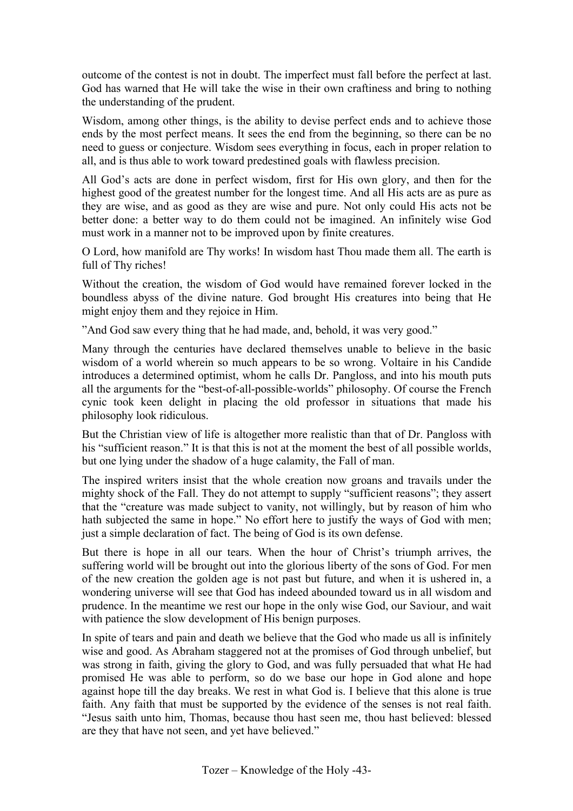outcome of the contest is not in doubt. The imperfect must fall before the perfect at last. God has warned that He will take the wise in their own craftiness and bring to nothing the understanding of the prudent.

Wisdom, among other things, is the ability to devise perfect ends and to achieve those ends by the most perfect means. It sees the end from the beginning, so there can be no need to guess or conjecture. Wisdom sees everything in focus, each in proper relation to all, and is thus able to work toward predestined goals with flawless precision.

All God's acts are done in perfect wisdom, first for His own glory, and then for the highest good of the greatest number for the longest time. And all His acts are as pure as they are wise, and as good as they are wise and pure. Not only could His acts not be better done: a better way to do them could not be imagined. An infinitely wise God must work in a manner not to be improved upon by finite creatures.

O Lord, how manifold are Thy works! In wisdom hast Thou made them all. The earth is full of Thy riches!

Without the creation, the wisdom of God would have remained forever locked in the boundless abyss of the divine nature. God brought His creatures into being that He might enjoy them and they rejoice in Him.

"And God saw every thing that he had made, and, behold, it was very good."

Many through the centuries have declared themselves unable to believe in the basic wisdom of a world wherein so much appears to be so wrong. Voltaire in his Candide introduces a determined optimist, whom he calls Dr. Pangloss, and into his mouth puts all the arguments for the "best-of-all-possible-worlds" philosophy. Of course the French cynic took keen delight in placing the old professor in situations that made his philosophy look ridiculous.

But the Christian view of life is altogether more realistic than that of Dr. Pangloss with his "sufficient reason." It is that this is not at the moment the best of all possible worlds, but one lying under the shadow of a huge calamity, the Fall of man.

The inspired writers insist that the whole creation now groans and travails under the mighty shock of the Fall. They do not attempt to supply "sufficient reasons"; they assert that the "creature was made subject to vanity, not willingly, but by reason of him who hath subjected the same in hope." No effort here to justify the ways of God with men; just a simple declaration of fact. The being of God is its own defense.

But there is hope in all our tears. When the hour of Christ's triumph arrives, the suffering world will be brought out into the glorious liberty of the sons of God. For men of the new creation the golden age is not past but future, and when it is ushered in, a wondering universe will see that God has indeed abounded toward us in all wisdom and prudence. In the meantime we rest our hope in the only wise God, our Saviour, and wait with patience the slow development of His benign purposes.

In spite of tears and pain and death we believe that the God who made us all is infinitely wise and good. As Abraham staggered not at the promises of God through unbelief, but was strong in faith, giving the glory to God, and was fully persuaded that what He had promised He was able to perform, so do we base our hope in God alone and hope against hope till the day breaks. We rest in what God is. I believe that this alone is true faith. Any faith that must be supported by the evidence of the senses is not real faith. ^Jesus saith unto him, Thomas, because thou hast seen me, thou hast believed: blessed are they that have not seen, and yet have believed."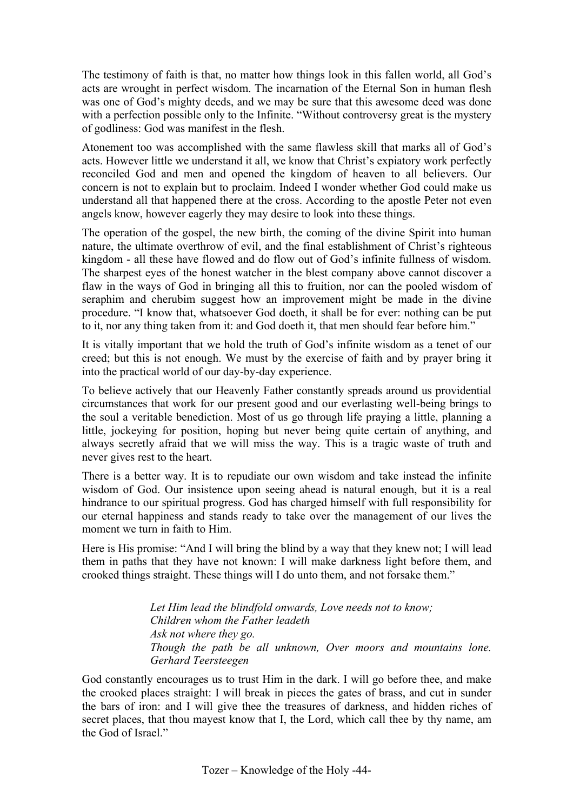The testimony of faith is that, no matter how things look in this fallen world, all God's acts are wrought in perfect wisdom. The incarnation of the Eternal Son in human flesh was one of God's mighty deeds, and we may be sure that this awesome deed was done with a perfection possible only to the Infinite. "Without controversy great is the mystery of godliness: God was manifest in the flesh.

Atonement too was accomplished with the same flawless skill that marks all of God's acts. However little we understand it all, we know that Christ's expiatory work perfectly reconciled God and men and opened the kingdom of heaven to all believers. Our concern is not to explain but to proclaim. Indeed I wonder whether God could make us understand all that happened there at the cross. According to the apostle Peter not even angels know, however eagerly they may desire to look into these things.

The operation of the gospel, the new birth, the coming of the divine Spirit into human nature, the ultimate overthrow of evil, and the final establishment of Christ's righteous kingdom - all these have flowed and do flow out of God's infinite fullness of wisdom. The sharpest eyes of the honest watcher in the blest company above cannot discover a flaw in the ways of God in bringing all this to fruition, nor can the pooled wisdom of seraphim and cherubim suggest how an improvement might be made in the divine procedure. "I know that, whatsoever God doeth, it shall be for ever: nothing can be put to it, nor any thing taken from it: and God doeth it, that men should fear before him."

It is vitally important that we hold the truth of God's infinite wisdom as a tenet of our creed; but this is not enough. We must by the exercise of faith and by prayer bring it into the practical world of our day-by-day experience.

To believe actively that our Heavenly Father constantly spreads around us providential circumstances that work for our present good and our everlasting well-being brings to the soul a veritable benediction. Most of us go through life praying a little, planning a little, jockeying for position, hoping but never being quite certain of anything, and always secretly afraid that we will miss the way. This is a tragic waste of truth and never gives rest to the heart.

There is a better way. It is to repudiate our own wisdom and take instead the infinite wisdom of God. Our insistence upon seeing ahead is natural enough, but it is a real hindrance to our spiritual progress. God has charged himself with full responsibility for our eternal happiness and stands ready to take over the management of our lives the moment we turn in faith to Him.

Here is His promise:  $A$ nd I will bring the blind by a way that they knew not; I will lead them in paths that they have not known: I will make darkness light before them, and crooked things straight. These things will I do unto them, and not forsake them."

> *Let Him lead the blindfold onwards, Love needs not to know; Children whom the Father leadeth Ask not where they go. Though the path be all unknown, Over moors and mountains lone. Gerhard Teersteegen*

God constantly encourages us to trust Him in the dark. I will go before thee, and make the crooked places straight: I will break in pieces the gates of brass, and cut in sunder the bars of iron: and I will give thee the treasures of darkness, and hidden riches of secret places, that thou mayest know that I, the Lord, which call thee by thy name, am the God of Israel."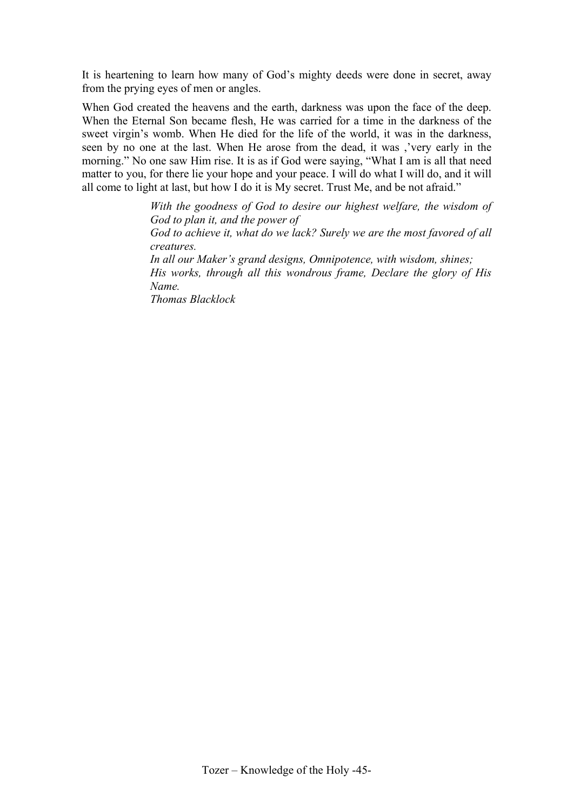It is heartening to learn how many of God's mighty deeds were done in secret, away from the prying eyes of men or angles.

When God created the heavens and the earth, darkness was upon the face of the deep. When the Eternal Son became flesh, He was carried for a time in the darkness of the sweet virgin's womb. When He died for the life of the world, it was in the darkness, seen by no one at the last. When He arose from the dead, it was ,'very early in the morning." No one saw Him rise. It is as if God were saying, "What I am is all that need matter to you, for there lie your hope and your peace. I will do what I will do, and it will all come to light at last, but how I do it is My secret. Trust Me, and be not afraid."

> *With the goodness of God to desire our highest welfare, the wisdom of God to plan it, and the power of God to achieve it, what do we lack? Surely we are the most favored of all creatures. In all our Maker's grand designs, Omnipotence, with wisdom, shines; His works, through all this wondrous frame, Declare the glory of His Name. Thomas Blacklock*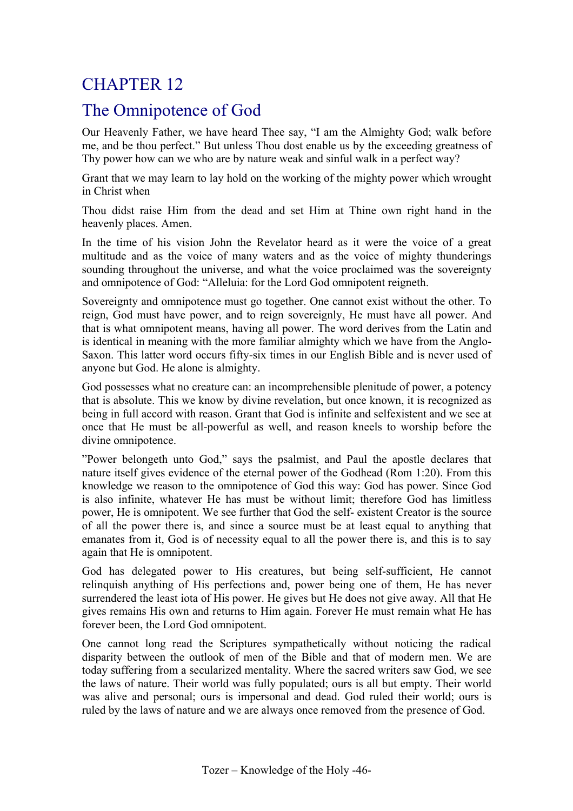### The Omnipotence of God

Our Heavenly Father, we have heard Thee say, ^I am the Almighty God; walk before me, and be thou perfect." But unless Thou dost enable us by the exceeding greatness of Thy power how can we who are by nature weak and sinful walk in a perfect way?

Grant that we may learn to lay hold on the working of the mighty power which wrought in Christ when

Thou didst raise Him from the dead and set Him at Thine own right hand in the heavenly places. Amen.

In the time of his vision John the Revelator heard as it were the voice of a great multitude and as the voice of many waters and as the voice of mighty thunderings sounding throughout the universe, and what the voice proclaimed was the sovereignty and omnipotence of God: "Alleluia: for the Lord God omnipotent reigneth.

Sovereignty and omnipotence must go together. One cannot exist without the other. To reign, God must have power, and to reign sovereignly, He must have all power. And that is what omnipotent means, having all power. The word derives from the Latin and is identical in meaning with the more familiar almighty which we have from the Anglo-Saxon. This latter word occurs fifty-six times in our English Bible and is never used of anyone but God. He alone is almighty.

God possesses what no creature can: an incomprehensible plenitude of power, a potency that is absolute. This we know by divine revelation, but once known, it is recognized as being in full accord with reason. Grant that God is infinite and selfexistent and we see at once that He must be all-powerful as well, and reason kneels to worship before the divine omnipotence.

"Power belongeth unto God," says the psalmist, and Paul the apostle declares that nature itself gives evidence of the eternal power of the Godhead (Rom 1:20). From this knowledge we reason to the omnipotence of God this way: God has power. Since God is also infinite, whatever He has must be without limit; therefore God has limitless power, He is omnipotent. We see further that God the self- existent Creator is the source of all the power there is, and since a source must be at least equal to anything that emanates from it, God is of necessity equal to all the power there is, and this is to say again that He is omnipotent.

God has delegated power to His creatures, but being self-sufficient, He cannot relinquish anything of His perfections and, power being one of them, He has never surrendered the least iota of His power. He gives but He does not give away. All that He gives remains His own and returns to Him again. Forever He must remain what He has forever been, the Lord God omnipotent.

One cannot long read the Scriptures sympathetically without noticing the radical disparity between the outlook of men of the Bible and that of modern men. We are today suffering from a secularized mentality. Where the sacred writers saw God, we see the laws of nature. Their world was fully populated; ours is all but empty. Their world was alive and personal; ours is impersonal and dead. God ruled their world; ours is ruled by the laws of nature and we are always once removed from the presence of God.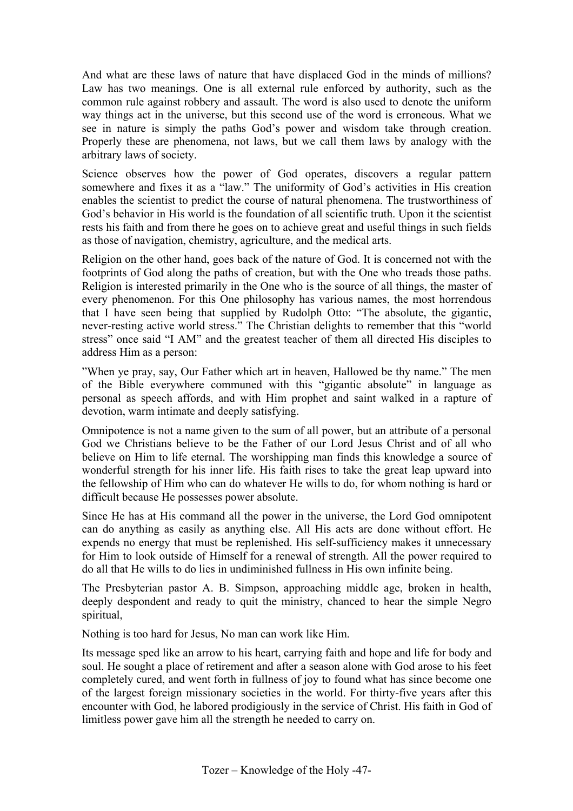And what are these laws of nature that have displaced God in the minds of millions? Law has two meanings. One is all external rule enforced by authority, such as the common rule against robbery and assault. The word is also used to denote the uniform way things act in the universe, but this second use of the word is erroneous. What we see in nature is simply the paths God's power and wisdom take through creation. Properly these are phenomena, not laws, but we call them laws by analogy with the arbitrary laws of society.

Science observes how the power of God operates, discovers a regular pattern somewhere and fixes it as a "law." The uniformity of God's activities in His creation enables the scientist to predict the course of natural phenomena. The trustworthiness of God's behavior in His world is the foundation of all scientific truth. Upon it the scientist rests his faith and from there he goes on to achieve great and useful things in such fields as those of navigation, chemistry, agriculture, and the medical arts.

Religion on the other hand, goes back of the nature of God. It is concerned not with the footprints of God along the paths of creation, but with the One who treads those paths. Religion is interested primarily in the One who is the source of all things, the master of every phenomenon. For this One philosophy has various names, the most horrendous that I have seen being that supplied by Rudolph Otto: "The absolute, the gigantic, never-resting active world stress." The Christian delights to remember that this "world stress" once said "I AM" and the greatest teacher of them all directed His disciples to address Him as a person:

"When ye pray, say, Our Father which art in heaven, Hallowed be thy name." The men of the Bible everywhere communed with this "gigantic absolute" in language as personal as speech affords, and with Him prophet and saint walked in a rapture of devotion, warm intimate and deeply satisfying.

Omnipotence is not a name given to the sum of all power, but an attribute of a personal God we Christians believe to be the Father of our Lord Jesus Christ and of all who believe on Him to life eternal. The worshipping man finds this knowledge a source of wonderful strength for his inner life. His faith rises to take the great leap upward into the fellowship of Him who can do whatever He wills to do, for whom nothing is hard or difficult because He possesses power absolute.

Since He has at His command all the power in the universe, the Lord God omnipotent can do anything as easily as anything else. All His acts are done without effort. He expends no energy that must be replenished. His self-sufficiency makes it unnecessary for Him to look outside of Himself for a renewal of strength. All the power required to do all that He wills to do lies in undiminished fullness in His own infinite being.

The Presbyterian pastor A. B. Simpson, approaching middle age, broken in health, deeply despondent and ready to quit the ministry, chanced to hear the simple Negro spiritual,

Nothing is too hard for Jesus, No man can work like Him.

Its message sped like an arrow to his heart, carrying faith and hope and life for body and soul. He sought a place of retirement and after a season alone with God arose to his feet completely cured, and went forth in fullness of joy to found what has since become one of the largest foreign missionary societies in the world. For thirty-five years after this encounter with God, he labored prodigiously in the service of Christ. His faith in God of limitless power gave him all the strength he needed to carry on.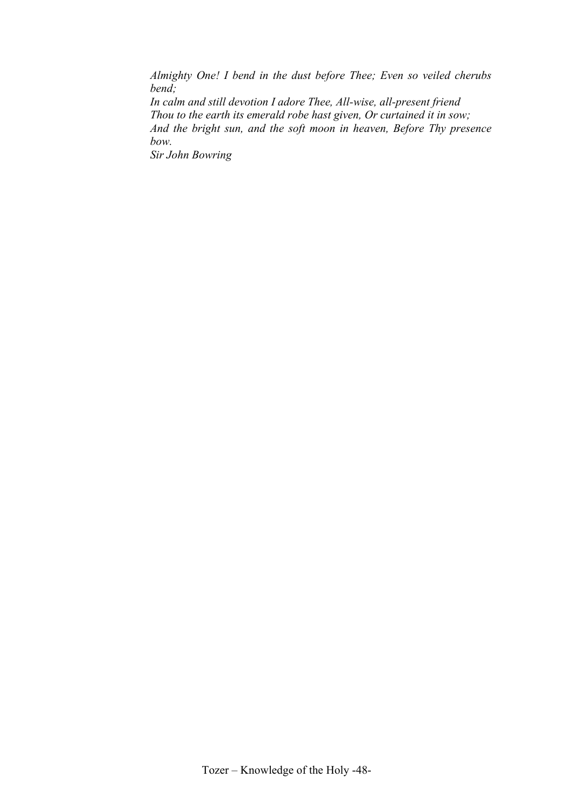*Almighty One! I bend in the dust before Thee; Even so veiled cherubs bend; In calm and still devotion I adore Thee, All-wise, all-present friend* 

*Thou to the earth its emerald robe hast given, Or curtained it in sow; And the bright sun, and the soft moon in heaven, Before Thy presence bow.* 

*Sir John Bowring*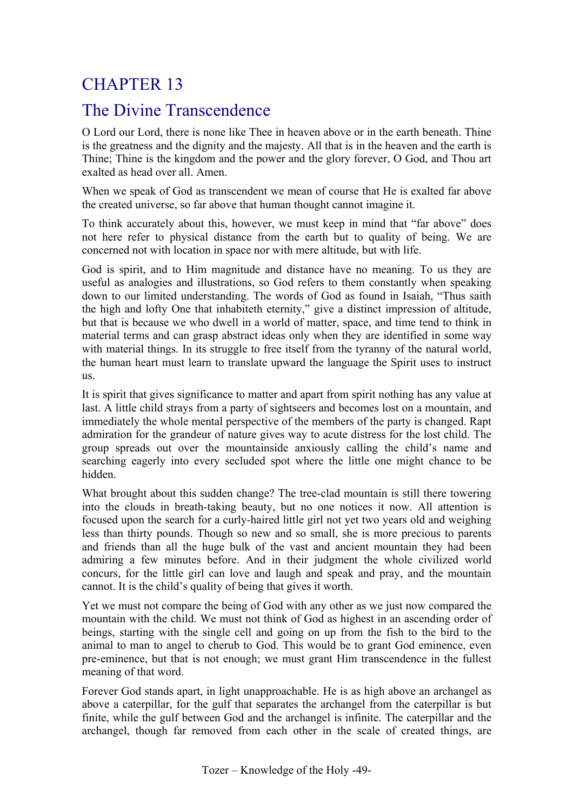### The Divine Transcendence

O Lord our Lord, there is none like Thee in heaven above or in the earth beneath. Thine is the greatness and the dignity and the majesty. All that is in the heaven and the earth is Thine; Thine is the kingdom and the power and the glory forever, O God, and Thou art exalted as head over all. Amen.

When we speak of God as transcendent we mean of course that He is exalted far above the created universe, so far above that human thought cannot imagine it.

To think accurately about this, however, we must keep in mind that "far above" does not here refer to physical distance from the earth but to quality of being. We are concerned not with location in space nor with mere altitude, but with life.

God is spirit, and to Him magnitude and distance have no meaning. To us they are useful as analogies and illustrations, so God refers to them constantly when speaking down to our limited understanding. The words of God as found in Isaiah, "Thus saith the high and lofty One that inhabiteth eternity," give a distinct impression of altitude, but that is because we who dwell in a world of matter, space, and time tend to think in material terms and can grasp abstract ideas only when they are identified in some way with material things. In its struggle to free itself from the tyranny of the natural world, the human heart must learn to translate upward the language the Spirit uses to instruct us.

It is spirit that gives significance to matter and apart from spirit nothing has any value at last. A little child strays from a party of sightseers and becomes lost on a mountain, and immediately the whole mental perspective of the members of the party is changed. Rapt admiration for the grandeur of nature gives way to acute distress for the lost child. The group spreads out over the mountainside anxiously calling the child's name and searching eagerly into every secluded spot where the little one might chance to be hidden.

What brought about this sudden change? The tree-clad mountain is still there towering into the clouds in breath-taking beauty, but no one notices it now. All attention is focused upon the search for a curly-haired little girl not yet two years old and weighing less than thirty pounds. Though so new and so small, she is more precious to parents and friends than all the huge bulk of the vast and ancient mountain they had been admiring a few minutes before. And in their judgment the whole civilized world concurs, for the little girl can love and laugh and speak and pray, and the mountain cannot. It is the child's quality of being that gives it worth.

Yet we must not compare the being of God with any other as we just now compared the mountain with the child. We must not think of God as highest in an ascending order of beings, starting with the single cell and going on up from the fish to the bird to the animal to man to angel to cherub to God. This would be to grant God eminence, even pre-eminence, but that is not enough; we must grant Him transcendence in the fullest meaning of that word.

Forever God stands apart, in light unapproachable. He is as high above an archangel as above a caterpillar, for the gulf that separates the archangel from the caterpillar is but finite, while the gulf between God and the archangel is infinite. The caterpillar and the archangel, though far removed from each other in the scale of created things, are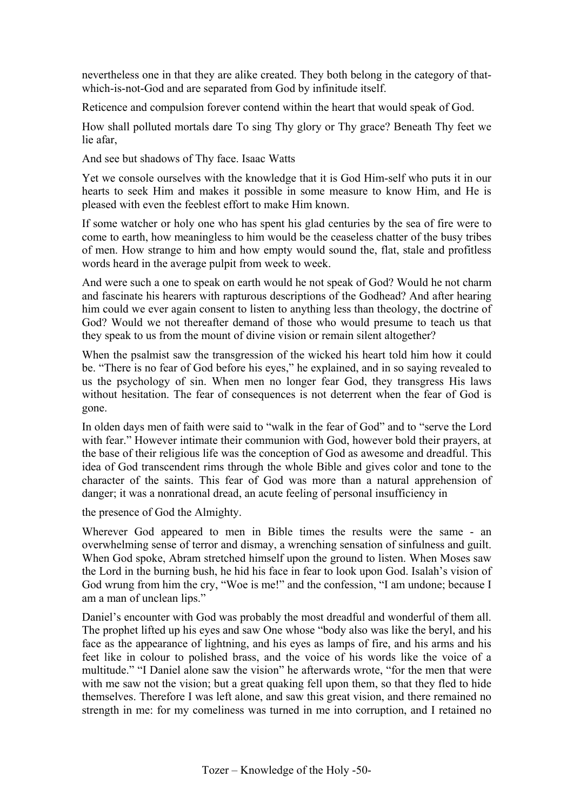nevertheless one in that they are alike created. They both belong in the category of thatwhich-is-not-God and are separated from God by infinitude itself.

Reticence and compulsion forever contend within the heart that would speak of God.

How shall polluted mortals dare To sing Thy glory or Thy grace? Beneath Thy feet we lie afar,

And see but shadows of Thy face. Isaac Watts

Yet we console ourselves with the knowledge that it is God Him-self who puts it in our hearts to seek Him and makes it possible in some measure to know Him, and He is pleased with even the feeblest effort to make Him known.

If some watcher or holy one who has spent his glad centuries by the sea of fire were to come to earth, how meaningless to him would be the ceaseless chatter of the busy tribes of men. How strange to him and how empty would sound the, flat, stale and profitless words heard in the average pulpit from week to week.

And were such a one to speak on earth would he not speak of God? Would he not charm and fascinate his hearers with rapturous descriptions of the Godhead? And after hearing him could we ever again consent to listen to anything less than theology, the doctrine of God? Would we not thereafter demand of those who would presume to teach us that they speak to us from the mount of divine vision or remain silent altogether?

When the psalmist saw the transgression of the wicked his heart told him how it could be. "There is no fear of God before his eyes," he explained, and in so saying revealed to us the psychology of sin. When men no longer fear God, they transgress His laws without hesitation. The fear of consequences is not deterrent when the fear of God is gone.

In olden days men of faith were said to "walk in the fear of God" and to "serve the Lord with fear." However intimate their communion with God, however bold their prayers, at the base of their religious life was the conception of God as awesome and dreadful. This idea of God transcendent rims through the whole Bible and gives color and tone to the character of the saints. This fear of God was more than a natural apprehension of danger; it was a nonrational dread, an acute feeling of personal insufficiency in

the presence of God the Almighty.

Wherever God appeared to men in Bible times the results were the same - an overwhelming sense of terror and dismay, a wrenching sensation of sinfulness and guilt. When God spoke, Abram stretched himself upon the ground to listen. When Moses saw the Lord in the burning bush, he hid his face in fear to look upon God. Isalah's vision of God wrung from him the cry, "Woe is me!" and the confession, "I am undone; because I am a man of unclean lips."

Daniel's encounter with God was probably the most dreadful and wonderful of them all. The prophet lifted up his eyes and saw One whose "body also was like the beryl, and his face as the appearance of lightning, and his eyes as lamps of fire, and his arms and his feet like in colour to polished brass, and the voice of his words like the voice of a multitude." "I Daniel alone saw the vision" he afterwards wrote, "for the men that were with me saw not the vision; but a great quaking fell upon them, so that they fled to hide themselves. Therefore I was left alone, and saw this great vision, and there remained no strength in me: for my comeliness was turned in me into corruption, and I retained no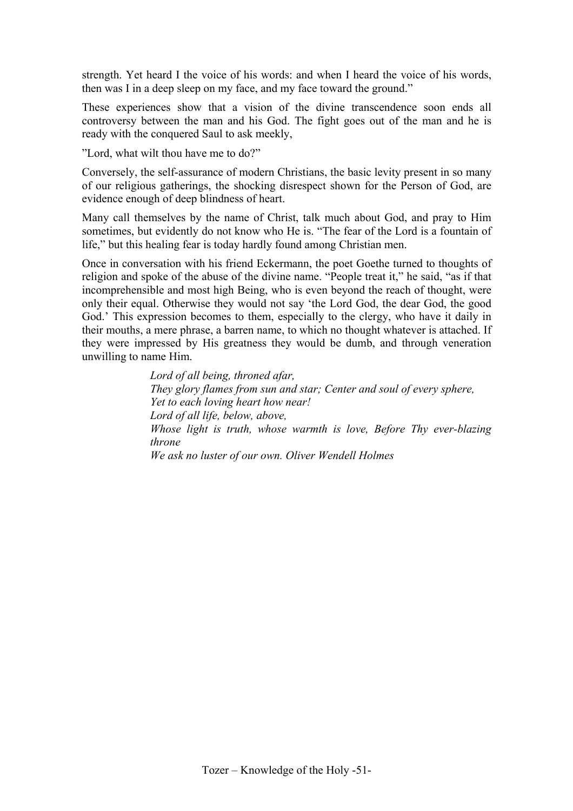strength. Yet heard I the voice of his words: and when I heard the voice of his words, then was I in a deep sleep on my face, and my face toward the ground."

These experiences show that a vision of the divine transcendence soon ends all controversy between the man and his God. The fight goes out of the man and he is ready with the conquered Saul to ask meekly,

"Lord, what wilt thou have me to do?"

Conversely, the self-assurance of modern Christians, the basic levity present in so many of our religious gatherings, the shocking disrespect shown for the Person of God, are evidence enough of deep blindness of heart.

Many call themselves by the name of Christ, talk much about God, and pray to Him sometimes, but evidently do not know who He is. "The fear of the Lord is a fountain of life," but this healing fear is today hardly found among Christian men.

Once in conversation with his friend Eckermann, the poet Goethe turned to thoughts of religion and spoke of the abuse of the divine name. "People treat it," he said, "as if that incomprehensible and most high Being, who is even beyond the reach of thought, were only their equal. Otherwise they would not say 'the Lord God, the dear God, the good God.' This expression becomes to them, especially to the clergy, who have it daily in their mouths, a mere phrase, a barren name, to which no thought whatever is attached. If they were impressed by His greatness they would be dumb, and through veneration unwilling to name Him.

> *Lord of all being, throned afar, They glory flames from sun and star; Center and soul of every sphere, Yet to each loving heart how near! Lord of all life, below, above, Whose light is truth, whose warmth is love, Before Thy ever-blazing throne We ask no luster of our own. Oliver Wendell Holmes*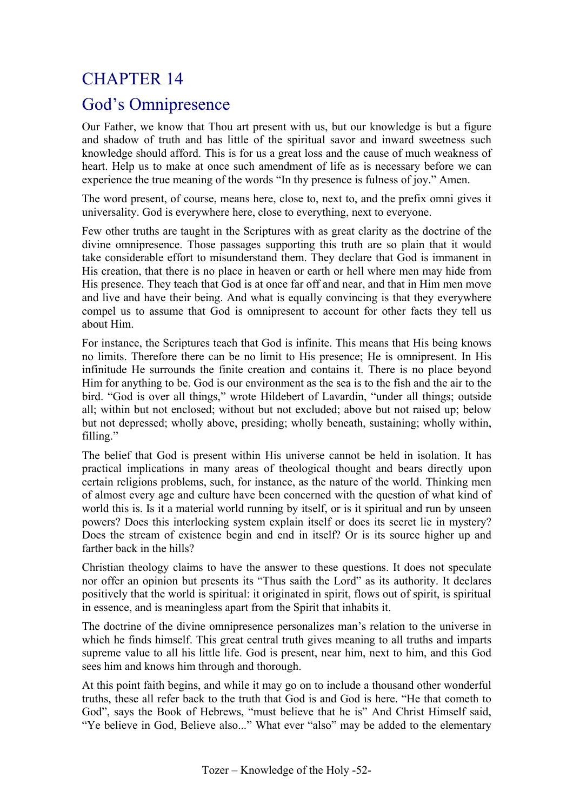### God's Omnipresence

Our Father, we know that Thou art present with us, but our knowledge is but a figure and shadow of truth and has little of the spiritual savor and inward sweetness such knowledge should afford. This is for us a great loss and the cause of much weakness of heart. Help us to make at once such amendment of life as is necessary before we can experience the true meaning of the words "In thy presence is fulness of joy." Amen.

The word present, of course, means here, close to, next to, and the prefix omni gives it universality. God is everywhere here, close to everything, next to everyone.

Few other truths are taught in the Scriptures with as great clarity as the doctrine of the divine omnipresence. Those passages supporting this truth are so plain that it would take considerable effort to misunderstand them. They declare that God is immanent in His creation, that there is no place in heaven or earth or hell where men may hide from His presence. They teach that God is at once far off and near, and that in Him men move and live and have their being. And what is equally convincing is that they everywhere compel us to assume that God is omnipresent to account for other facts they tell us about Him.

For instance, the Scriptures teach that God is infinite. This means that His being knows no limits. Therefore there can be no limit to His presence; He is omnipresent. In His infinitude He surrounds the finite creation and contains it. There is no place beyond Him for anything to be. God is our environment as the sea is to the fish and the air to the bird. "God is over all things," wrote Hildebert of Lavardin, "under all things; outside all; within but not enclosed; without but not excluded; above but not raised up; below but not depressed; wholly above, presiding; wholly beneath, sustaining; wholly within, filling."

The belief that God is present within His universe cannot be held in isolation. It has practical implications in many areas of theological thought and bears directly upon certain religions problems, such, for instance, as the nature of the world. Thinking men of almost every age and culture have been concerned with the question of what kind of world this is. Is it a material world running by itself, or is it spiritual and run by unseen powers? Does this interlocking system explain itself or does its secret lie in mystery? Does the stream of existence begin and end in itself? Or is its source higher up and farther back in the hills?

Christian theology claims to have the answer to these questions. It does not speculate nor offer an opinion but presents its "Thus saith the Lord" as its authority. It declares positively that the world is spiritual: it originated in spirit, flows out of spirit, is spiritual in essence, and is meaningless apart from the Spirit that inhabits it.

The doctrine of the divine omnipresence personalizes man's relation to the universe in which he finds himself. This great central truth gives meaning to all truths and imparts supreme value to all his little life. God is present, near him, next to him, and this God sees him and knows him through and thorough.

At this point faith begins, and while it may go on to include a thousand other wonderful truths, these all refer back to the truth that God is and God is here. "He that cometh to God", says the Book of Hebrews, "must believe that he is" And Christ Himself said, "Ye believe in God, Believe also..." What ever "also" may be added to the elementary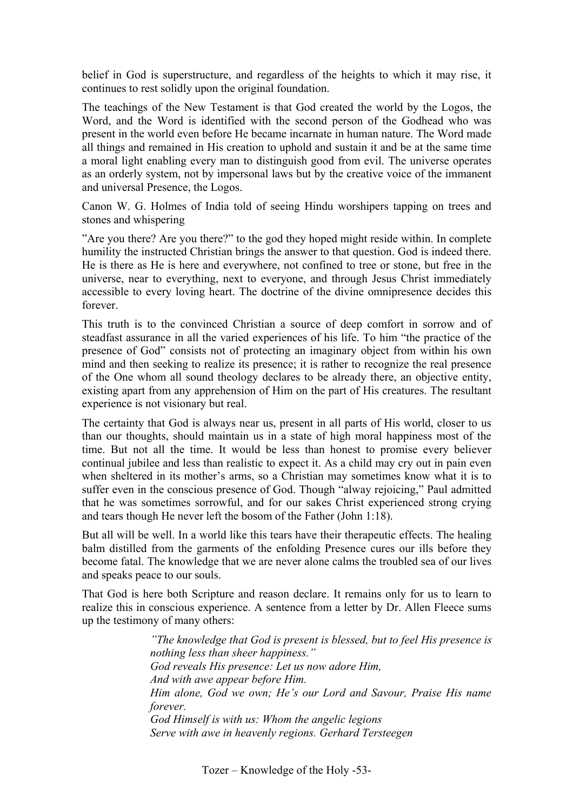belief in God is superstructure, and regardless of the heights to which it may rise, it continues to rest solidly upon the original foundation.

The teachings of the New Testament is that God created the world by the Logos, the Word, and the Word is identified with the second person of the Godhead who was present in the world even before He became incarnate in human nature. The Word made all things and remained in His creation to uphold and sustain it and be at the same time a moral light enabling every man to distinguish good from evil. The universe operates as an orderly system, not by impersonal laws but by the creative voice of the immanent and universal Presence, the Logos.

Canon W. G. Holmes of India told of seeing Hindu worshipers tapping on trees and stones and whispering

"Are you there? Are you there?" to the god they hoped might reside within. In complete humility the instructed Christian brings the answer to that question. God is indeed there. He is there as He is here and everywhere, not confined to tree or stone, but free in the universe, near to everything, next to everyone, and through Jesus Christ immediately accessible to every loving heart. The doctrine of the divine omnipresence decides this forever.

This truth is to the convinced Christian a source of deep comfort in sorrow and of steadfast assurance in all the varied experiences of his life. To him "the practice of the presence of God" consists not of protecting an imaginary object from within his own mind and then seeking to realize its presence; it is rather to recognize the real presence of the One whom all sound theology declares to be already there, an objective entity, existing apart from any apprehension of Him on the part of His creatures. The resultant experience is not visionary but real.

The certainty that God is always near us, present in all parts of His world, closer to us than our thoughts, should maintain us in a state of high moral happiness most of the time. But not all the time. It would be less than honest to promise every believer continual jubilee and less than realistic to expect it. As a child may cry out in pain even when sheltered in its mother's arms, so a Christian may sometimes know what it is to suffer even in the conscious presence of God. Though "alway rejoicing," Paul admitted that he was sometimes sorrowful, and for our sakes Christ experienced strong crying and tears though He never left the bosom of the Father (John 1:18).

But all will be well. In a world like this tears have their therapeutic effects. The healing balm distilled from the garments of the enfolding Presence cures our ills before they become fatal. The knowledge that we are never alone calms the troubled sea of our lives and speaks peace to our souls.

That God is here both Scripture and reason declare. It remains only for us to learn to realize this in conscious experience. A sentence from a letter by Dr. Allen Fleece sums up the testimony of many others:

> *\The knowledge that God is present is blessed, but to feel His presence is nothing less than sheer happiness.*" *God reveals His presence: Let us now adore Him, And with awe appear before Him. Him alone, God we own; He's our Lord and Savour, Praise His name forever. God Himself is with us: Whom the angelic legions Serve with awe in heavenly regions. Gerhard Tersteegen*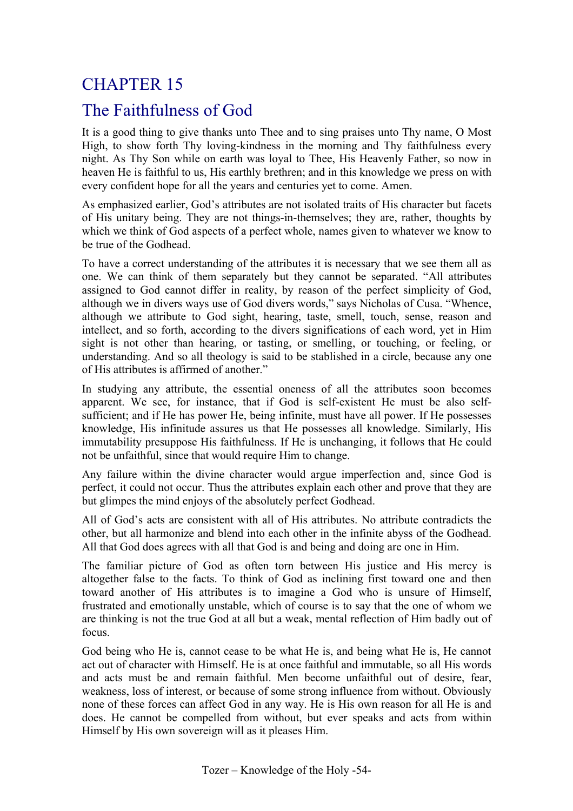### The Faithfulness of God

It is a good thing to give thanks unto Thee and to sing praises unto Thy name, O Most High, to show forth Thy loving-kindness in the morning and Thy faithfulness every night. As Thy Son while on earth was loyal to Thee, His Heavenly Father, so now in heaven He is faithful to us, His earthly brethren; and in this knowledge we press on with every confident hope for all the years and centuries yet to come. Amen.

As emphasized earlier, God's attributes are not isolated traits of His character but facets of His unitary being. They are not things-in-themselves; they are, rather, thoughts by which we think of God aspects of a perfect whole, names given to whatever we know to be true of the Godhead.

To have a correct understanding of the attributes it is necessary that we see them all as one. We can think of them separately but they cannot be separated. "All attributes assigned to God cannot differ in reality, by reason of the perfect simplicity of God, although we in divers ways use of God divers words," says Nicholas of Cusa. "Whence, although we attribute to God sight, hearing, taste, smell, touch, sense, reason and intellect, and so forth, according to the divers significations of each word, yet in Him sight is not other than hearing, or tasting, or smelling, or touching, or feeling, or understanding. And so all theology is said to be stablished in a circle, because any one of His attributes is affirmed of another."

In studying any attribute, the essential oneness of all the attributes soon becomes apparent. We see, for instance, that if God is self-existent He must be also selfsufficient; and if He has power He, being infinite, must have all power. If He possesses knowledge, His infinitude assures us that He possesses all knowledge. Similarly, His immutability presuppose His faithfulness. If He is unchanging, it follows that He could not be unfaithful, since that would require Him to change.

Any failure within the divine character would argue imperfection and, since God is perfect, it could not occur. Thus the attributes explain each other and prove that they are but glimpes the mind enjoys of the absolutely perfect Godhead.

All of God's acts are consistent with all of His attributes. No attribute contradicts the other, but all harmonize and blend into each other in the infinite abyss of the Godhead. All that God does agrees with all that God is and being and doing are one in Him.

The familiar picture of God as often torn between His justice and His mercy is altogether false to the facts. To think of God as inclining first toward one and then toward another of His attributes is to imagine a God who is unsure of Himself, frustrated and emotionally unstable, which of course is to say that the one of whom we are thinking is not the true God at all but a weak, mental reflection of Him badly out of focus.

God being who He is, cannot cease to be what He is, and being what He is, He cannot act out of character with Himself. He is at once faithful and immutable, so all His words and acts must be and remain faithful. Men become unfaithful out of desire, fear, weakness, loss of interest, or because of some strong influence from without. Obviously none of these forces can affect God in any way. He is His own reason for all He is and does. He cannot be compelled from without, but ever speaks and acts from within Himself by His own sovereign will as it pleases Him.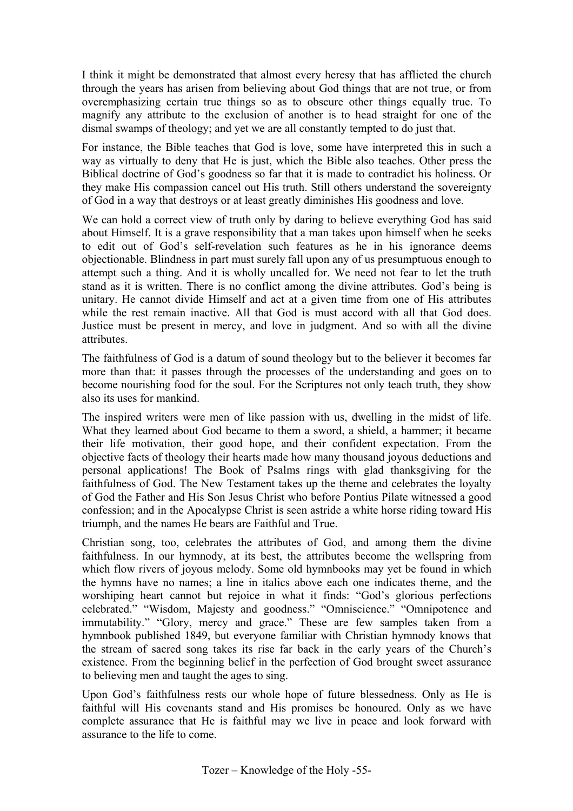I think it might be demonstrated that almost every heresy that has afflicted the church through the years has arisen from believing about God things that are not true, or from overemphasizing certain true things so as to obscure other things equally true. To magnify any attribute to the exclusion of another is to head straight for one of the dismal swamps of theology; and yet we are all constantly tempted to do just that.

For instance, the Bible teaches that God is love, some have interpreted this in such a way as virtually to deny that He is just, which the Bible also teaches. Other press the Biblical doctrine of God's goodness so far that it is made to contradict his holiness. Or they make His compassion cancel out His truth. Still others understand the sovereignty of God in a way that destroys or at least greatly diminishes His goodness and love.

We can hold a correct view of truth only by daring to believe everything God has said about Himself. It is a grave responsibility that a man takes upon himself when he seeks to edit out of God's self-revelation such features as he in his ignorance deems objectionable. Blindness in part must surely fall upon any of us presumptuous enough to attempt such a thing. And it is wholly uncalled for. We need not fear to let the truth stand as it is written. There is no conflict among the divine attributes. God's being is unitary. He cannot divide Himself and act at a given time from one of His attributes while the rest remain inactive. All that God is must accord with all that God does. Justice must be present in mercy, and love in judgment. And so with all the divine attributes.

The faithfulness of God is a datum of sound theology but to the believer it becomes far more than that: it passes through the processes of the understanding and goes on to become nourishing food for the soul. For the Scriptures not only teach truth, they show also its uses for mankind.

The inspired writers were men of like passion with us, dwelling in the midst of life. What they learned about God became to them a sword, a shield, a hammer; it became their life motivation, their good hope, and their confident expectation. From the objective facts of theology their hearts made how many thousand joyous deductions and personal applications! The Book of Psalms rings with glad thanksgiving for the faithfulness of God. The New Testament takes up the theme and celebrates the loyalty of God the Father and His Son Jesus Christ who before Pontius Pilate witnessed a good confession; and in the Apocalypse Christ is seen astride a white horse riding toward His triumph, and the names He bears are Faithful and True.

Christian song, too, celebrates the attributes of God, and among them the divine faithfulness. In our hymnody, at its best, the attributes become the wellspring from which flow rivers of joyous melody. Some old hymnbooks may yet be found in which the hymns have no names; a line in italics above each one indicates theme, and the worshiping heart cannot but rejoice in what it finds: "God's glorious perfections celebrated." "Wisdom, Majesty and goodness." "Omniscience." "Omnipotence and immutability." "Glory, mercy and grace." These are few samples taken from a hymnbook published 1849, but everyone familiar with Christian hymnody knows that the stream of sacred song takes its rise far back in the early years of the Church's existence. From the beginning belief in the perfection of God brought sweet assurance to believing men and taught the ages to sing.

Upon God's faithfulness rests our whole hope of future blessedness. Only as He is faithful will His covenants stand and His promises be honoured. Only as we have complete assurance that He is faithful may we live in peace and look forward with assurance to the life to come.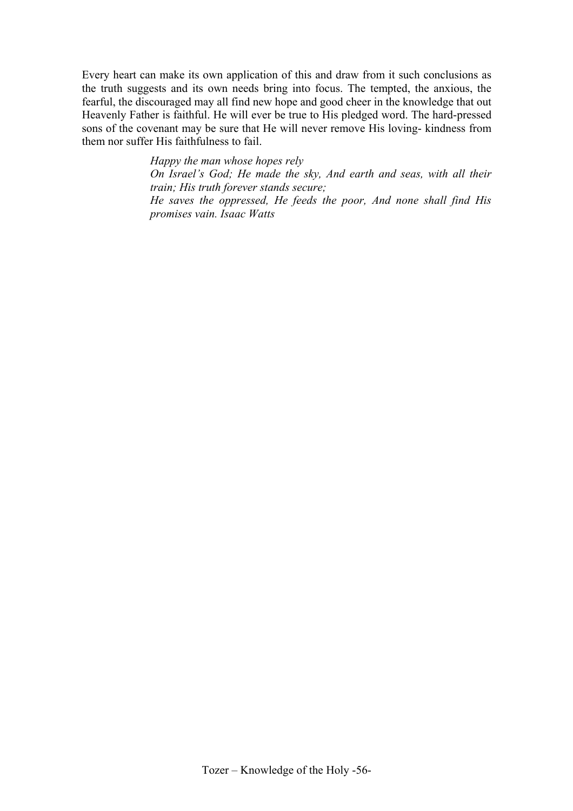Every heart can make its own application of this and draw from it such conclusions as the truth suggests and its own needs bring into focus. The tempted, the anxious, the fearful, the discouraged may all find new hope and good cheer in the knowledge that out Heavenly Father is faithful. He will ever be true to His pledged word. The hard-pressed sons of the covenant may be sure that He will never remove His loving- kindness from them nor suffer His faithfulness to fail.

> *Happy the man whose hopes rely On Israel's God; He made the sky, And earth and seas, with all their train; His truth forever stands secure; He saves the oppressed, He feeds the poor, And none shall find His promises vain. Isaac Watts*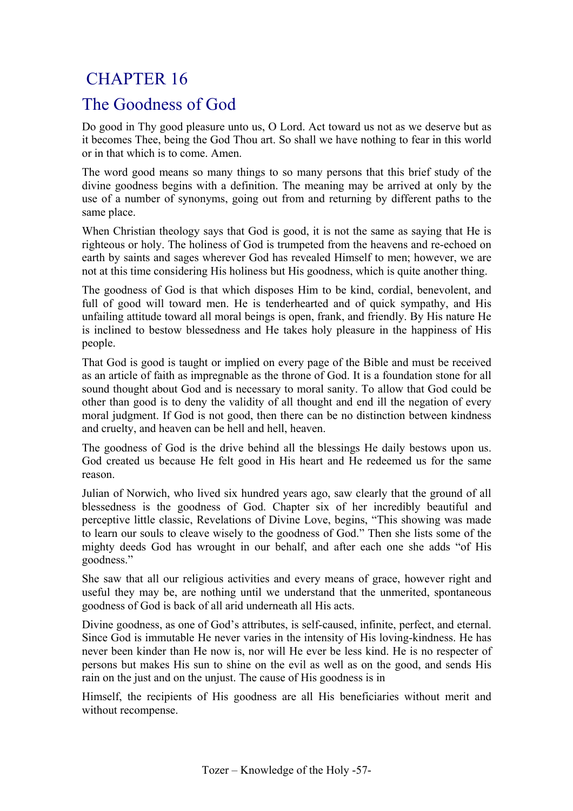#### The Goodness of God

Do good in Thy good pleasure unto us, O Lord. Act toward us not as we deserve but as it becomes Thee, being the God Thou art. So shall we have nothing to fear in this world or in that which is to come. Amen.

The word good means so many things to so many persons that this brief study of the divine goodness begins with a definition. The meaning may be arrived at only by the use of a number of synonyms, going out from and returning by different paths to the same place.

When Christian theology says that God is good, it is not the same as saying that He is righteous or holy. The holiness of God is trumpeted from the heavens and re-echoed on earth by saints and sages wherever God has revealed Himself to men; however, we are not at this time considering His holiness but His goodness, which is quite another thing.

The goodness of God is that which disposes Him to be kind, cordial, benevolent, and full of good will toward men. He is tenderhearted and of quick sympathy, and His unfailing attitude toward all moral beings is open, frank, and friendly. By His nature He is inclined to bestow blessedness and He takes holy pleasure in the happiness of His people.

That God is good is taught or implied on every page of the Bible and must be received as an article of faith as impregnable as the throne of God. It is a foundation stone for all sound thought about God and is necessary to moral sanity. To allow that God could be other than good is to deny the validity of all thought and end ill the negation of every moral judgment. If God is not good, then there can be no distinction between kindness and cruelty, and heaven can be hell and hell, heaven.

The goodness of God is the drive behind all the blessings He daily bestows upon us. God created us because He felt good in His heart and He redeemed us for the same reason.

Julian of Norwich, who lived six hundred years ago, saw clearly that the ground of all blessedness is the goodness of God. Chapter six of her incredibly beautiful and perceptive little classic, Revelations of Divine Love, begins, ^This showing was made to learn our souls to cleave wisely to the goodness of God." Then she lists some of the mighty deeds God has wrought in our behalf, and after each one she adds "of His goodness."

She saw that all our religious activities and every means of grace, however right and useful they may be, are nothing until we understand that the unmerited, spontaneous goodness of God is back of all arid underneath all His acts.

Divine goodness, as one of God's attributes, is self-caused, infinite, perfect, and eternal. Since God is immutable He never varies in the intensity of His loving-kindness. He has never been kinder than He now is, nor will He ever be less kind. He is no respecter of persons but makes His sun to shine on the evil as well as on the good, and sends His rain on the just and on the unjust. The cause of His goodness is in

Himself, the recipients of His goodness are all His beneficiaries without merit and without recompense.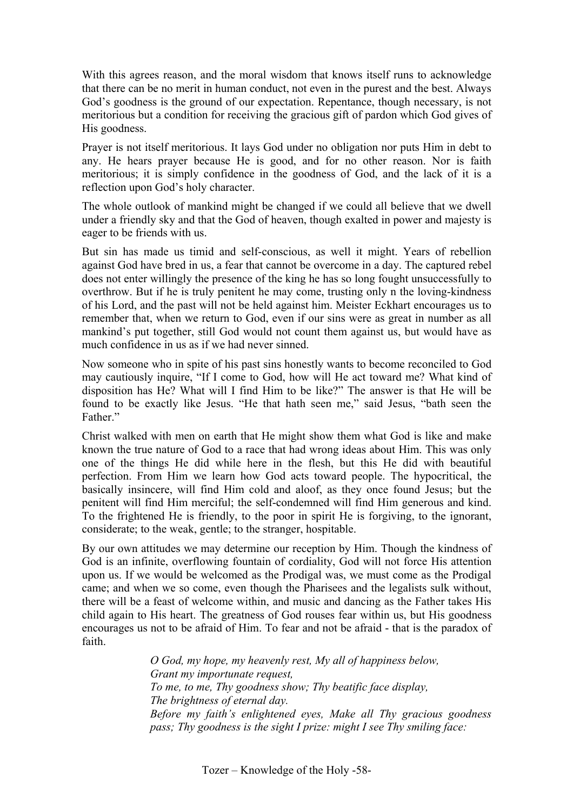With this agrees reason, and the moral wisdom that knows itself runs to acknowledge that there can be no merit in human conduct, not even in the purest and the best. Always God's goodness is the ground of our expectation. Repentance, though necessary, is not meritorious but a condition for receiving the gracious gift of pardon which God gives of His goodness.

Prayer is not itself meritorious. It lays God under no obligation nor puts Him in debt to any. He hears prayer because He is good, and for no other reason. Nor is faith meritorious; it is simply confidence in the goodness of God, and the lack of it is a reflection upon God's holy character.

The whole outlook of mankind might be changed if we could all believe that we dwell under a friendly sky and that the God of heaven, though exalted in power and majesty is eager to be friends with us.

But sin has made us timid and self-conscious, as well it might. Years of rebellion against God have bred in us, a fear that cannot be overcome in a day. The captured rebel does not enter willingly the presence of the king he has so long fought unsuccessfully to overthrow. But if he is truly penitent he may come, trusting only n the loving-kindness of his Lord, and the past will not be held against him. Meister Eckhart encourages us to remember that, when we return to God, even if our sins were as great in number as all mankind's put together, still God would not count them against us, but would have as much confidence in us as if we had never sinned.

Now someone who in spite of his past sins honestly wants to become reconciled to God may cautiously inquire, "If I come to God, how will He act toward me? What kind of disposition has He? What will I find Him to be like?" The answer is that He will be found to be exactly like Jesus. "He that hath seen me," said Jesus, "bath seen the Father."

Christ walked with men on earth that He might show them what God is like and make known the true nature of God to a race that had wrong ideas about Him. This was only one of the things He did while here in the flesh, but this He did with beautiful perfection. From Him we learn how God acts toward people. The hypocritical, the basically insincere, will find Him cold and aloof, as they once found Jesus; but the penitent will find Him merciful; the self-condemned will find Him generous and kind. To the frightened He is friendly, to the poor in spirit He is forgiving, to the ignorant, considerate; to the weak, gentle; to the stranger, hospitable.

By our own attitudes we may determine our reception by Him. Though the kindness of God is an infinite, overflowing fountain of cordiality, God will not force His attention upon us. If we would be welcomed as the Prodigal was, we must come as the Prodigal came; and when we so come, even though the Pharisees and the legalists sulk without, there will be a feast of welcome within, and music and dancing as the Father takes His child again to His heart. The greatness of God rouses fear within us, but His goodness encourages us not to be afraid of Him. To fear and not be afraid - that is the paradox of faith.

> *O God, my hope, my heavenly rest, My all of happiness below, Grant my importunate request, To me, to me, Thy goodness show; Thy beatific face display, The brightness of eternal day. Before my faith's enlightened eyes, Make all Thy gracious goodness pass; Thy goodness is the sight I prize: might I see Thy smiling face:*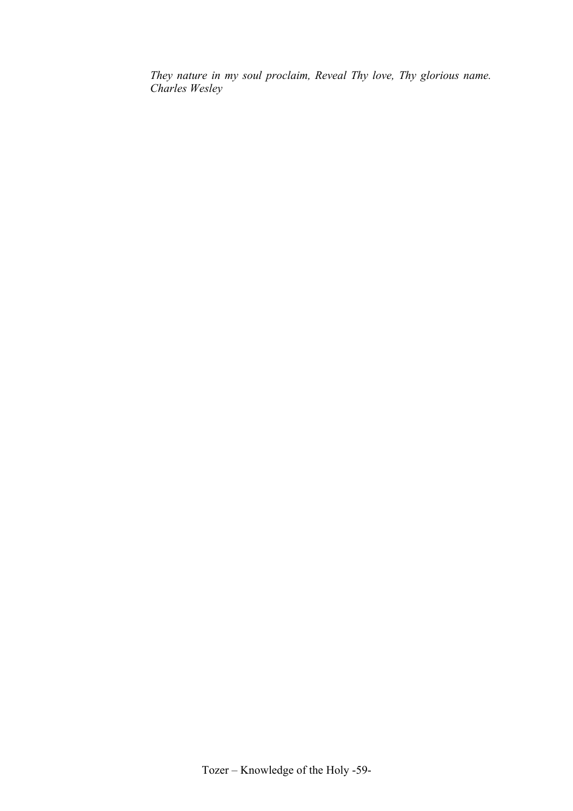*They nature in my soul proclaim, Reveal Thy love, Thy glorious name. Charles Wesley*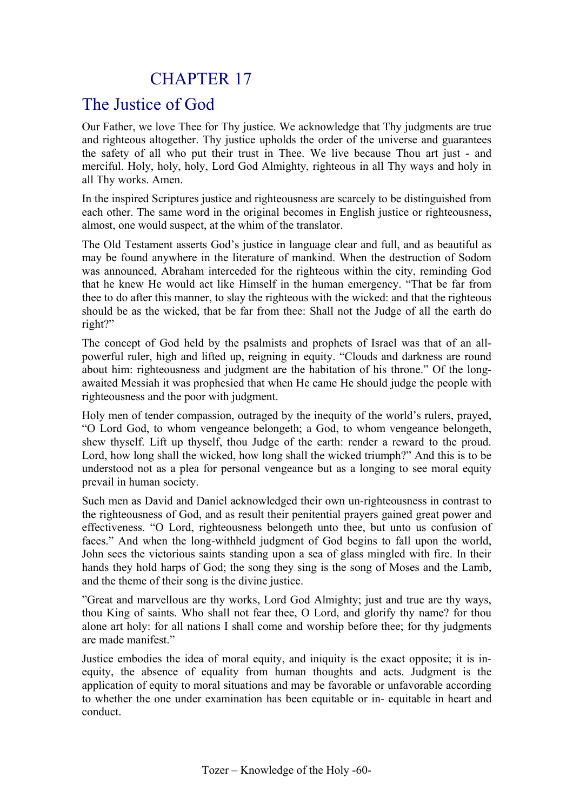#### The Justice of God

Our Father, we love Thee for Thy justice. We acknowledge that Thy judgments are true and righteous altogether. Thy justice upholds the order of the universe and guarantees the safety of all who put their trust in Thee. We live because Thou art just - and merciful. Holy, holy, holy, Lord God Almighty, righteous in all Thy ways and holy in all Thy works. Amen.

In the inspired Scriptures justice and righteousness are scarcely to be distinguished from each other. The same word in the original becomes in English justice or righteousness, almost, one would suspect, at the whim of the translator.

The Old Testament asserts God's justice in language clear and full, and as beautiful as may be found anywhere in the literature of mankind. When the destruction of Sodom was announced, Abraham interceded for the righteous within the city, reminding God that he knew He would act like Himself in the human emergency. ^That be far from thee to do after this manner, to slay the righteous with the wicked: and that the righteous should be as the wicked, that be far from thee: Shall not the Judge of all the earth do right?"

The concept of God held by the psalmists and prophets of Israel was that of an allpowerful ruler, high and lifted up, reigning in equity. "Clouds and darkness are round about him: righteousness and judgment are the habitation of his throne." Of the longawaited Messiah it was prophesied that when He came He should judge the people with righteousness and the poor with judgment.

Holy men of tender compassion, outraged by the inequity of the world's rulers, prayed, ^O Lord God, to whom vengeance belongeth; a God, to whom vengeance belongeth, shew thyself. Lift up thyself, thou Judge of the earth: render a reward to the proud. Lord, how long shall the wicked, how long shall the wicked triumph?" And this is to be understood not as a plea for personal vengeance but as a longing to see moral equity prevail in human society.

Such men as David and Daniel acknowledged their own un-righteousness in contrast to the righteousness of God, and as result their penitential prayers gained great power and effectiveness. "O Lord, righteousness belongeth unto thee, but unto us confusion of faces." And when the long-withheld judgment of God begins to fall upon the world, John sees the victorious saints standing upon a sea of glass mingled with fire. In their hands they hold harps of God; the song they sing is the song of Moses and the Lamb, and the theme of their song is the divine justice.

\_Great and marvellous are thy works, Lord God Almighty; just and true are thy ways, thou King of saints. Who shall not fear thee, O Lord, and glorify thy name? for thou alone art holy: for all nations I shall come and worship before thee; for thy judgments are made manifest."

Justice embodies the idea of moral equity, and iniquity is the exact opposite; it is inequity, the absence of equality from human thoughts and acts. Judgment is the application of equity to moral situations and may be favorable or unfavorable according to whether the one under examination has been equitable or in- equitable in heart and conduct.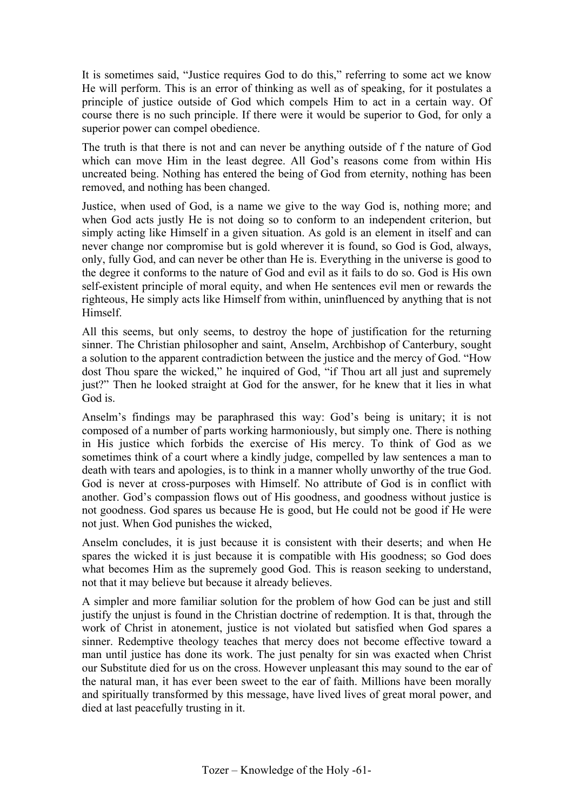It is sometimes said, "Justice requires God to do this," referring to some act we know He will perform. This is an error of thinking as well as of speaking, for it postulates a principle of justice outside of God which compels Him to act in a certain way. Of course there is no such principle. If there were it would be superior to God, for only a superior power can compel obedience.

The truth is that there is not and can never be anything outside of f the nature of God which can move Him in the least degree. All God's reasons come from within His uncreated being. Nothing has entered the being of God from eternity, nothing has been removed, and nothing has been changed.

Justice, when used of God, is a name we give to the way God is, nothing more; and when God acts justly He is not doing so to conform to an independent criterion, but simply acting like Himself in a given situation. As gold is an element in itself and can never change nor compromise but is gold wherever it is found, so God is God, always, only, fully God, and can never be other than He is. Everything in the universe is good to the degree it conforms to the nature of God and evil as it fails to do so. God is His own self-existent principle of moral equity, and when He sentences evil men or rewards the righteous, He simply acts like Himself from within, uninfluenced by anything that is not Himself.

All this seems, but only seems, to destroy the hope of justification for the returning sinner. The Christian philosopher and saint, Anselm, Archbishop of Canterbury, sought a solution to the apparent contradiction between the justice and the mercy of God. "How dost Thou spare the wicked," he inquired of God, "if Thou art all just and supremely just?" Then he looked straight at God for the answer, for he knew that it lies in what God is.

Anselm's findings may be paraphrased this way: God's being is unitary; it is not composed of a number of parts working harmoniously, but simply one. There is nothing in His justice which forbids the exercise of His mercy. To think of God as we sometimes think of a court where a kindly judge, compelled by law sentences a man to death with tears and apologies, is to think in a manner wholly unworthy of the true God. God is never at cross-purposes with Himself. No attribute of God is in conflict with another. God's compassion flows out of His goodness, and goodness without justice is not goodness. God spares us because He is good, but He could not be good if He were not just. When God punishes the wicked,

Anselm concludes, it is just because it is consistent with their deserts; and when He spares the wicked it is just because it is compatible with His goodness; so God does what becomes Him as the supremely good God. This is reason seeking to understand, not that it may believe but because it already believes.

A simpler and more familiar solution for the problem of how God can be just and still justify the unjust is found in the Christian doctrine of redemption. It is that, through the work of Christ in atonement, justice is not violated but satisfied when God spares a sinner. Redemptive theology teaches that mercy does not become effective toward a man until justice has done its work. The just penalty for sin was exacted when Christ our Substitute died for us on the cross. However unpleasant this may sound to the ear of the natural man, it has ever been sweet to the ear of faith. Millions have been morally and spiritually transformed by this message, have lived lives of great moral power, and died at last peacefully trusting in it.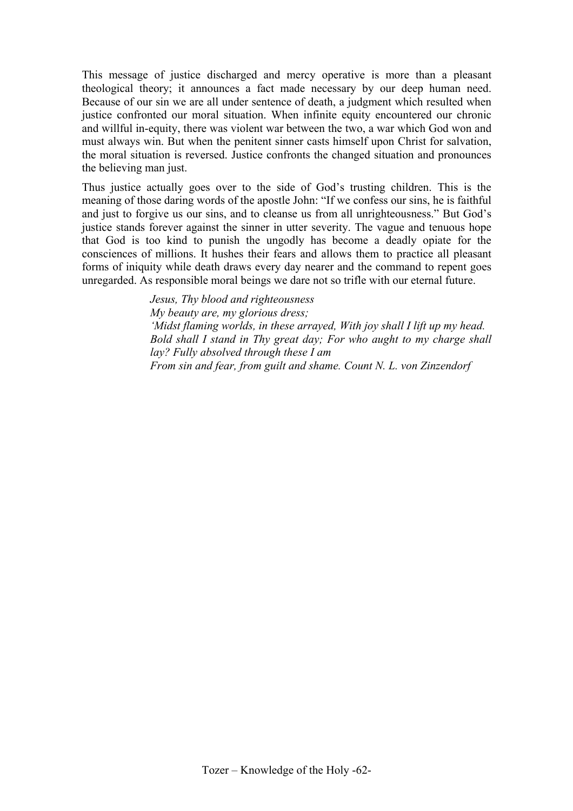This message of justice discharged and mercy operative is more than a pleasant theological theory; it announces a fact made necessary by our deep human need. Because of our sin we are all under sentence of death, a judgment which resulted when justice confronted our moral situation. When infinite equity encountered our chronic and willful in-equity, there was violent war between the two, a war which God won and must always win. But when the penitent sinner casts himself upon Christ for salvation, the moral situation is reversed. Justice confronts the changed situation and pronounces the believing man just.

Thus justice actually goes over to the side of God's trusting children. This is the meaning of those daring words of the apostle John: "If we confess our sins, he is faithful and just to forgive us our sins, and to cleanse us from all unrighteousness." But God's justice stands forever against the sinner in utter severity. The vague and tenuous hope that God is too kind to punish the ungodly has become a deadly opiate for the consciences of millions. It hushes their fears and allows them to practice all pleasant forms of iniquity while death draws every day nearer and the command to repent goes unregarded. As responsible moral beings we dare not so trifle with our eternal future.

> *Jesus, Thy blood and righteousness My beauty are, my glorious dress; Midst flaming worlds, in these arrayed, With joy shall I lift up my head. Bold shall I stand in Thy great day; For who aught to my charge shall lay? Fully absolved through these I am From sin and fear, from guilt and shame. Count N. L. von Zinzendorf*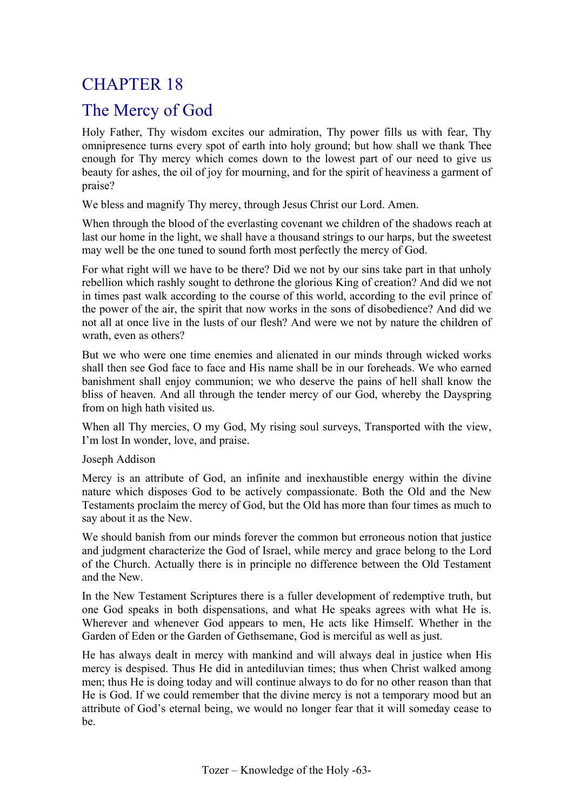## The Mercy of God

Holy Father, Thy wisdom excites our admiration, Thy power fills us with fear, Thy omnipresence turns every spot of earth into holy ground; but how shall we thank Thee enough for Thy mercy which comes down to the lowest part of our need to give us beauty for ashes, the oil of joy for mourning, and for the spirit of heaviness a garment of praise?

We bless and magnify Thy mercy, through Jesus Christ our Lord. Amen.

When through the blood of the everlasting covenant we children of the shadows reach at last our home in the light, we shall have a thousand strings to our harps, but the sweetest may well be the one tuned to sound forth most perfectly the mercy of God.

For what right will we have to be there? Did we not by our sins take part in that unholy rebellion which rashly sought to dethrone the glorious King of creation? And did we not in times past walk according to the course of this world, according to the evil prince of the power of the air, the spirit that now works in the sons of disobedience? And did we not all at once live in the lusts of our flesh? And were we not by nature the children of wrath, even as others?

But we who were one time enemies and alienated in our minds through wicked works shall then see God face to face and His name shall be in our foreheads. We who earned banishment shall enjoy communion; we who deserve the pains of hell shall know the bliss of heaven. And all through the tender mercy of our God, whereby the Dayspring from on high hath visited us.

When all Thy mercies, O my God, My rising soul surveys, Transported with the view, I'm lost In wonder, love, and praise.

Joseph Addison

Mercy is an attribute of God, an infinite and inexhaustible energy within the divine nature which disposes God to be actively compassionate. Both the Old and the New Testaments proclaim the mercy of God, but the Old has more than four times as much to say about it as the New.

We should banish from our minds forever the common but erroneous notion that justice and judgment characterize the God of Israel, while mercy and grace belong to the Lord of the Church. Actually there is in principle no difference between the Old Testament and the New.

In the New Testament Scriptures there is a fuller development of redemptive truth, but one God speaks in both dispensations, and what He speaks agrees with what He is. Wherever and whenever God appears to men, He acts like Himself. Whether in the Garden of Eden or the Garden of Gethsemane, God is merciful as well as just.

He has always dealt in mercy with mankind and will always deal in justice when His mercy is despised. Thus He did in antediluvian times; thus when Christ walked among men; thus He is doing today and will continue always to do for no other reason than that He is God. If we could remember that the divine mercy is not a temporary mood but an attribute of God's eternal being, we would no longer fear that it will someday cease to be.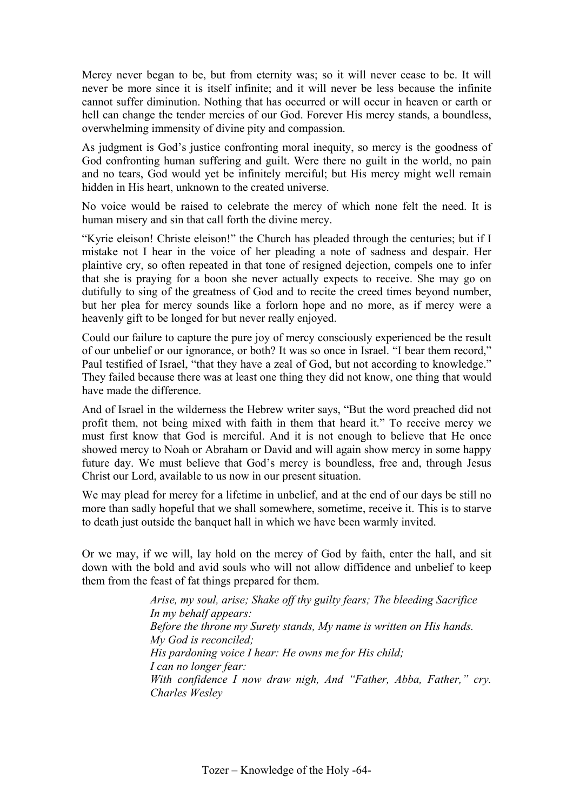Mercy never began to be, but from eternity was; so it will never cease to be. It will never be more since it is itself infinite; and it will never be less because the infinite cannot suffer diminution. Nothing that has occurred or will occur in heaven or earth or hell can change the tender mercies of our God. Forever His mercy stands, a boundless, overwhelming immensity of divine pity and compassion.

As judgment is God's justice confronting moral inequity, so mercy is the goodness of God confronting human suffering and guilt. Were there no guilt in the world, no pain and no tears, God would yet be infinitely merciful; but His mercy might well remain hidden in His heart, unknown to the created universe.

No voice would be raised to celebrate the mercy of which none felt the need. It is human misery and sin that call forth the divine mercy.

"Kyrie eleison! Christe eleison!" the Church has pleaded through the centuries; but if I mistake not I hear in the voice of her pleading a note of sadness and despair. Her plaintive cry, so often repeated in that tone of resigned dejection, compels one to infer that she is praying for a boon she never actually expects to receive. She may go on dutifully to sing of the greatness of God and to recite the creed times beyond number, but her plea for mercy sounds like a forlorn hope and no more, as if mercy were a heavenly gift to be longed for but never really enjoyed.

Could our failure to capture the pure joy of mercy consciously experienced be the result of our unbelief or our ignorance, or both? It was so once in Israel. "I bear them record," Paul testified of Israel, "that they have a zeal of God, but not according to knowledge." They failed because there was at least one thing they did not know, one thing that would have made the difference.

And of Israel in the wilderness the Hebrew writer says, "But the word preached did not profit them, not being mixed with faith in them that heard it." To receive mercy we must first know that God is merciful. And it is not enough to believe that He once showed mercy to Noah or Abraham or David and will again show mercy in some happy future day. We must believe that God's mercy is boundless, free and, through Jesus Christ our Lord, available to us now in our present situation.

We may plead for mercy for a lifetime in unbelief, and at the end of our days be still no more than sadly hopeful that we shall somewhere, sometime, receive it. This is to starve to death just outside the banquet hall in which we have been warmly invited.

Or we may, if we will, lay hold on the mercy of God by faith, enter the hall, and sit down with the bold and avid souls who will not allow diffidence and unbelief to keep them from the feast of fat things prepared for them.

> *Arise, my soul, arise; Shake off thy guilty fears; The bleeding Sacrifice In my behalf appears: Before the throne my Surety stands, My name is written on His hands. My God is reconciled; His pardoning voice I hear: He owns me for His child; I can no longer fear: With confidence I now draw nigh, And "Father, Abba, Father," cry. Charles Wesley*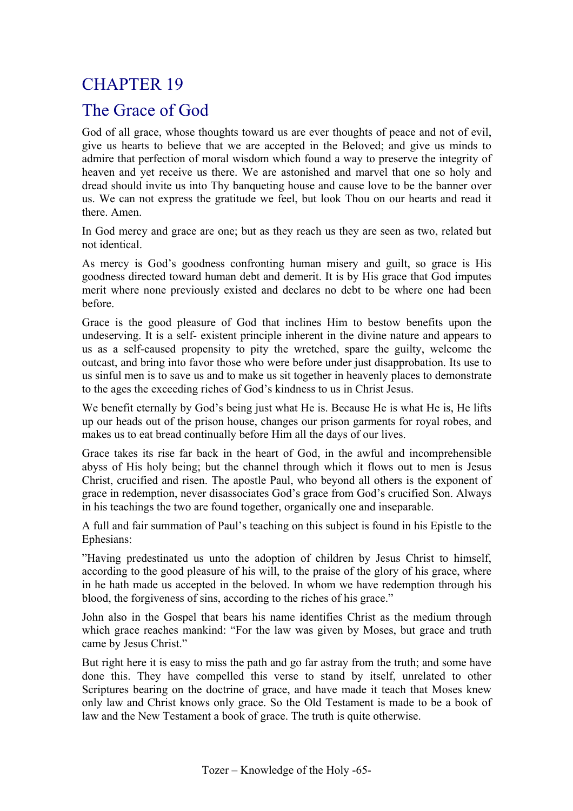### The Grace of God

God of all grace, whose thoughts toward us are ever thoughts of peace and not of evil, give us hearts to believe that we are accepted in the Beloved; and give us minds to admire that perfection of moral wisdom which found a way to preserve the integrity of heaven and yet receive us there. We are astonished and marvel that one so holy and dread should invite us into Thy banqueting house and cause love to be the banner over us. We can not express the gratitude we feel, but look Thou on our hearts and read it there. Amen.

In God mercy and grace are one; but as they reach us they are seen as two, related but not identical.

As mercy is God's goodness confronting human misery and guilt, so grace is His goodness directed toward human debt and demerit. It is by His grace that God imputes merit where none previously existed and declares no debt to be where one had been before.

Grace is the good pleasure of God that inclines Him to bestow benefits upon the undeserving. It is a self- existent principle inherent in the divine nature and appears to us as a self-caused propensity to pity the wretched, spare the guilty, welcome the outcast, and bring into favor those who were before under just disapprobation. Its use to us sinful men is to save us and to make us sit together in heavenly places to demonstrate to the ages the exceeding riches of God's kindness to us in Christ Jesus.

We benefit eternally by God's being just what He is. Because He is what He is, He lifts up our heads out of the prison house, changes our prison garments for royal robes, and makes us to eat bread continually before Him all the days of our lives.

Grace takes its rise far back in the heart of God, in the awful and incomprehensible abyss of His holy being; but the channel through which it flows out to men is Jesus Christ, crucified and risen. The apostle Paul, who beyond all others is the exponent of grace in redemption, never disassociates God's grace from God's crucified Son. Always in his teachings the two are found together, organically one and inseparable.

A full and fair summation of Paul's teaching on this subject is found in his Epistle to the Ephesians:

"Having predestinated us unto the adoption of children by Jesus Christ to himself, according to the good pleasure of his will, to the praise of the glory of his grace, where in he hath made us accepted in the beloved. In whom we have redemption through his blood, the forgiveness of sins, according to the riches of his grace."

John also in the Gospel that bears his name identifies Christ as the medium through which grace reaches mankind: "For the law was given by Moses, but grace and truth came by Jesus Christ."

But right here it is easy to miss the path and go far astray from the truth; and some have done this. They have compelled this verse to stand by itself, unrelated to other Scriptures bearing on the doctrine of grace, and have made it teach that Moses knew only law and Christ knows only grace. So the Old Testament is made to be a book of law and the New Testament a book of grace. The truth is quite otherwise.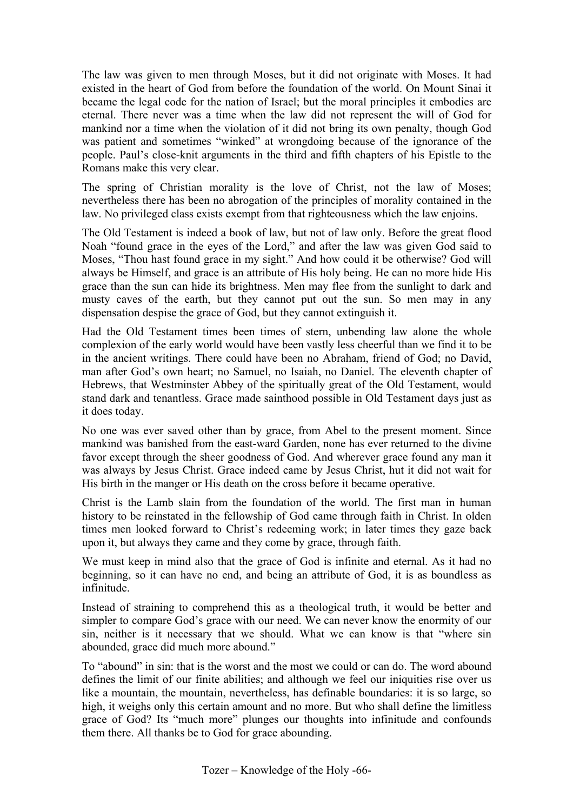The law was given to men through Moses, but it did not originate with Moses. It had existed in the heart of God from before the foundation of the world. On Mount Sinai it became the legal code for the nation of Israel; but the moral principles it embodies are eternal. There never was a time when the law did not represent the will of God for mankind nor a time when the violation of it did not bring its own penalty, though God was patient and sometimes "winked" at wrongdoing because of the ignorance of the people. Paul's close-knit arguments in the third and fifth chapters of his Epistle to the Romans make this very clear.

The spring of Christian morality is the love of Christ, not the law of Moses; nevertheless there has been no abrogation of the principles of morality contained in the law. No privileged class exists exempt from that righteousness which the law enjoins.

The Old Testament is indeed a book of law, but not of law only. Before the great flood Noah "found grace in the eyes of the Lord," and after the law was given God said to Moses, "Thou hast found grace in my sight." And how could it be otherwise? God will always be Himself, and grace is an attribute of His holy being. He can no more hide His grace than the sun can hide its brightness. Men may flee from the sunlight to dark and musty caves of the earth, but they cannot put out the sun. So men may in any dispensation despise the grace of God, but they cannot extinguish it.

Had the Old Testament times been times of stern, unbending law alone the whole complexion of the early world would have been vastly less cheerful than we find it to be in the ancient writings. There could have been no Abraham, friend of God; no David, man after God's own heart; no Samuel, no Isaiah, no Daniel. The eleventh chapter of Hebrews, that Westminster Abbey of the spiritually great of the Old Testament, would stand dark and tenantless. Grace made sainthood possible in Old Testament days just as it does today.

No one was ever saved other than by grace, from Abel to the present moment. Since mankind was banished from the east-ward Garden, none has ever returned to the divine favor except through the sheer goodness of God. And wherever grace found any man it was always by Jesus Christ. Grace indeed came by Jesus Christ, hut it did not wait for His birth in the manger or His death on the cross before it became operative.

Christ is the Lamb slain from the foundation of the world. The first man in human history to be reinstated in the fellowship of God came through faith in Christ. In olden times men looked forward to Christ's redeeming work; in later times they gaze back upon it, but always they came and they come by grace, through faith.

We must keep in mind also that the grace of God is infinite and eternal. As it had no beginning, so it can have no end, and being an attribute of God, it is as boundless as infinitude.

Instead of straining to comprehend this as a theological truth, it would be better and simpler to compare God's grace with our need. We can never know the enormity of our sin, neither is it necessary that we should. What we can know is that "where sin abounded, grace did much more abound."

To "abound" in sin: that is the worst and the most we could or can do. The word abound defines the limit of our finite abilities; and although we feel our iniquities rise over us like a mountain, the mountain, nevertheless, has definable boundaries: it is so large, so high, it weighs only this certain amount and no more. But who shall define the limitless grace of God? Its "much more" plunges our thoughts into infinitude and confounds them there. All thanks be to God for grace abounding.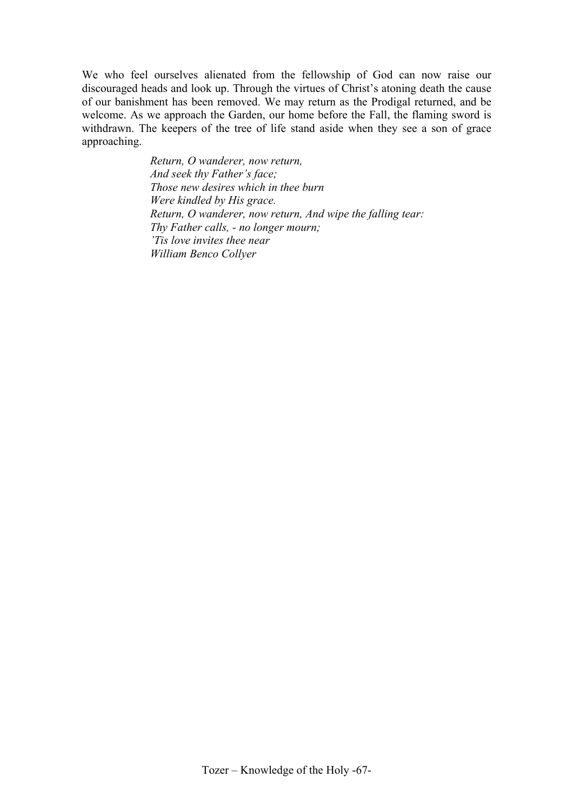We who feel ourselves alienated from the fellowship of God can now raise our discouraged heads and look up. Through the virtues of Christ's atoning death the cause of our banishment has been removed. We may return as the Prodigal returned, and be welcome. As we approach the Garden, our home before the Fall, the flaming sword is withdrawn. The keepers of the tree of life stand aside when they see a son of grace approaching.

> *Return, O wanderer, now return, And seek thy Father's face; Those new desires which in thee burn Were kindled by His grace. Return, O wanderer, now return, And wipe the falling tear: Thy Father calls, - no longer mourn; YTis love invites thee near William Benco Collyer*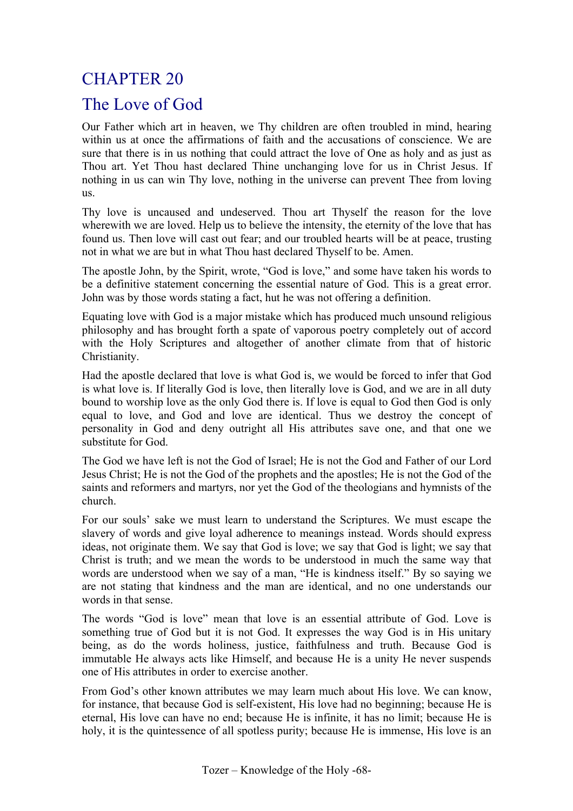#### The Love of God

Our Father which art in heaven, we Thy children are often troubled in mind, hearing within us at once the affirmations of faith and the accusations of conscience. We are sure that there is in us nothing that could attract the love of One as holy and as just as Thou art. Yet Thou hast declared Thine unchanging love for us in Christ Jesus. If nothing in us can win Thy love, nothing in the universe can prevent Thee from loving us.

Thy love is uncaused and undeserved. Thou art Thyself the reason for the love wherewith we are loved. Help us to believe the intensity, the eternity of the love that has found us. Then love will cast out fear; and our troubled hearts will be at peace, trusting not in what we are but in what Thou hast declared Thyself to be. Amen.

The apostle John, by the Spirit, wrote, "God is love," and some have taken his words to be a definitive statement concerning the essential nature of God. This is a great error. John was by those words stating a fact, hut he was not offering a definition.

Equating love with God is a major mistake which has produced much unsound religious philosophy and has brought forth a spate of vaporous poetry completely out of accord with the Holy Scriptures and altogether of another climate from that of historic Christianity.

Had the apostle declared that love is what God is, we would be forced to infer that God is what love is. If literally God is love, then literally love is God, and we are in all duty bound to worship love as the only God there is. If love is equal to God then God is only equal to love, and God and love are identical. Thus we destroy the concept of personality in God and deny outright all His attributes save one, and that one we substitute for God.

The God we have left is not the God of Israel; He is not the God and Father of our Lord Jesus Christ; He is not the God of the prophets and the apostles; He is not the God of the saints and reformers and martyrs, nor yet the God of the theologians and hymnists of the church.

For our souls' sake we must learn to understand the Scriptures. We must escape the slavery of words and give loyal adherence to meanings instead. Words should express ideas, not originate them. We say that God is love; we say that God is light; we say that Christ is truth; and we mean the words to be understood in much the same way that words are understood when we say of a man, "He is kindness itself." By so saying we are not stating that kindness and the man are identical, and no one understands our words in that sense.

The words "God is love" mean that love is an essential attribute of God. Love is something true of God but it is not God. It expresses the way God is in His unitary being, as do the words holiness, justice, faithfulness and truth. Because God is immutable He always acts like Himself, and because He is a unity He never suspends one of His attributes in order to exercise another.

From God's other known attributes we may learn much about His love. We can know, for instance, that because God is self-existent, His love had no beginning; because He is eternal, His love can have no end; because He is infinite, it has no limit; because He is holy, it is the quintessence of all spotless purity; because He is immense, His love is an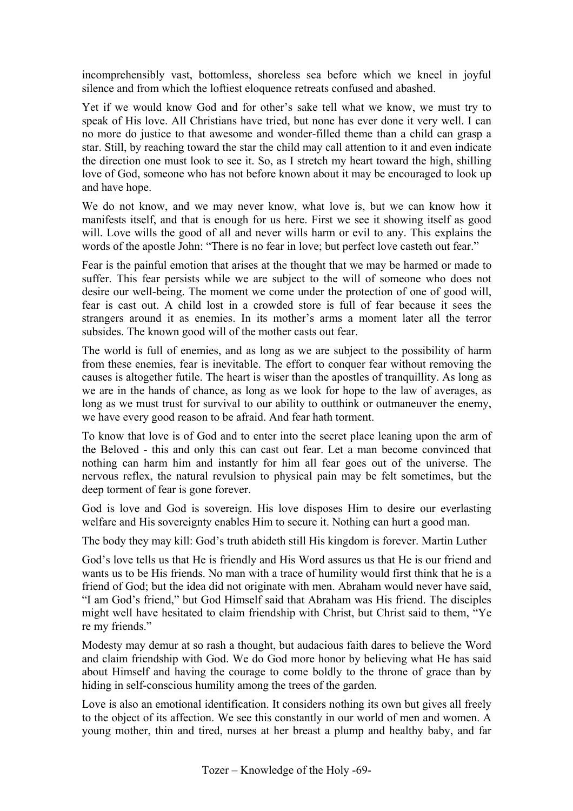incomprehensibly vast, bottomless, shoreless sea before which we kneel in joyful silence and from which the loftiest eloquence retreats confused and abashed.

Yet if we would know God and for other's sake tell what we know, we must try to speak of His love. All Christians have tried, but none has ever done it very well. I can no more do justice to that awesome and wonder-filled theme than a child can grasp a star. Still, by reaching toward the star the child may call attention to it and even indicate the direction one must look to see it. So, as I stretch my heart toward the high, shilling love of God, someone who has not before known about it may be encouraged to look up and have hope.

We do not know, and we may never know, what love is, but we can know how it manifests itself, and that is enough for us here. First we see it showing itself as good will. Love wills the good of all and never wills harm or evil to any. This explains the words of the apostle John: "There is no fear in love; but perfect love casteth out fear."

Fear is the painful emotion that arises at the thought that we may be harmed or made to suffer. This fear persists while we are subject to the will of someone who does not desire our well-being. The moment we come under the protection of one of good will, fear is cast out. A child lost in a crowded store is full of fear because it sees the strangers around it as enemies. In its mother's arms a moment later all the terror subsides. The known good will of the mother casts out fear.

The world is full of enemies, and as long as we are subject to the possibility of harm from these enemies, fear is inevitable. The effort to conquer fear without removing the causes is altogether futile. The heart is wiser than the apostles of tranquillity. As long as we are in the hands of chance, as long as we look for hope to the law of averages, as long as we must trust for survival to our ability to outthink or outmaneuver the enemy, we have every good reason to be afraid. And fear hath torment.

To know that love is of God and to enter into the secret place leaning upon the arm of the Beloved - this and only this can cast out fear. Let a man become convinced that nothing can harm him and instantly for him all fear goes out of the universe. The nervous reflex, the natural revulsion to physical pain may be felt sometimes, but the deep torment of fear is gone forever.

God is love and God is sovereign. His love disposes Him to desire our everlasting welfare and His sovereignty enables Him to secure it. Nothing can hurt a good man.

The body they may kill: God's truth abideth still His kingdom is forever. Martin Luther

God's love tells us that He is friendly and His Word assures us that He is our friend and wants us to be His friends. No man with a trace of humility would first think that he is a friend of God; but the idea did not originate with men. Abraham would never have said, "I am God's friend," but God Himself said that Abraham was His friend. The disciples might well have hesitated to claim friendship with Christ, but Christ said to them, ^Ye re my friends."

Modesty may demur at so rash a thought, but audacious faith dares to believe the Word and claim friendship with God. We do God more honor by believing what He has said about Himself and having the courage to come boldly to the throne of grace than by hiding in self-conscious humility among the trees of the garden.

Love is also an emotional identification. It considers nothing its own but gives all freely to the object of its affection. We see this constantly in our world of men and women. A young mother, thin and tired, nurses at her breast a plump and healthy baby, and far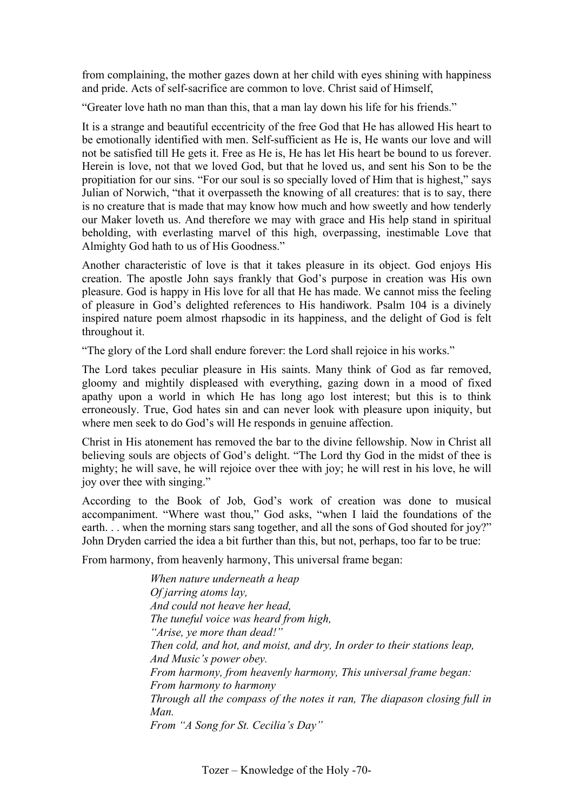from complaining, the mother gazes down at her child with eyes shining with happiness and pride. Acts of self-sacrifice are common to love. Christ said of Himself,

"Greater love hath no man than this, that a man lay down his life for his friends."

It is a strange and beautiful eccentricity of the free God that He has allowed His heart to be emotionally identified with men. Self-sufficient as He is, He wants our love and will not be satisfied till He gets it. Free as He is, He has let His heart be bound to us forever. Herein is love, not that we loved God, but that he loved us, and sent his Son to be the propitiation for our sins. "For our soul is so specially loved of Him that is highest," says Julian of Norwich, "that it overpasseth the knowing of all creatures: that is to say, there is no creature that is made that may know how much and how sweetly and how tenderly our Maker loveth us. And therefore we may with grace and His help stand in spiritual beholding, with everlasting marvel of this high, overpassing, inestimable Love that Almighty God hath to us of His Goodness."

Another characteristic of love is that it takes pleasure in its object. God enjoys His creation. The apostle John says frankly that God's purpose in creation was His own pleasure. God is happy in His love for all that He has made. We cannot miss the feeling of pleasure in God's delighted references to His handiwork. Psalm 104 is a divinely inspired nature poem almost rhapsodic in its happiness, and the delight of God is felt throughout it.

"The glory of the Lord shall endure forever: the Lord shall rejoice in his works."

The Lord takes peculiar pleasure in His saints. Many think of God as far removed, gloomy and mightily displeased with everything, gazing down in a mood of fixed apathy upon a world in which He has long ago lost interest; but this is to think erroneously. True, God hates sin and can never look with pleasure upon iniquity, but where men seek to do God's will He responds in genuine affection.

Christ in His atonement has removed the bar to the divine fellowship. Now in Christ all believing souls are objects of God's delight. "The Lord thy God in the midst of thee is mighty; he will save, he will rejoice over thee with joy; he will rest in his love, he will joy over thee with singing."

According to the Book of Job, God's work of creation was done to musical accompaniment. "Where wast thou," God asks, "when I laid the foundations of the earth. . . when the morning stars sang together, and all the sons of God shouted for joy?" John Dryden carried the idea a bit further than this, but not, perhaps, too far to be true:

From harmony, from heavenly harmony, This universal frame began:

*When nature underneath a heap Of jarring atoms lay, And could not heave her head, The tuneful voice was heard from high, Arise, ye more than dead!*" *Then cold, and hot, and moist, and dry, In order to their stations leap, And Music's power obey. From harmony, from heavenly harmony, This universal frame began: From harmony to harmony Through all the compass of the notes it ran, The diapason closing full in Man. From "A Song for St. Cecilia's Day"*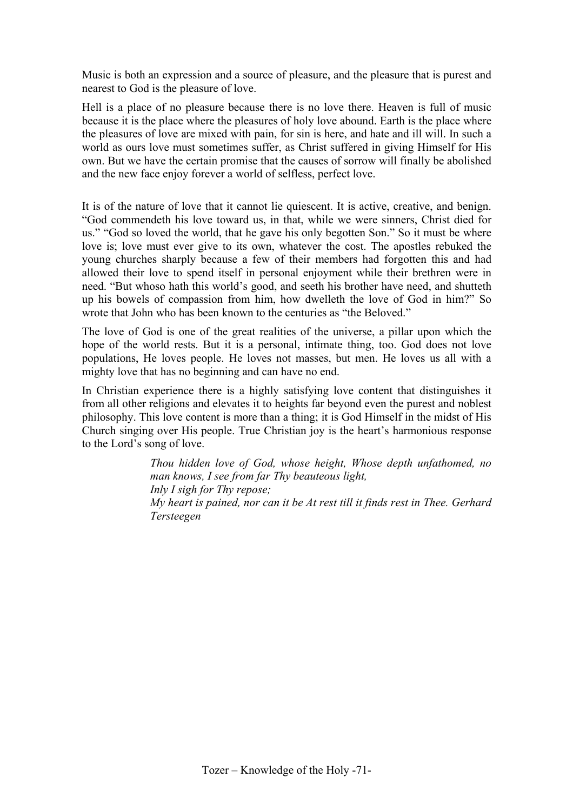Music is both an expression and a source of pleasure, and the pleasure that is purest and nearest to God is the pleasure of love.

Hell is a place of no pleasure because there is no love there. Heaven is full of music because it is the place where the pleasures of holy love abound. Earth is the place where the pleasures of love are mixed with pain, for sin is here, and hate and ill will. In such a world as ours love must sometimes suffer, as Christ suffered in giving Himself for His own. But we have the certain promise that the causes of sorrow will finally be abolished and the new face enjoy forever a world of selfless, perfect love.

It is of the nature of love that it cannot lie quiescent. It is active, creative, and benign. ^God commendeth his love toward us, in that, while we were sinners, Christ died for us." "God so loved the world, that he gave his only begotten Son." So it must be where love is; love must ever give to its own, whatever the cost. The apostles rebuked the young churches sharply because a few of their members had forgotten this and had allowed their love to spend itself in personal enjoyment while their brethren were in need. "But whoso hath this world's good, and seeth his brother have need, and shutteth up his bowels of compassion from him, how dwelleth the love of God in him?" So wrote that John who has been known to the centuries as "the Beloved."

The love of God is one of the great realities of the universe, a pillar upon which the hope of the world rests. But it is a personal, intimate thing, too. God does not love populations, He loves people. He loves not masses, but men. He loves us all with a mighty love that has no beginning and can have no end.

In Christian experience there is a highly satisfying love content that distinguishes it from all other religions and elevates it to heights far beyond even the purest and noblest philosophy. This love content is more than a thing; it is God Himself in the midst of His Church singing over His people. True Christian joy is the heart's harmonious response to the Lord's song of love.

> *Thou hidden love of God, whose height, Whose depth unfathomed, no man knows, I see from far Thy beauteous light, Inly I sigh for Thy repose; My heart is pained, nor can it be At rest till it finds rest in Thee. Gerhard Tersteegen*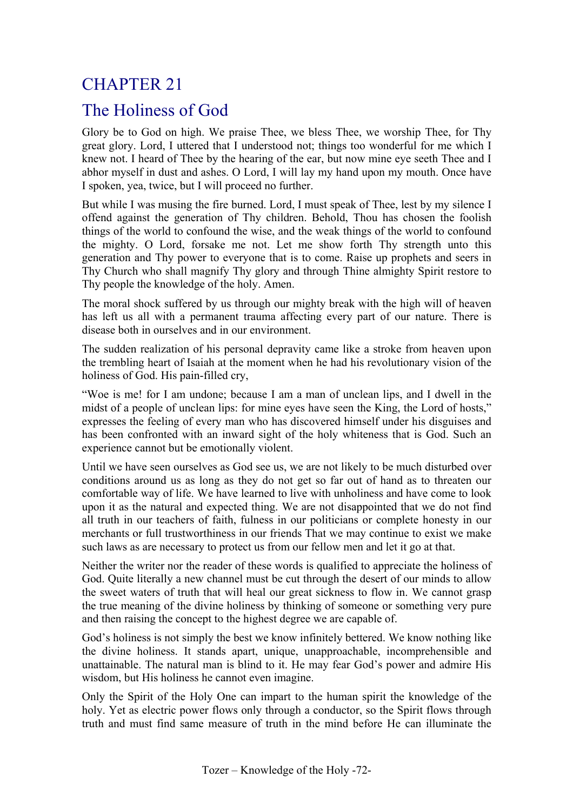### The Holiness of God

Glory be to God on high. We praise Thee, we bless Thee, we worship Thee, for Thy great glory. Lord, I uttered that I understood not; things too wonderful for me which I knew not. I heard of Thee by the hearing of the ear, but now mine eye seeth Thee and I abhor myself in dust and ashes. O Lord, I will lay my hand upon my mouth. Once have I spoken, yea, twice, but I will proceed no further.

But while I was musing the fire burned. Lord, I must speak of Thee, lest by my silence I offend against the generation of Thy children. Behold, Thou has chosen the foolish things of the world to confound the wise, and the weak things of the world to confound the mighty. O Lord, forsake me not. Let me show forth Thy strength unto this generation and Thy power to everyone that is to come. Raise up prophets and seers in Thy Church who shall magnify Thy glory and through Thine almighty Spirit restore to Thy people the knowledge of the holy. Amen.

The moral shock suffered by us through our mighty break with the high will of heaven has left us all with a permanent trauma affecting every part of our nature. There is disease both in ourselves and in our environment.

The sudden realization of his personal depravity came like a stroke from heaven upon the trembling heart of Isaiah at the moment when he had his revolutionary vision of the holiness of God. His pain-filled cry,

^Woe is me! for I am undone; because I am a man of unclean lips, and I dwell in the midst of a people of unclean lips: for mine eyes have seen the King, the Lord of hosts." expresses the feeling of every man who has discovered himself under his disguises and has been confronted with an inward sight of the holy whiteness that is God. Such an experience cannot but be emotionally violent.

Until we have seen ourselves as God see us, we are not likely to be much disturbed over conditions around us as long as they do not get so far out of hand as to threaten our comfortable way of life. We have learned to live with unholiness and have come to look upon it as the natural and expected thing. We are not disappointed that we do not find all truth in our teachers of faith, fulness in our politicians or complete honesty in our merchants or full trustworthiness in our friends That we may continue to exist we make such laws as are necessary to protect us from our fellow men and let it go at that.

Neither the writer nor the reader of these words is qualified to appreciate the holiness of God. Quite literally a new channel must be cut through the desert of our minds to allow the sweet waters of truth that will heal our great sickness to flow in. We cannot grasp the true meaning of the divine holiness by thinking of someone or something very pure and then raising the concept to the highest degree we are capable of.

God's holiness is not simply the best we know infinitely bettered. We know nothing like the divine holiness. It stands apart, unique, unapproachable, incomprehensible and unattainable. The natural man is blind to it. He may fear God's power and admire His wisdom, but His holiness he cannot even imagine.

Only the Spirit of the Holy One can impart to the human spirit the knowledge of the holy. Yet as electric power flows only through a conductor, so the Spirit flows through truth and must find same measure of truth in the mind before He can illuminate the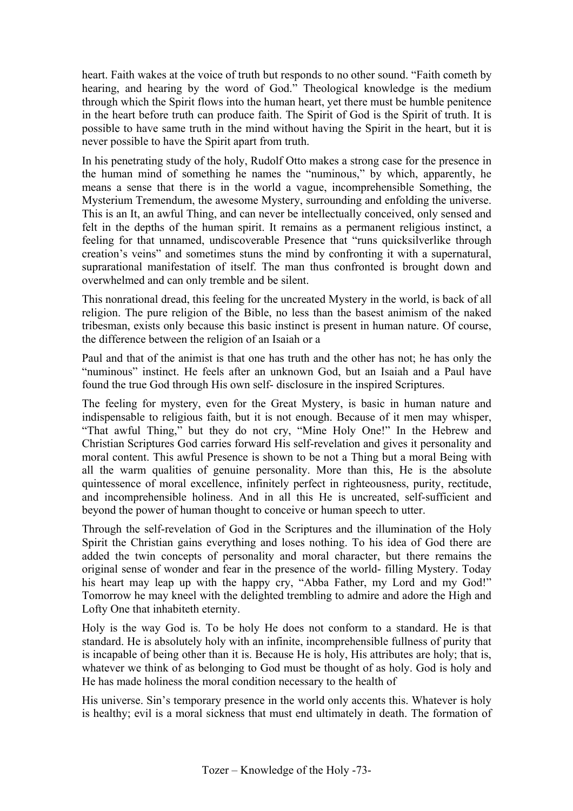heart. Faith wakes at the voice of truth but responds to no other sound. "Faith cometh by hearing, and hearing by the word of God." Theological knowledge is the medium through which the Spirit flows into the human heart, yet there must be humble penitence in the heart before truth can produce faith. The Spirit of God is the Spirit of truth. It is possible to have same truth in the mind without having the Spirit in the heart, but it is never possible to have the Spirit apart from truth.

In his penetrating study of the holy, Rudolf Otto makes a strong case for the presence in the human mind of something he names the "numinous," by which, apparently, he means a sense that there is in the world a vague, incomprehensible Something, the Mysterium Tremendum, the awesome Mystery, surrounding and enfolding the universe. This is an It, an awful Thing, and can never be intellectually conceived, only sensed and felt in the depths of the human spirit. It remains as a permanent religious instinct, a feeling for that unnamed, undiscoverable Presence that "runs quicksilverlike through creation's veins" and sometimes stuns the mind by confronting it with a supernatural, suprarational manifestation of itself. The man thus confronted is brought down and overwhelmed and can only tremble and be silent.

This nonrational dread, this feeling for the uncreated Mystery in the world, is back of all religion. The pure religion of the Bible, no less than the basest animism of the naked tribesman, exists only because this basic instinct is present in human nature. Of course, the difference between the religion of an Isaiah or a

Paul and that of the animist is that one has truth and the other has not; he has only the "numinous" instinct. He feels after an unknown God, but an Isaiah and a Paul have found the true God through His own self- disclosure in the inspired Scriptures.

The feeling for mystery, even for the Great Mystery, is basic in human nature and indispensable to religious faith, but it is not enough. Because of it men may whisper, "That awful Thing," but they do not cry, "Mine Holy One!" In the Hebrew and Christian Scriptures God carries forward His self-revelation and gives it personality and moral content. This awful Presence is shown to be not a Thing but a moral Being with all the warm qualities of genuine personality. More than this, He is the absolute quintessence of moral excellence, infinitely perfect in righteousness, purity, rectitude, and incomprehensible holiness. And in all this He is uncreated, self-sufficient and beyond the power of human thought to conceive or human speech to utter.

Through the self-revelation of God in the Scriptures and the illumination of the Holy Spirit the Christian gains everything and loses nothing. To his idea of God there are added the twin concepts of personality and moral character, but there remains the original sense of wonder and fear in the presence of the world- filling Mystery. Today his heart may leap up with the happy cry, "Abba Father, my Lord and my God!" Tomorrow he may kneel with the delighted trembling to admire and adore the High and Lofty One that inhabiteth eternity.

Holy is the way God is. To be holy He does not conform to a standard. He is that standard. He is absolutely holy with an infinite, incomprehensible fullness of purity that is incapable of being other than it is. Because He is holy, His attributes are holy; that is, whatever we think of as belonging to God must be thought of as holy. God is holy and He has made holiness the moral condition necessary to the health of

His universe. Sin's temporary presence in the world only accents this. Whatever is holy is healthy; evil is a moral sickness that must end ultimately in death. The formation of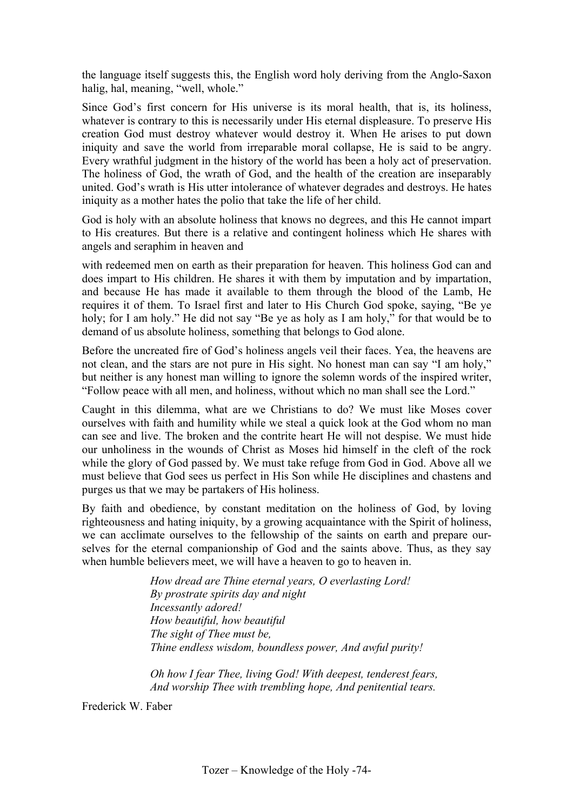the language itself suggests this, the English word holy deriving from the Anglo-Saxon halig, hal, meaning, "well, whole."

Since God's first concern for His universe is its moral health, that is, its holiness, whatever is contrary to this is necessarily under His eternal displeasure. To preserve His creation God must destroy whatever would destroy it. When He arises to put down iniquity and save the world from irreparable moral collapse, He is said to be angry. Every wrathful judgment in the history of the world has been a holy act of preservation. The holiness of God, the wrath of God, and the health of the creation are inseparably united. God's wrath is His utter intolerance of whatever degrades and destroys. He hates iniquity as a mother hates the polio that take the life of her child.

God is holy with an absolute holiness that knows no degrees, and this He cannot impart to His creatures. But there is a relative and contingent holiness which He shares with angels and seraphim in heaven and

with redeemed men on earth as their preparation for heaven. This holiness God can and does impart to His children. He shares it with them by imputation and by impartation, and because He has made it available to them through the blood of the Lamb, He requires it of them. To Israel first and later to His Church God spoke, saying, ^Be ye holy; for I am holy." He did not say "Be ye as holy as I am holy," for that would be to demand of us absolute holiness, something that belongs to God alone.

Before the uncreated fire of God's holiness angels veil their faces. Yea, the heavens are not clean, and the stars are not pure in His sight. No honest man can say "I am holy," but neither is any honest man willing to ignore the solemn words of the inspired writer, "Follow peace with all men, and holiness, without which no man shall see the Lord."

Caught in this dilemma, what are we Christians to do? We must like Moses cover ourselves with faith and humility while we steal a quick look at the God whom no man can see and live. The broken and the contrite heart He will not despise. We must hide our unholiness in the wounds of Christ as Moses hid himself in the cleft of the rock while the glory of God passed by. We must take refuge from God in God. Above all we must believe that God sees us perfect in His Son while He disciplines and chastens and purges us that we may be partakers of His holiness.

By faith and obedience, by constant meditation on the holiness of God, by loving righteousness and hating iniquity, by a growing acquaintance with the Spirit of holiness, we can acclimate ourselves to the fellowship of the saints on earth and prepare ourselves for the eternal companionship of God and the saints above. Thus, as they say when humble believers meet, we will have a heaven to go to heaven in.

> *How dread are Thine eternal years, O everlasting Lord! By prostrate spirits day and night Incessantly adored! How beautiful, how beautiful The sight of Thee must be, Thine endless wisdom, boundless power, And awful purity!*

*Oh how I fear Thee, living God! With deepest, tenderest fears, And worship Thee with trembling hope, And penitential tears.* 

Frederick W. Faber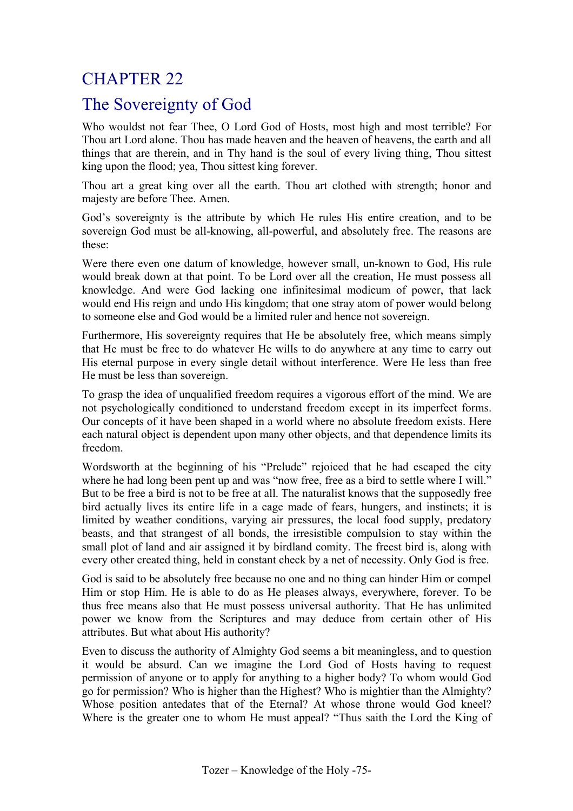## CHAPTER 22

## The Sovereignty of God

Who wouldst not fear Thee, O Lord God of Hosts, most high and most terrible? For Thou art Lord alone. Thou has made heaven and the heaven of heavens, the earth and all things that are therein, and in Thy hand is the soul of every living thing, Thou sittest king upon the flood; yea, Thou sittest king forever.

Thou art a great king over all the earth. Thou art clothed with strength; honor and majesty are before Thee. Amen.

God's sovereignty is the attribute by which He rules His entire creation, and to be sovereign God must be all-knowing, all-powerful, and absolutely free. The reasons are these:

Were there even one datum of knowledge, however small, un-known to God, His rule would break down at that point. To be Lord over all the creation, He must possess all knowledge. And were God lacking one infinitesimal modicum of power, that lack would end His reign and undo His kingdom; that one stray atom of power would belong to someone else and God would be a limited ruler and hence not sovereign.

Furthermore, His sovereignty requires that He be absolutely free, which means simply that He must be free to do whatever He wills to do anywhere at any time to carry out His eternal purpose in every single detail without interference. Were He less than free He must be less than sovereign.

To grasp the idea of unqualified freedom requires a vigorous effort of the mind. We are not psychologically conditioned to understand freedom except in its imperfect forms. Our concepts of it have been shaped in a world where no absolute freedom exists. Here each natural object is dependent upon many other objects, and that dependence limits its freedom.

Wordsworth at the beginning of his "Prelude" rejoiced that he had escaped the city where he had long been pent up and was "now free, free as a bird to settle where I will." But to be free a bird is not to be free at all. The naturalist knows that the supposedly free bird actually lives its entire life in a cage made of fears, hungers, and instincts; it is limited by weather conditions, varying air pressures, the local food supply, predatory beasts, and that strangest of all bonds, the irresistible compulsion to stay within the small plot of land and air assigned it by birdland comity. The freest bird is, along with every other created thing, held in constant check by a net of necessity. Only God is free.

God is said to be absolutely free because no one and no thing can hinder Him or compel Him or stop Him. He is able to do as He pleases always, everywhere, forever. To be thus free means also that He must possess universal authority. That He has unlimited power we know from the Scriptures and may deduce from certain other of His attributes. But what about His authority?

Even to discuss the authority of Almighty God seems a bit meaningless, and to question it would be absurd. Can we imagine the Lord God of Hosts having to request permission of anyone or to apply for anything to a higher body? To whom would God go for permission? Who is higher than the Highest? Who is mightier than the Almighty? Whose position antedates that of the Eternal? At whose throne would God kneel? Where is the greater one to whom He must appeal? "Thus saith the Lord the King of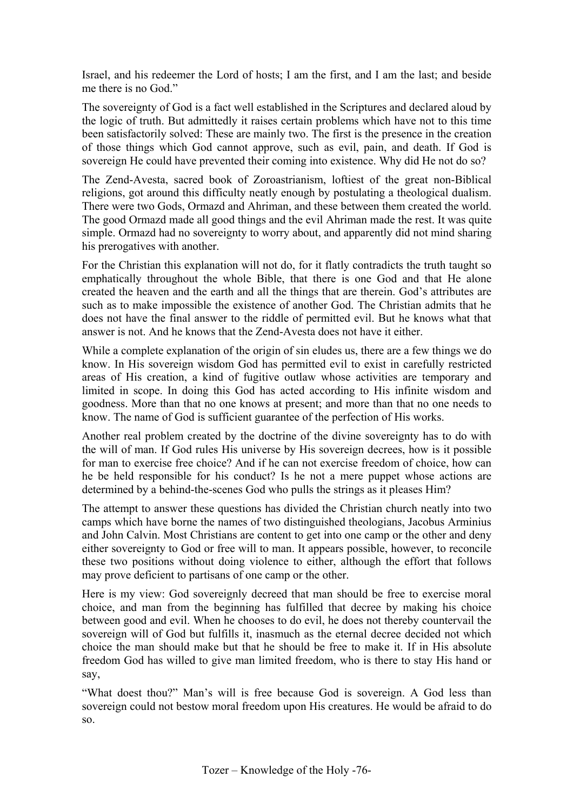Israel, and his redeemer the Lord of hosts; I am the first, and I am the last; and beside me there is no God."

The sovereignty of God is a fact well established in the Scriptures and declared aloud by the logic of truth. But admittedly it raises certain problems which have not to this time been satisfactorily solved: These are mainly two. The first is the presence in the creation of those things which God cannot approve, such as evil, pain, and death. If God is sovereign He could have prevented their coming into existence. Why did He not do so?

The Zend-Avesta, sacred book of Zoroastrianism, loftiest of the great non-Biblical religions, got around this difficulty neatly enough by postulating a theological dualism. There were two Gods, Ormazd and Ahriman, and these between them created the world. The good Ormazd made all good things and the evil Ahriman made the rest. It was quite simple. Ormazd had no sovereignty to worry about, and apparently did not mind sharing his prerogatives with another.

For the Christian this explanation will not do, for it flatly contradicts the truth taught so emphatically throughout the whole Bible, that there is one God and that He alone created the heaven and the earth and all the things that are therein. God's attributes are such as to make impossible the existence of another God. The Christian admits that he does not have the final answer to the riddle of permitted evil. But he knows what that answer is not. And he knows that the Zend-Avesta does not have it either.

While a complete explanation of the origin of sin eludes us, there are a few things we do know. In His sovereign wisdom God has permitted evil to exist in carefully restricted areas of His creation, a kind of fugitive outlaw whose activities are temporary and limited in scope. In doing this God has acted according to His infinite wisdom and goodness. More than that no one knows at present; and more than that no one needs to know. The name of God is sufficient guarantee of the perfection of His works.

Another real problem created by the doctrine of the divine sovereignty has to do with the will of man. If God rules His universe by His sovereign decrees, how is it possible for man to exercise free choice? And if he can not exercise freedom of choice, how can he be held responsible for his conduct? Is he not a mere puppet whose actions are determined by a behind-the-scenes God who pulls the strings as it pleases Him?

The attempt to answer these questions has divided the Christian church neatly into two camps which have borne the names of two distinguished theologians, Jacobus Arminius and John Calvin. Most Christians are content to get into one camp or the other and deny either sovereignty to God or free will to man. It appears possible, however, to reconcile these two positions without doing violence to either, although the effort that follows may prove deficient to partisans of one camp or the other.

Here is my view: God sovereignly decreed that man should be free to exercise moral choice, and man from the beginning has fulfilled that decree by making his choice between good and evil. When he chooses to do evil, he does not thereby countervail the sovereign will of God but fulfills it, inasmuch as the eternal decree decided not which choice the man should make but that he should be free to make it. If in His absolute freedom God has willed to give man limited freedom, who is there to stay His hand or say,

"What doest thou?" Man's will is free because God is sovereign. A God less than sovereign could not bestow moral freedom upon His creatures. He would be afraid to do so.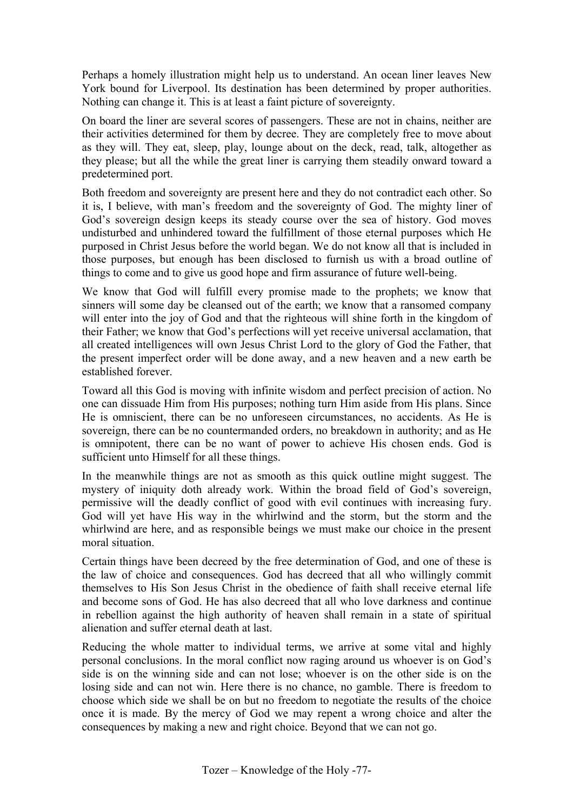Perhaps a homely illustration might help us to understand. An ocean liner leaves New York bound for Liverpool. Its destination has been determined by proper authorities. Nothing can change it. This is at least a faint picture of sovereignty.

On board the liner are several scores of passengers. These are not in chains, neither are their activities determined for them by decree. They are completely free to move about as they will. They eat, sleep, play, lounge about on the deck, read, talk, altogether as they please; but all the while the great liner is carrying them steadily onward toward a predetermined port.

Both freedom and sovereignty are present here and they do not contradict each other. So it is, I believe, with man's freedom and the sovereignty of God. The mighty liner of God's sovereign design keeps its steady course over the sea of history. God moves undisturbed and unhindered toward the fulfillment of those eternal purposes which He purposed in Christ Jesus before the world began. We do not know all that is included in those purposes, but enough has been disclosed to furnish us with a broad outline of things to come and to give us good hope and firm assurance of future well-being.

We know that God will fulfill every promise made to the prophets; we know that sinners will some day be cleansed out of the earth; we know that a ransomed company will enter into the joy of God and that the righteous will shine forth in the kingdom of their Father; we know that God's perfections will yet receive universal acclamation, that all created intelligences will own Jesus Christ Lord to the glory of God the Father, that the present imperfect order will be done away, and a new heaven and a new earth be established forever.

Toward all this God is moving with infinite wisdom and perfect precision of action. No one can dissuade Him from His purposes; nothing turn Him aside from His plans. Since He is omniscient, there can be no unforeseen circumstances, no accidents. As He is sovereign, there can be no countermanded orders, no breakdown in authority; and as He is omnipotent, there can be no want of power to achieve His chosen ends. God is sufficient unto Himself for all these things.

In the meanwhile things are not as smooth as this quick outline might suggest. The mystery of iniquity doth already work. Within the broad field of God's sovereign, permissive will the deadly conflict of good with evil continues with increasing fury. God will yet have His way in the whirlwind and the storm, but the storm and the whirlwind are here, and as responsible beings we must make our choice in the present moral situation.

Certain things have been decreed by the free determination of God, and one of these is the law of choice and consequences. God has decreed that all who willingly commit themselves to His Son Jesus Christ in the obedience of faith shall receive eternal life and become sons of God. He has also decreed that all who love darkness and continue in rebellion against the high authority of heaven shall remain in a state of spiritual alienation and suffer eternal death at last.

Reducing the whole matter to individual terms, we arrive at some vital and highly personal conclusions. In the moral conflict now raging around us whoever is on God's side is on the winning side and can not lose; whoever is on the other side is on the losing side and can not win. Here there is no chance, no gamble. There is freedom to choose which side we shall be on but no freedom to negotiate the results of the choice once it is made. By the mercy of God we may repent a wrong choice and alter the consequences by making a new and right choice. Beyond that we can not go.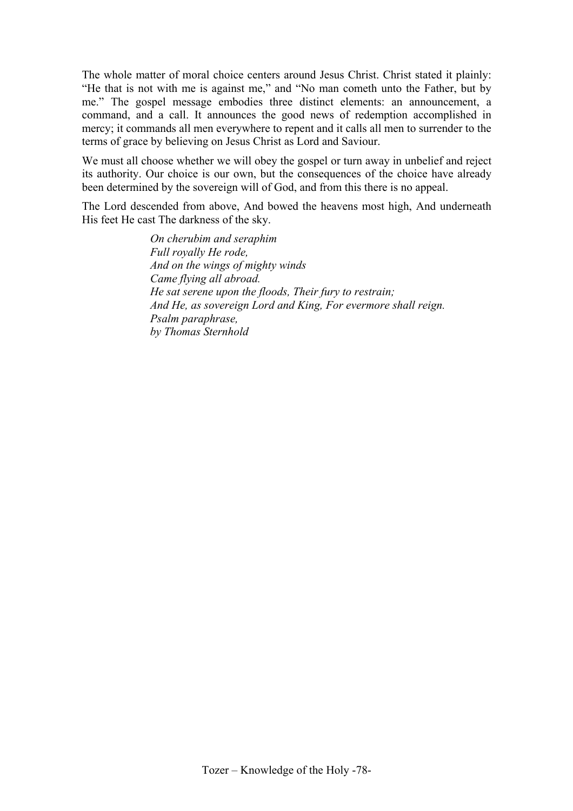The whole matter of moral choice centers around Jesus Christ. Christ stated it plainly: "He that is not with me is against me," and "No man cometh unto the Father, but by me." The gospel message embodies three distinct elements: an announcement, a command, and a call. It announces the good news of redemption accomplished in mercy; it commands all men everywhere to repent and it calls all men to surrender to the terms of grace by believing on Jesus Christ as Lord and Saviour.

We must all choose whether we will obey the gospel or turn away in unbelief and reject its authority. Our choice is our own, but the consequences of the choice have already been determined by the sovereign will of God, and from this there is no appeal.

The Lord descended from above, And bowed the heavens most high, And underneath His feet He cast The darkness of the sky.

> *On cherubim and seraphim Full royally He rode, And on the wings of mighty winds Came flying all abroad. He sat serene upon the floods, Their fury to restrain; And He, as sovereign Lord and King, For evermore shall reign. Psalm paraphrase, by Thomas Sternhold*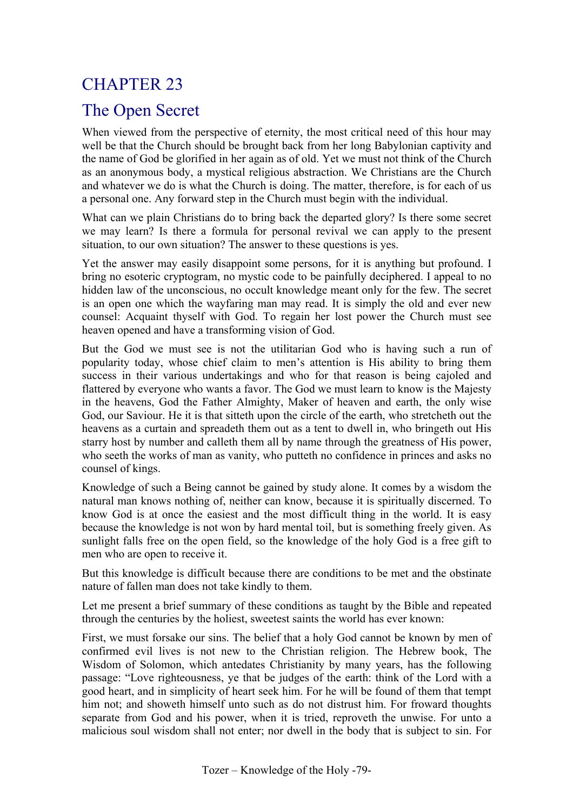## CHAPTER 23

## The Open Secret

When viewed from the perspective of eternity, the most critical need of this hour may well be that the Church should be brought back from her long Babylonian captivity and the name of God be glorified in her again as of old. Yet we must not think of the Church as an anonymous body, a mystical religious abstraction. We Christians are the Church and whatever we do is what the Church is doing. The matter, therefore, is for each of us a personal one. Any forward step in the Church must begin with the individual.

What can we plain Christians do to bring back the departed glory? Is there some secret we may learn? Is there a formula for personal revival we can apply to the present situation, to our own situation? The answer to these questions is yes.

Yet the answer may easily disappoint some persons, for it is anything but profound. I bring no esoteric cryptogram, no mystic code to be painfully deciphered. I appeal to no hidden law of the unconscious, no occult knowledge meant only for the few. The secret is an open one which the wayfaring man may read. It is simply the old and ever new counsel: Acquaint thyself with God. To regain her lost power the Church must see heaven opened and have a transforming vision of God.

But the God we must see is not the utilitarian God who is having such a run of popularity today, whose chief claim to men's attention is His ability to bring them success in their various undertakings and who for that reason is being cajoled and flattered by everyone who wants a favor. The God we must learn to know is the Majesty in the heavens, God the Father Almighty, Maker of heaven and earth, the only wise God, our Saviour. He it is that sitteth upon the circle of the earth, who stretcheth out the heavens as a curtain and spreadeth them out as a tent to dwell in, who bringeth out His starry host by number and calleth them all by name through the greatness of His power, who seeth the works of man as vanity, who putteth no confidence in princes and asks no counsel of kings.

Knowledge of such a Being cannot be gained by study alone. It comes by a wisdom the natural man knows nothing of, neither can know, because it is spiritually discerned. To know God is at once the easiest and the most difficult thing in the world. It is easy because the knowledge is not won by hard mental toil, but is something freely given. As sunlight falls free on the open field, so the knowledge of the holy God is a free gift to men who are open to receive it.

But this knowledge is difficult because there are conditions to be met and the obstinate nature of fallen man does not take kindly to them.

Let me present a brief summary of these conditions as taught by the Bible and repeated through the centuries by the holiest, sweetest saints the world has ever known:

First, we must forsake our sins. The belief that a holy God cannot be known by men of confirmed evil lives is not new to the Christian religion. The Hebrew book, The Wisdom of Solomon, which antedates Christianity by many years, has the following passage: ^Love righteousness, ye that be judges of the earth: think of the Lord with a good heart, and in simplicity of heart seek him. For he will be found of them that tempt him not; and showeth himself unto such as do not distrust him. For froward thoughts separate from God and his power, when it is tried, reproveth the unwise. For unto a malicious soul wisdom shall not enter; nor dwell in the body that is subject to sin. For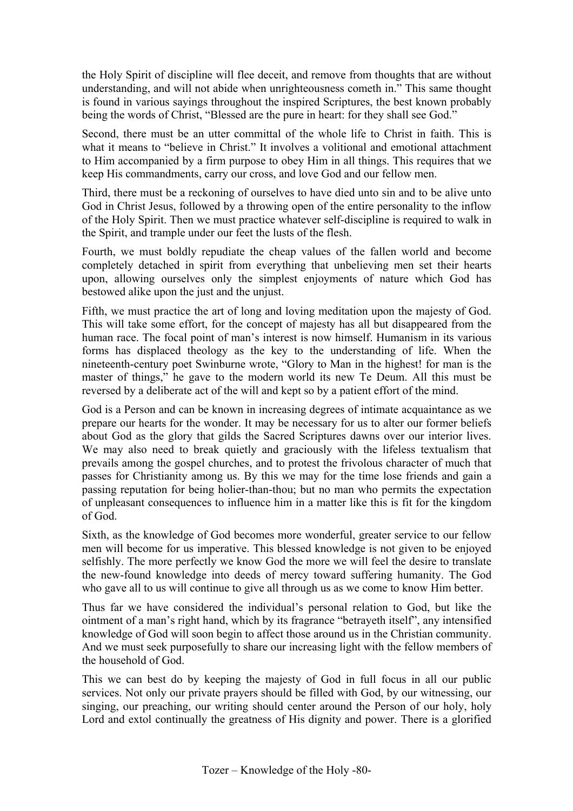the Holy Spirit of discipline will flee deceit, and remove from thoughts that are without understanding, and will not abide when unrighteousness cometh in." This same thought is found in various sayings throughout the inspired Scriptures, the best known probably being the words of Christ, "Blessed are the pure in heart: for they shall see God."

Second, there must be an utter committal of the whole life to Christ in faith. This is what it means to "believe in Christ." It involves a volitional and emotional attachment to Him accompanied by a firm purpose to obey Him in all things. This requires that we keep His commandments, carry our cross, and love God and our fellow men.

Third, there must be a reckoning of ourselves to have died unto sin and to be alive unto God in Christ Jesus, followed by a throwing open of the entire personality to the inflow of the Holy Spirit. Then we must practice whatever self-discipline is required to walk in the Spirit, and trample under our feet the lusts of the flesh.

Fourth, we must boldly repudiate the cheap values of the fallen world and become completely detached in spirit from everything that unbelieving men set their hearts upon, allowing ourselves only the simplest enjoyments of nature which God has bestowed alike upon the just and the unjust.

Fifth, we must practice the art of long and loving meditation upon the majesty of God. This will take some effort, for the concept of majesty has all but disappeared from the human race. The focal point of man's interest is now himself. Humanism in its various forms has displaced theology as the key to the understanding of life. When the nineteenth-century poet Swinburne wrote, "Glory to Man in the highest! for man is the master of things," he gave to the modern world its new Te Deum. All this must be reversed by a deliberate act of the will and kept so by a patient effort of the mind.

God is a Person and can be known in increasing degrees of intimate acquaintance as we prepare our hearts for the wonder. It may be necessary for us to alter our former beliefs about God as the glory that gilds the Sacred Scriptures dawns over our interior lives. We may also need to break quietly and graciously with the lifeless textualism that prevails among the gospel churches, and to protest the frivolous character of much that passes for Christianity among us. By this we may for the time lose friends and gain a passing reputation for being holier-than-thou; but no man who permits the expectation of unpleasant consequences to influence him in a matter like this is fit for the kingdom of God.

Sixth, as the knowledge of God becomes more wonderful, greater service to our fellow men will become for us imperative. This blessed knowledge is not given to be enjoyed selfishly. The more perfectly we know God the more we will feel the desire to translate the new-found knowledge into deeds of mercy toward suffering humanity. The God who gave all to us will continue to give all through us as we come to know Him better.

Thus far we have considered the individual's personal relation to God, but like the ointment of a man's right hand, which by its fragrance "betrayeth itself", any intensified knowledge of God will soon begin to affect those around us in the Christian community. And we must seek purposefully to share our increasing light with the fellow members of the household of God.

This we can best do by keeping the majesty of God in full focus in all our public services. Not only our private prayers should be filled with God, by our witnessing, our singing, our preaching, our writing should center around the Person of our holy, holy Lord and extol continually the greatness of His dignity and power. There is a glorified